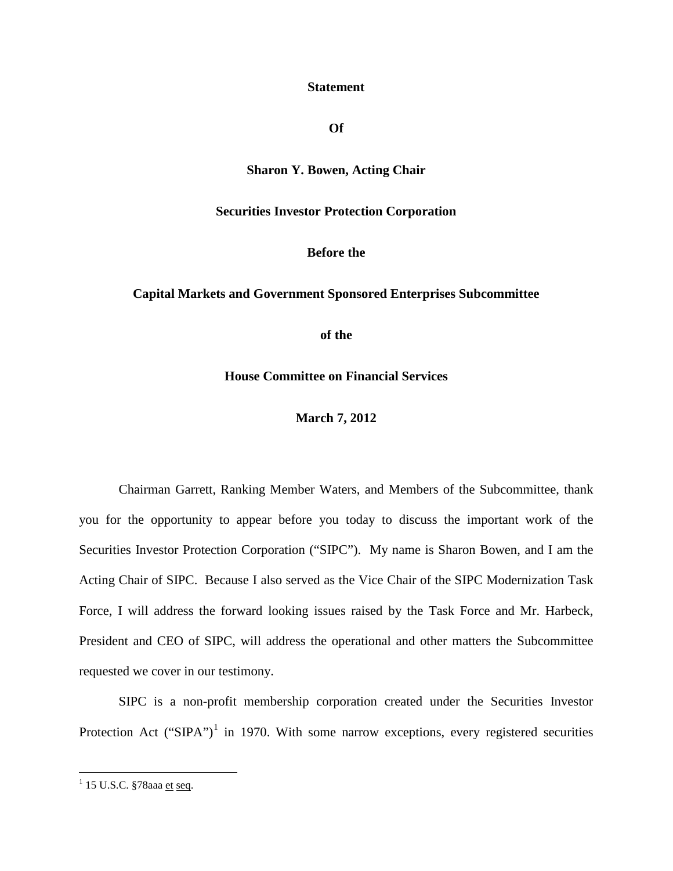#### **Statement**

#### **Of**

# **Sharon Y. Bowen, Acting Chair**

#### **Securities Investor Protection Corporation**

#### **Before the**

#### **Capital Markets and Government Sponsored Enterprises Subcommittee**

**of the**

**House Committee on Financial Services**

**March 7, 2012**

Chairman Garrett, Ranking Member Waters, and Members of the Subcommittee, thank you for the opportunity to appear before you today to discuss the important work of the Securities Investor Protection Corporation ("SIPC"). My name is Sharon Bowen, and I am the Acting Chair of SIPC. Because I also served as the Vice Chair of the SIPC Modernization Task Force, I will address the forward looking issues raised by the Task Force and Mr. Harbeck, President and CEO of SIPC, will address the operational and other matters the Subcommittee requested we cover in our testimony.

SIPC is a non-profit membership corporation created under the Securities Investor Protection Act ("SIPA")<sup>[1](#page-0-0)</sup> in 1970. With some narrow exceptions, every registered securities

<span id="page-0-0"></span> $1$  15 U.S.C. §78aaa et seq.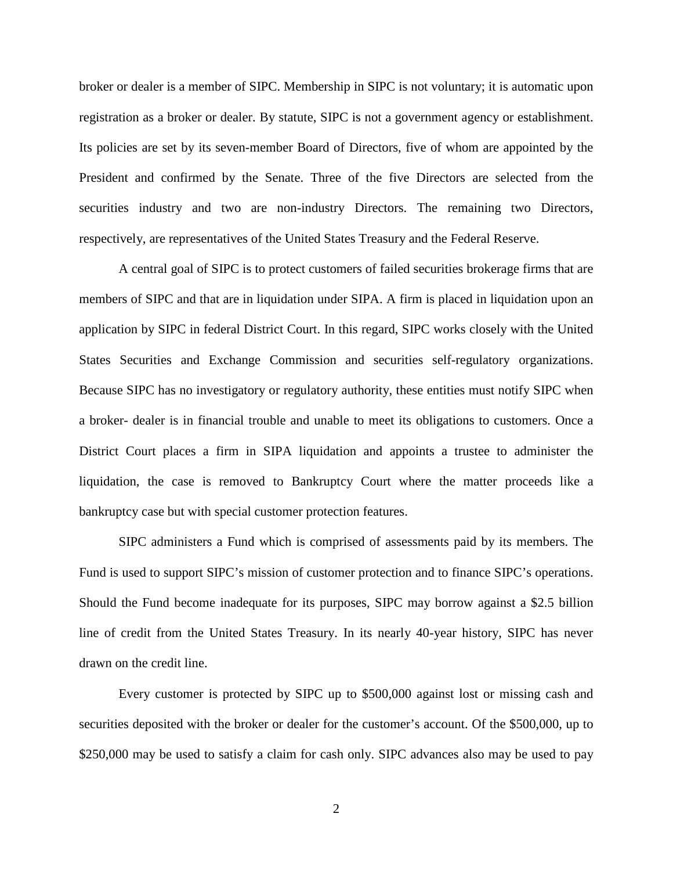broker or dealer is a member of SIPC. Membership in SIPC is not voluntary; it is automatic upon registration as a broker or dealer. By statute, SIPC is not a government agency or establishment. Its policies are set by its seven-member Board of Directors, five of whom are appointed by the President and confirmed by the Senate. Three of the five Directors are selected from the securities industry and two are non-industry Directors. The remaining two Directors, respectively, are representatives of the United States Treasury and the Federal Reserve.

A central goal of SIPC is to protect customers of failed securities brokerage firms that are members of SIPC and that are in liquidation under SIPA. A firm is placed in liquidation upon an application by SIPC in federal District Court. In this regard, SIPC works closely with the United States Securities and Exchange Commission and securities self-regulatory organizations. Because SIPC has no investigatory or regulatory authority, these entities must notify SIPC when a broker- dealer is in financial trouble and unable to meet its obligations to customers. Once a District Court places a firm in SIPA liquidation and appoints a trustee to administer the liquidation, the case is removed to Bankruptcy Court where the matter proceeds like a bankruptcy case but with special customer protection features.

SIPC administers a Fund which is comprised of assessments paid by its members. The Fund is used to support SIPC's mission of customer protection and to finance SIPC's operations. Should the Fund become inadequate for its purposes, SIPC may borrow against a \$2.5 billion line of credit from the United States Treasury. In its nearly 40-year history, SIPC has never drawn on the credit line.

Every customer is protected by SIPC up to \$500,000 against lost or missing cash and securities deposited with the broker or dealer for the customer's account. Of the \$500,000, up to \$250,000 may be used to satisfy a claim for cash only. SIPC advances also may be used to pay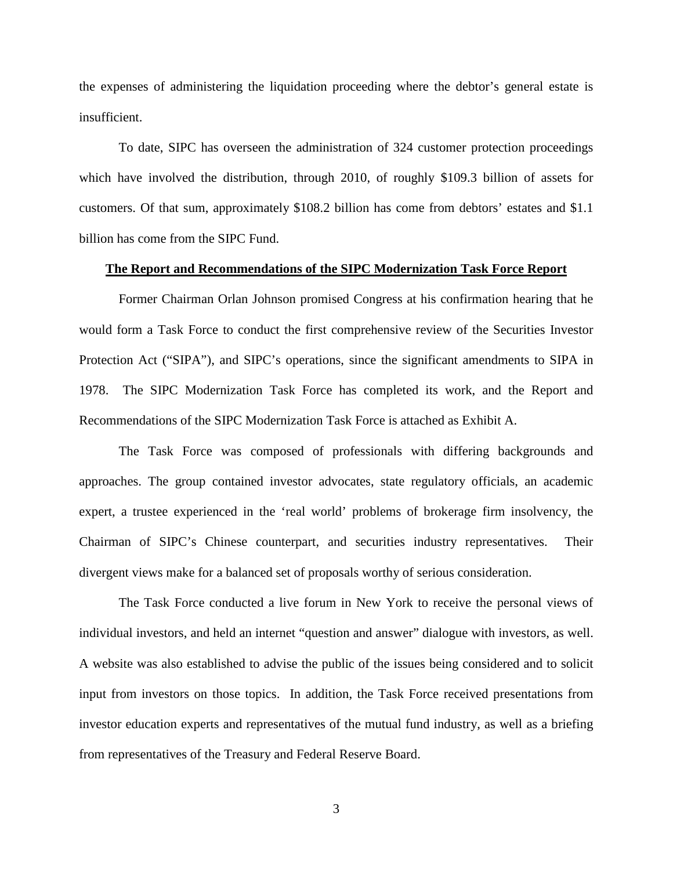the expenses of administering the liquidation proceeding where the debtor's general estate is insufficient.

To date, SIPC has overseen the administration of 324 customer protection proceedings which have involved the distribution, through 2010, of roughly \$109.3 billion of assets for customers. Of that sum, approximately \$108.2 billion has come from debtors' estates and \$1.1 billion has come from the SIPC Fund.

#### **The Report and Recommendations of the SIPC Modernization Task Force Report**

Former Chairman Orlan Johnson promised Congress at his confirmation hearing that he would form a Task Force to conduct the first comprehensive review of the Securities Investor Protection Act ("SIPA"), and SIPC's operations, since the significant amendments to SIPA in 1978. The SIPC Modernization Task Force has completed its work, and the Report and Recommendations of the SIPC Modernization Task Force is attached as Exhibit A.

The Task Force was composed of professionals with differing backgrounds and approaches. The group contained investor advocates, state regulatory officials, an academic expert, a trustee experienced in the 'real world' problems of brokerage firm insolvency, the Chairman of SIPC's Chinese counterpart, and securities industry representatives. Their divergent views make for a balanced set of proposals worthy of serious consideration.

The Task Force conducted a live forum in New York to receive the personal views of individual investors, and held an internet "question and answer" dialogue with investors, as well. A website was also established to advise the public of the issues being considered and to solicit input from investors on those topics. In addition, the Task Force received presentations from investor education experts and representatives of the mutual fund industry, as well as a briefing from representatives of the Treasury and Federal Reserve Board.

3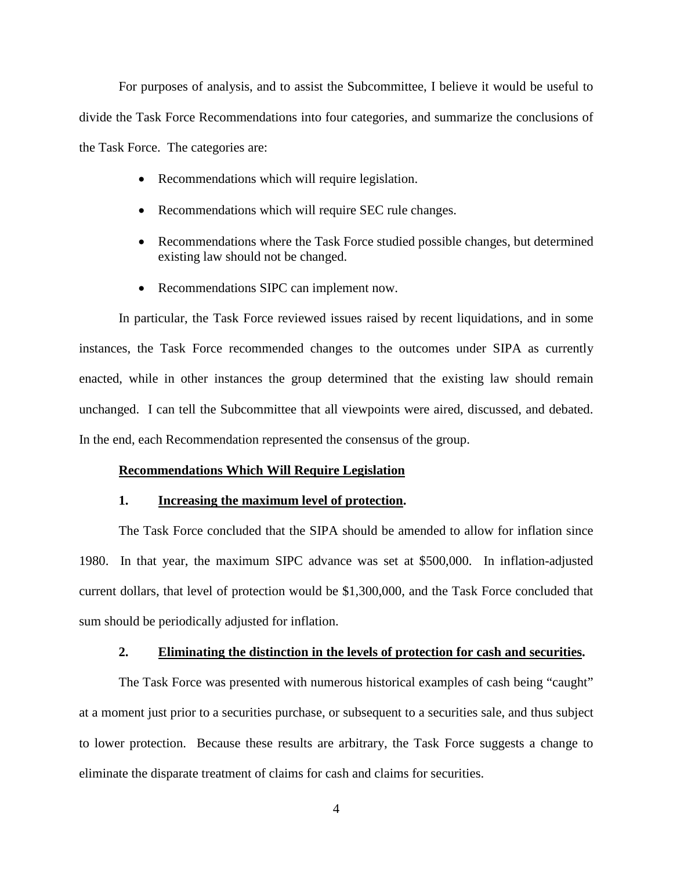For purposes of analysis, and to assist the Subcommittee, I believe it would be useful to divide the Task Force Recommendations into four categories, and summarize the conclusions of the Task Force. The categories are:

- Recommendations which will require legislation.
- Recommendations which will require SEC rule changes.
- Recommendations where the Task Force studied possible changes, but determined existing law should not be changed.
- Recommendations SIPC can implement now.

In particular, the Task Force reviewed issues raised by recent liquidations, and in some instances, the Task Force recommended changes to the outcomes under SIPA as currently enacted, while in other instances the group determined that the existing law should remain unchanged. I can tell the Subcommittee that all viewpoints were aired, discussed, and debated. In the end, each Recommendation represented the consensus of the group.

#### **Recommendations Which Will Require Legislation**

#### **1. Increasing the maximum level of protection.**

The Task Force concluded that the SIPA should be amended to allow for inflation since 1980. In that year, the maximum SIPC advance was set at \$500,000. In inflation-adjusted current dollars, that level of protection would be \$1,300,000, and the Task Force concluded that sum should be periodically adjusted for inflation.

#### **2. Eliminating the distinction in the levels of protection for cash and securities.**

The Task Force was presented with numerous historical examples of cash being "caught" at a moment just prior to a securities purchase, or subsequent to a securities sale, and thus subject to lower protection. Because these results are arbitrary, the Task Force suggests a change to eliminate the disparate treatment of claims for cash and claims for securities.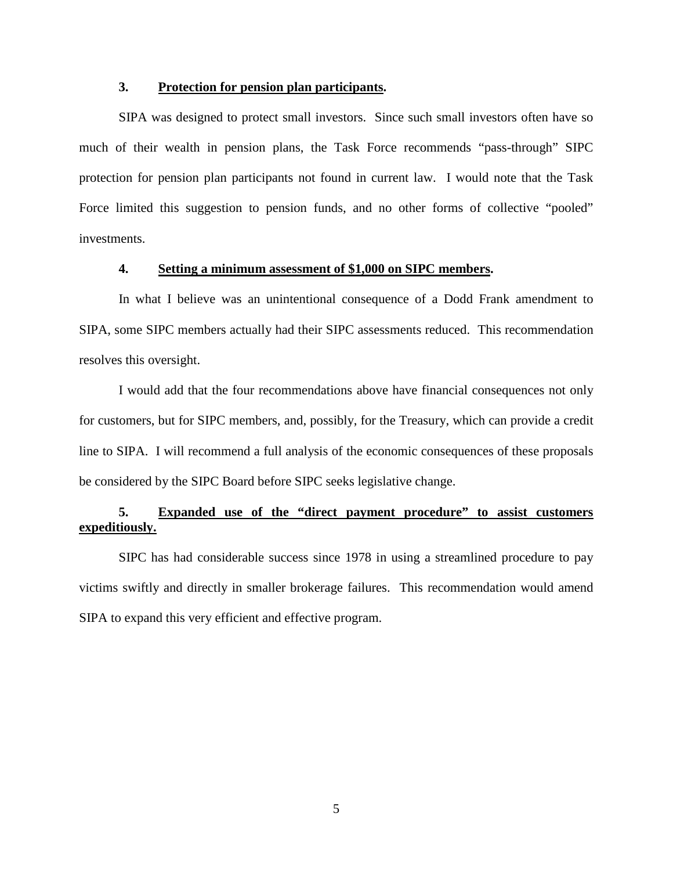## **3. Protection for pension plan participants.**

SIPA was designed to protect small investors. Since such small investors often have so much of their wealth in pension plans, the Task Force recommends "pass-through" SIPC protection for pension plan participants not found in current law. I would note that the Task Force limited this suggestion to pension funds, and no other forms of collective "pooled" investments.

# **4. Setting a minimum assessment of \$1,000 on SIPC members.**

In what I believe was an unintentional consequence of a Dodd Frank amendment to SIPA, some SIPC members actually had their SIPC assessments reduced. This recommendation resolves this oversight.

I would add that the four recommendations above have financial consequences not only for customers, but for SIPC members, and, possibly, for the Treasury, which can provide a credit line to SIPA. I will recommend a full analysis of the economic consequences of these proposals be considered by the SIPC Board before SIPC seeks legislative change.

# **5. Expanded use of the "direct payment procedure" to assist customers expeditiously.**

SIPC has had considerable success since 1978 in using a streamlined procedure to pay victims swiftly and directly in smaller brokerage failures. This recommendation would amend SIPA to expand this very efficient and effective program.

5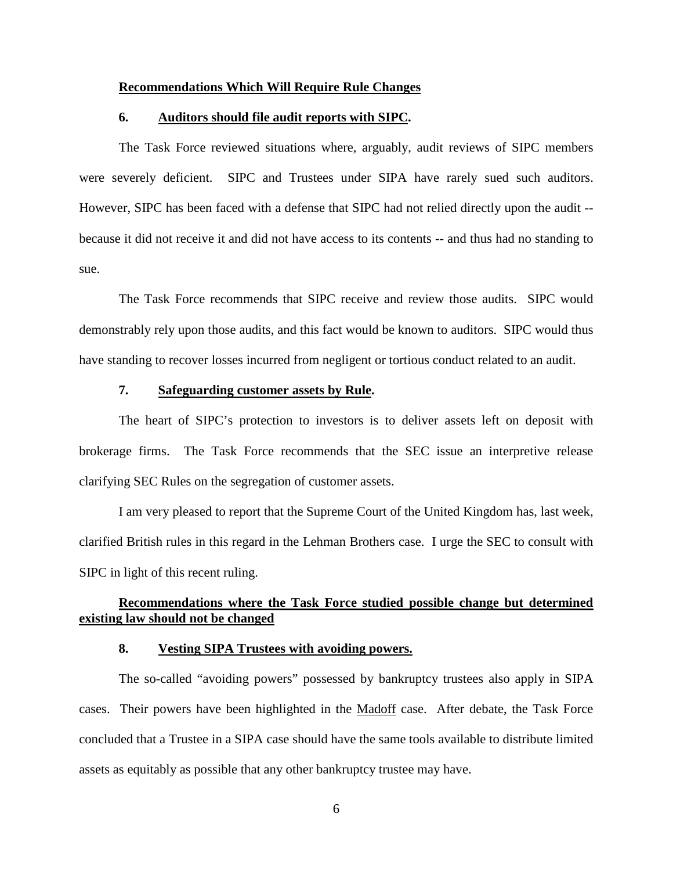#### **Recommendations Which Will Require Rule Changes**

#### **6. Auditors should file audit reports with SIPC.**

The Task Force reviewed situations where, arguably, audit reviews of SIPC members were severely deficient. SIPC and Trustees under SIPA have rarely sued such auditors. However, SIPC has been faced with a defense that SIPC had not relied directly upon the audit - because it did not receive it and did not have access to its contents -- and thus had no standing to sue.

The Task Force recommends that SIPC receive and review those audits. SIPC would demonstrably rely upon those audits, and this fact would be known to auditors. SIPC would thus have standing to recover losses incurred from negligent or tortious conduct related to an audit.

#### **7. Safeguarding customer assets by Rule.**

The heart of SIPC's protection to investors is to deliver assets left on deposit with brokerage firms. The Task Force recommends that the SEC issue an interpretive release clarifying SEC Rules on the segregation of customer assets.

I am very pleased to report that the Supreme Court of the United Kingdom has, last week, clarified British rules in this regard in the Lehman Brothers case. I urge the SEC to consult with SIPC in light of this recent ruling.

# **Recommendations where the Task Force studied possible change but determined existing law should not be changed**

#### **8. Vesting SIPA Trustees with avoiding powers.**

The so-called "avoiding powers" possessed by bankruptcy trustees also apply in SIPA cases. Their powers have been highlighted in the Madoff case. After debate, the Task Force concluded that a Trustee in a SIPA case should have the same tools available to distribute limited assets as equitably as possible that any other bankruptcy trustee may have.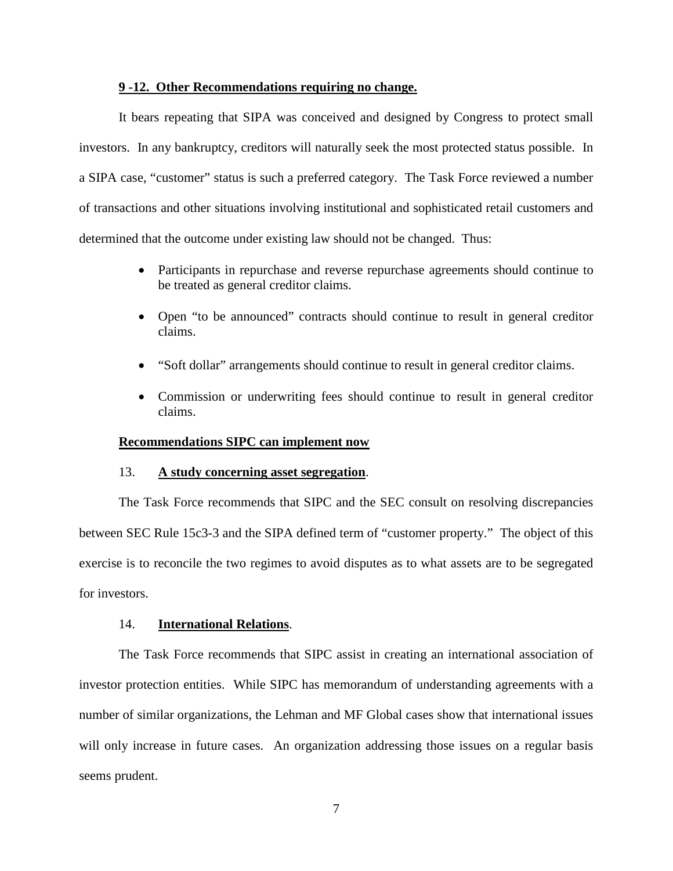#### **9 -12. Other Recommendations requiring no change.**

It bears repeating that SIPA was conceived and designed by Congress to protect small investors. In any bankruptcy, creditors will naturally seek the most protected status possible. In a SIPA case, "customer" status is such a preferred category. The Task Force reviewed a number of transactions and other situations involving institutional and sophisticated retail customers and determined that the outcome under existing law should not be changed. Thus:

- Participants in repurchase and reverse repurchase agreements should continue to be treated as general creditor claims.
- Open "to be announced" contracts should continue to result in general creditor claims.
- "Soft dollar" arrangements should continue to result in general creditor claims.
- Commission or underwriting fees should continue to result in general creditor claims.

#### **Recommendations SIPC can implement now**

#### 13. **A study concerning asset segregation**.

The Task Force recommends that SIPC and the SEC consult on resolving discrepancies between SEC Rule 15c3-3 and the SIPA defined term of "customer property." The object of this exercise is to reconcile the two regimes to avoid disputes as to what assets are to be segregated for investors.

#### 14. **International Relations**.

The Task Force recommends that SIPC assist in creating an international association of investor protection entities. While SIPC has memorandum of understanding agreements with a number of similar organizations, the Lehman and MF Global cases show that international issues will only increase in future cases. An organization addressing those issues on a regular basis seems prudent.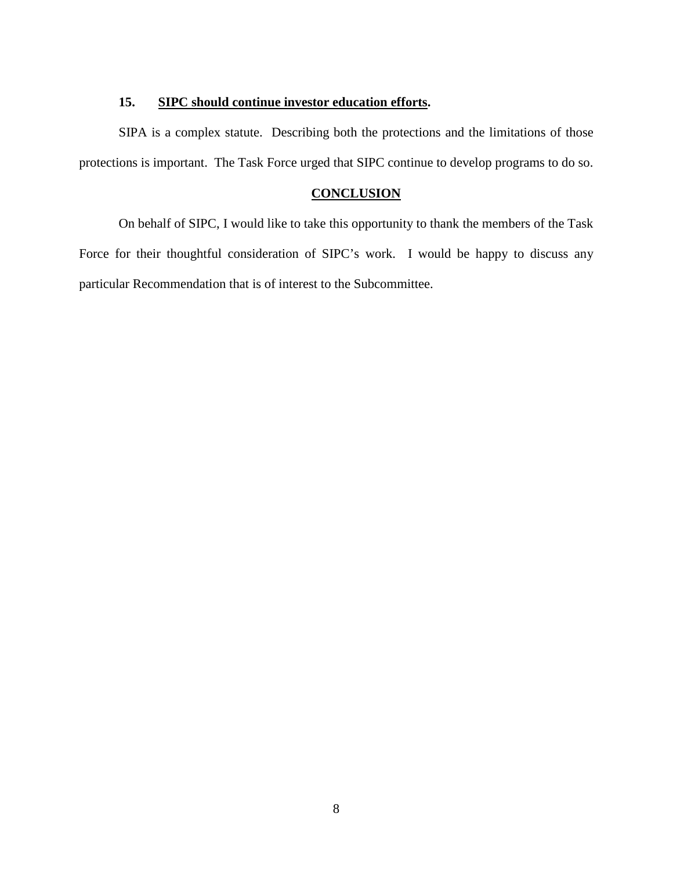## **15. SIPC should continue investor education efforts.**

SIPA is a complex statute. Describing both the protections and the limitations of those protections is important. The Task Force urged that SIPC continue to develop programs to do so.

# **CONCLUSION**

On behalf of SIPC, I would like to take this opportunity to thank the members of the Task Force for their thoughtful consideration of SIPC's work. I would be happy to discuss any particular Recommendation that is of interest to the Subcommittee.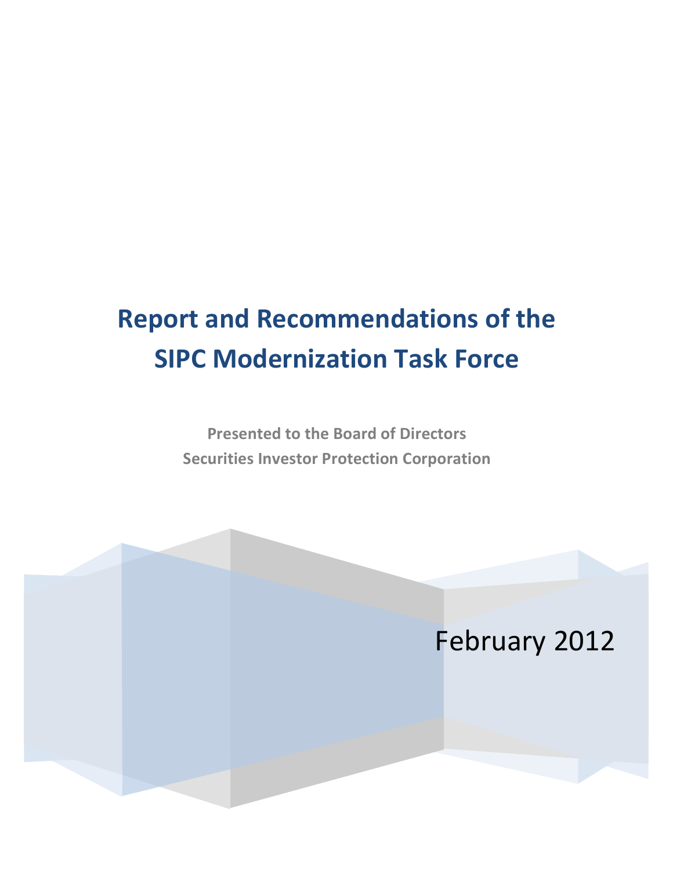# **Report and Recommendations of the SIPC Modernization Task Force**

Presented to the Board of Directors **Securities Investor Protection Corporation** 

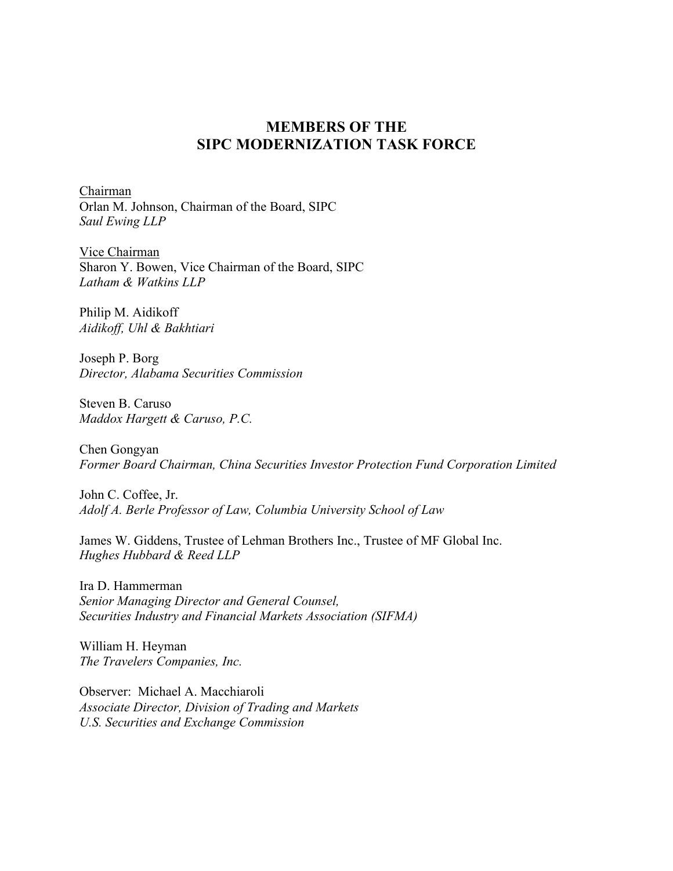# **MEMBERS OF THE SIPC MODERNIZATION TASK FORCE**

Chairman Orlan M. Johnson, Chairman of the Board, SIPC *Saul Ewing LLP*

Vice Chairman Sharon Y. Bowen, Vice Chairman of the Board, SIPC *Latham & Watkins LLP*

Philip M. Aidikoff *Aidikoff, Uhl & Bakhtiari*

Joseph P. Borg *Director, Alabama Securities Commission*

Steven B. Caruso *Maddox Hargett & Caruso, P.C.*

Chen Gongyan *Former Board Chairman, China Securities Investor Protection Fund Corporation Limited*

John C. Coffee, Jr. *Adolf A. Berle Professor of Law, Columbia University School of Law*

James W. Giddens, Trustee of Lehman Brothers Inc., Trustee of MF Global Inc. *Hughes Hubbard & Reed LLP*

Ira D. Hammerman *Senior Managing Director and General Counsel, Securities Industry and Financial Markets Association (SIFMA)*

William H. Heyman *The Travelers Companies, Inc.*

Observer: Michael A. Macchiaroli *Associate Director, Division of Trading and Markets U.S. Securities and Exchange Commission*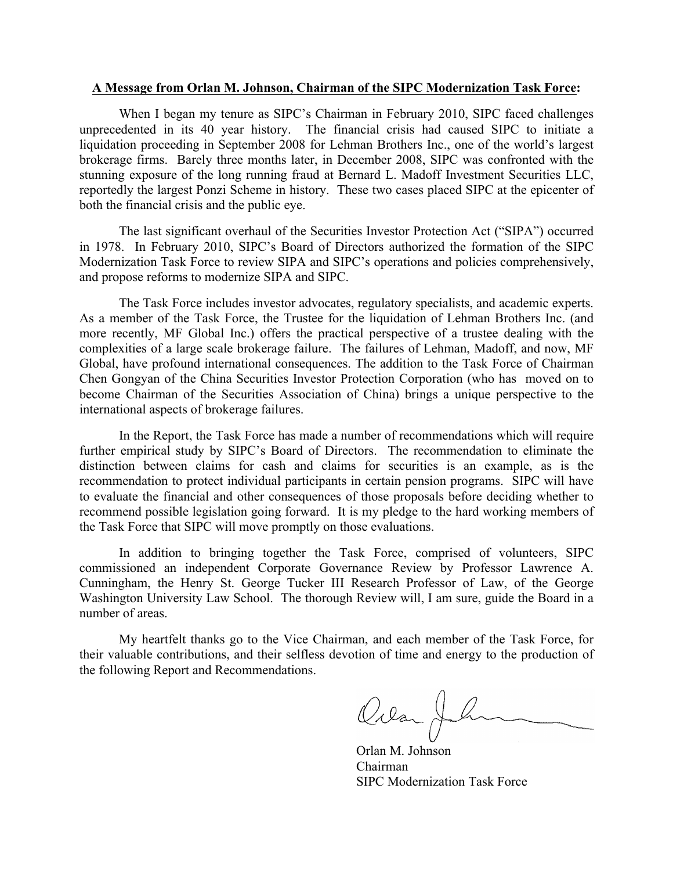#### **A Message from Orlan M. Johnson, Chairman of the SIPC Modernization Task Force:**

When I began my tenure as SIPC's Chairman in February 2010, SIPC faced challenges unprecedented in its 40 year history. The financial crisis had caused SIPC to initiate a liquidation proceeding in September 2008 for Lehman Brothers Inc., one of the world's largest brokerage firms. Barely three months later, in December 2008, SIPC was confronted with the stunning exposure of the long running fraud at Bernard L. Madoff Investment Securities LLC, reportedly the largest Ponzi Scheme in history. These two cases placed SIPC at the epicenter of both the financial crisis and the public eye.

The last significant overhaul of the Securities Investor Protection Act ("SIPA") occurred in 1978. In February 2010, SIPC's Board of Directors authorized the formation of the SIPC Modernization Task Force to review SIPA and SIPC's operations and policies comprehensively, and propose reforms to modernize SIPA and SIPC.

The Task Force includes investor advocates, regulatory specialists, and academic experts. As a member of the Task Force, the Trustee for the liquidation of Lehman Brothers Inc. (and more recently, MF Global Inc.) offers the practical perspective of a trustee dealing with the complexities of a large scale brokerage failure. The failures of Lehman, Madoff, and now, MF Global, have profound international consequences. The addition to the Task Force of Chairman Chen Gongyan of the China Securities Investor Protection Corporation (who has moved on to become Chairman of the Securities Association of China) brings a unique perspective to the international aspects of brokerage failures.

In the Report, the Task Force has made a number of recommendations which will require further empirical study by SIPC's Board of Directors. The recommendation to eliminate the distinction between claims for cash and claims for securities is an example, as is the recommendation to protect individual participants in certain pension programs. SIPC will have to evaluate the financial and other consequences of those proposals before deciding whether to recommend possible legislation going forward. It is my pledge to the hard working members of the Task Force that SIPC will move promptly on those evaluations.

In addition to bringing together the Task Force, comprised of volunteers, SIPC commissioned an independent Corporate Governance Review by Professor Lawrence A. Cunningham, the Henry St. George Tucker III Research Professor of Law, of the George Washington University Law School. The thorough Review will, I am sure, guide the Board in a number of areas.

My heartfelt thanks go to the Vice Chairman, and each member of the Task Force, for their valuable contributions, and their selfless devotion of time and energy to the production of the following Report and Recommendations.

Ovan Jh

Orlan M. Johnson Chairman SIPC Modernization Task Force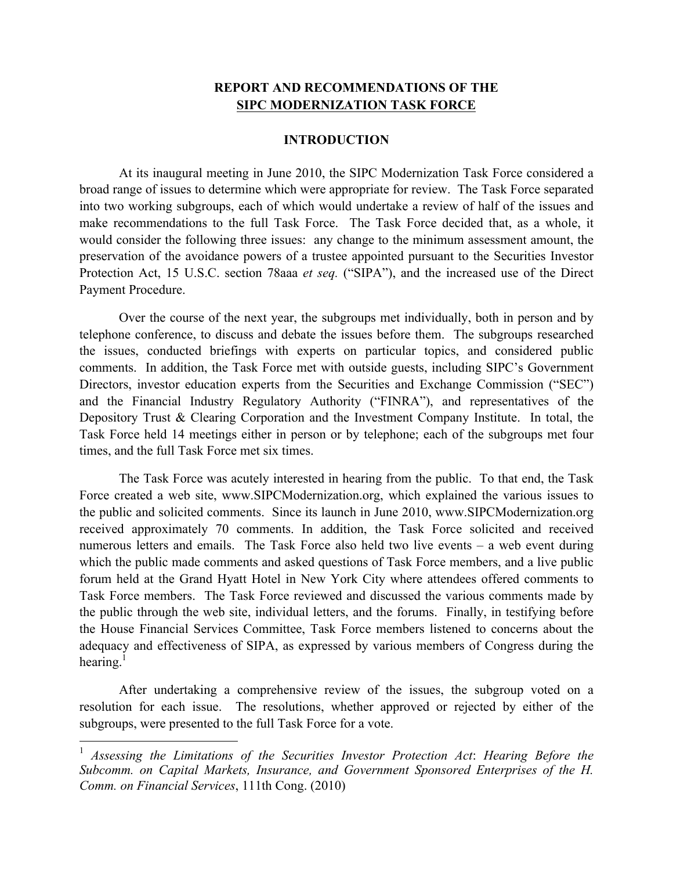# **REPORT AND RECOMMENDATIONS OF THE SIPC MODERNIZATION TASK FORCE**

#### **INTRODUCTION**

At its inaugural meeting in June 2010, the SIPC Modernization Task Force considered a broad range of issues to determine which were appropriate for review. The Task Force separated into two working subgroups, each of which would undertake a review of half of the issues and make recommendations to the full Task Force. The Task Force decided that, as a whole, it would consider the following three issues: any change to the minimum assessment amount, the preservation of the avoidance powers of a trustee appointed pursuant to the Securities Investor Protection Act, 15 U.S.C. section 78aaa *et seq.* ("SIPA"), and the increased use of the Direct Payment Procedure.

Over the course of the next year, the subgroups met individually, both in person and by telephone conference, to discuss and debate the issues before them. The subgroups researched the issues, conducted briefings with experts on particular topics, and considered public comments. In addition, the Task Force met with outside guests, including SIPC's Government Directors, investor education experts from the Securities and Exchange Commission ("SEC") and the Financial Industry Regulatory Authority ("FINRA"), and representatives of the Depository Trust & Clearing Corporation and the Investment Company Institute. In total, the Task Force held 14 meetings either in person or by telephone; each of the subgroups met four times, and the full Task Force met six times.

The Task Force was acutely interested in hearing from the public. To that end, the Task Force created a web site, www.SIPCModernization.org, which explained the various issues to the public and solicited comments. Since its launch in June 2010, www.SIPCModernization.org received approximately 70 comments. In addition, the Task Force solicited and received numerous letters and emails. The Task Force also held two live events – a web event during which the public made comments and asked questions of Task Force members, and a live public forum held at the Grand Hyatt Hotel in New York City where attendees offered comments to Task Force members. The Task Force reviewed and discussed the various comments made by the public through the web site, individual letters, and the forums. Finally, in testifying before the House Financial Services Committee, Task Force members listened to concerns about the adequacy and effectiveness of SIPA, as expressed by various members of Congress during the hearing.<sup>1</sup>

After undertaking a comprehensive review of the issues, the subgroup voted on a resolution for each issue. The resolutions, whether approved or rejected by either of the subgroups, were presented to the full Task Force for a vote.

 <sup>1</sup> *Assessing the Limitations of the Securities Investor Protection Act*: *Hearing Before the Subcomm. on Capital Markets, Insurance, and Government Sponsored Enterprises of the H. Comm. on Financial Services*, 111th Cong. (2010)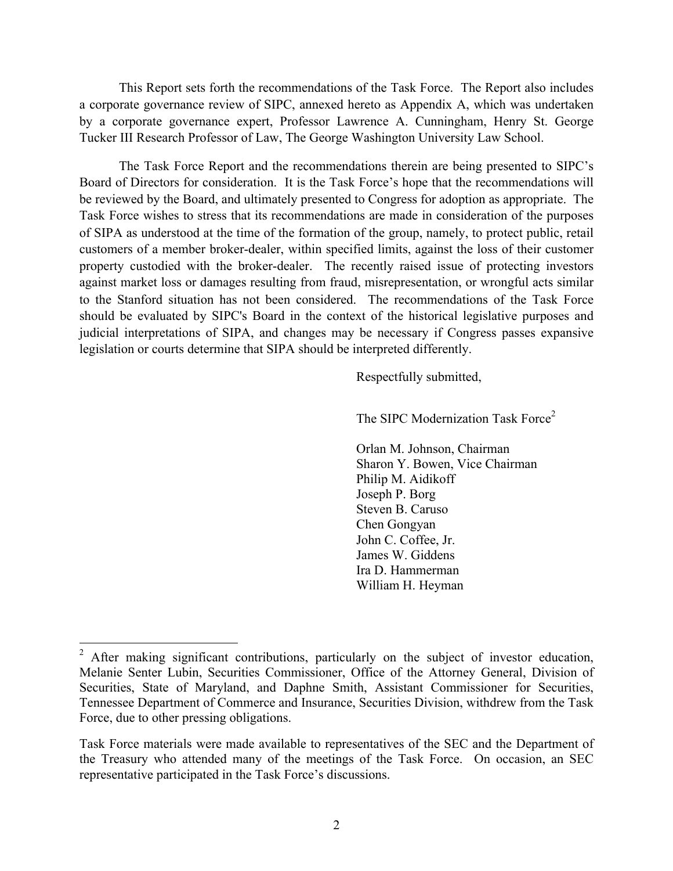This Report sets forth the recommendations of the Task Force. The Report also includes a corporate governance review of SIPC, annexed hereto as Appendix A, which was undertaken by a corporate governance expert, Professor Lawrence A. Cunningham, Henry St. George Tucker III Research Professor of Law, The George Washington University Law School.

The Task Force Report and the recommendations therein are being presented to SIPC's Board of Directors for consideration. It is the Task Force's hope that the recommendations will be reviewed by the Board, and ultimately presented to Congress for adoption as appropriate. The Task Force wishes to stress that its recommendations are made in consideration of the purposes of SIPA as understood at the time of the formation of the group, namely, to protect public, retail customers of a member broker-dealer, within specified limits, against the loss of their customer property custodied with the broker-dealer. The recently raised issue of protecting investors against market loss or damages resulting from fraud, misrepresentation, or wrongful acts similar to the Stanford situation has not been considered. The recommendations of the Task Force should be evaluated by SIPC's Board in the context of the historical legislative purposes and judicial interpretations of SIPA, and changes may be necessary if Congress passes expansive legislation or courts determine that SIPA should be interpreted differently.

Respectfully submitted,

The SIPC Modernization Task Force<sup>2</sup>

Orlan M. Johnson, Chairman Sharon Y. Bowen, Vice Chairman Philip M. Aidikoff Joseph P. Borg Steven B. Caruso Chen Gongyan John C. Coffee, Jr. James W. Giddens Ira D. Hammerman William H. Heyman

<sup>&</sup>lt;sup>2</sup> After making significant contributions, particularly on the subject of investor education, Melanie Senter Lubin, Securities Commissioner, Office of the Attorney General, Division of Securities, State of Maryland, and Daphne Smith, Assistant Commissioner for Securities, Tennessee Department of Commerce and Insurance, Securities Division, withdrew from the Task Force, due to other pressing obligations.

Task Force materials were made available to representatives of the SEC and the Department of the Treasury who attended many of the meetings of the Task Force. On occasion, an SEC representative participated in the Task Force's discussions.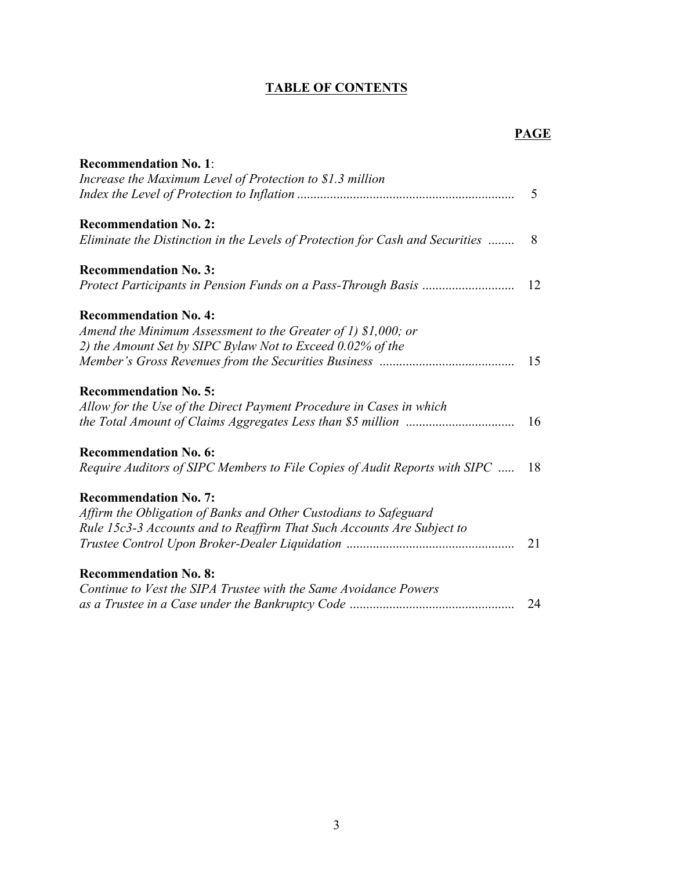# **TABLE OF CONTENTS**

# **PAGE**

| <b>Recommendation No. 1:</b>                                                  |     |
|-------------------------------------------------------------------------------|-----|
| Increase the Maximum Level of Protection to \$1.3 million                     |     |
|                                                                               | 5   |
| <b>Recommendation No. 2:</b>                                                  |     |
| Eliminate the Distinction in the Levels of Protection for Cash and Securities | - 8 |
| <b>Recommendation No. 3:</b>                                                  |     |
|                                                                               | 12  |
| <b>Recommendation No. 4:</b>                                                  |     |
| Amend the Minimum Assessment to the Greater of 1) $$1,000$ ; or               |     |
| 2) the Amount Set by SIPC Bylaw Not to Exceed 0.02% of the                    |     |
|                                                                               | 15  |
| <b>Recommendation No. 5:</b>                                                  |     |
| Allow for the Use of the Direct Payment Procedure in Cases in which           |     |
|                                                                               | 16  |
| <b>Recommendation No. 6:</b>                                                  |     |
| Require Auditors of SIPC Members to File Copies of Audit Reports with SIPC    | 18  |
| <b>Recommendation No. 7:</b>                                                  |     |
| Affirm the Obligation of Banks and Other Custodians to Safeguard              |     |
| Rule 15c3-3 Accounts and to Reaffirm That Such Accounts Are Subject to        |     |
|                                                                               | 21  |
| <b>Recommendation No. 8:</b>                                                  |     |
| Continue to Vest the SIPA Trustee with the Same Avoidance Powers              |     |
|                                                                               | 24  |
|                                                                               |     |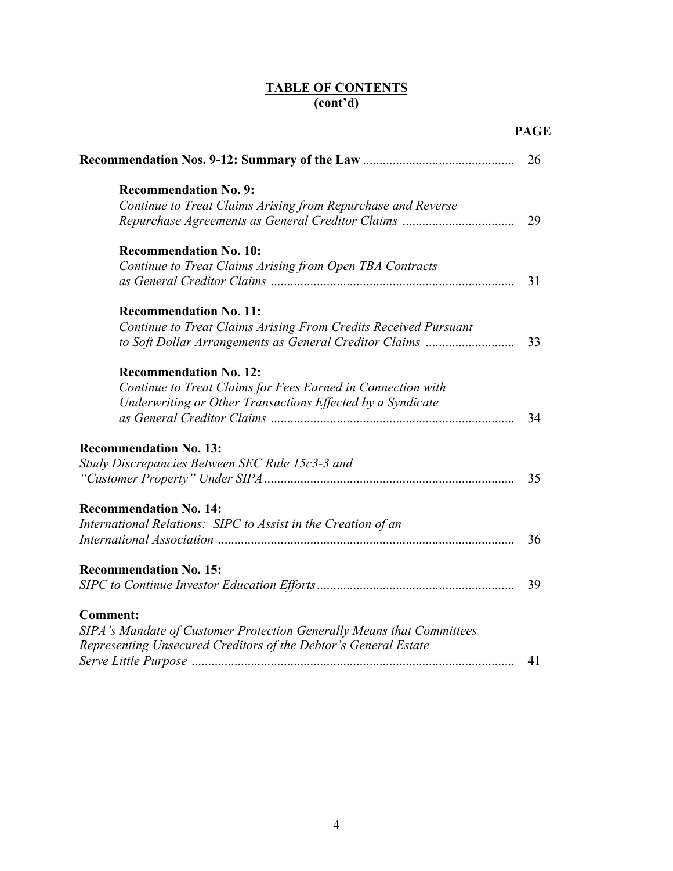# **TABLE OF CONTENTS (cont'd)**

|                                                                       | <b>PAGE</b> |
|-----------------------------------------------------------------------|-------------|
|                                                                       | 26          |
| <b>Recommendation No. 9:</b>                                          |             |
| Continue to Treat Claims Arising from Repurchase and Reverse          |             |
|                                                                       | 29          |
| <b>Recommendation No. 10:</b>                                         |             |
| Continue to Treat Claims Arising from Open TBA Contracts              |             |
|                                                                       | 31          |
| <b>Recommendation No. 11:</b>                                         |             |
| Continue to Treat Claims Arising From Credits Received Pursuant       |             |
| to Soft Dollar Arrangements as General Creditor Claims                | 33          |
| <b>Recommendation No. 12:</b>                                         |             |
| Continue to Treat Claims for Fees Earned in Connection with           |             |
| Underwriting or Other Transactions Effected by a Syndicate            |             |
|                                                                       | 34          |
| <b>Recommendation No. 13:</b>                                         |             |
| Study Discrepancies Between SEC Rule 15c3-3 and                       |             |
|                                                                       | 35          |
| <b>Recommendation No. 14:</b>                                         |             |
| International Relations: SIPC to Assist in the Creation of an         |             |
|                                                                       | 36          |
| <b>Recommendation No. 15:</b>                                         |             |
|                                                                       | 39          |
| <b>Comment:</b>                                                       |             |
| SIPA's Mandate of Customer Protection Generally Means that Committees |             |
| Representing Unsecured Creditors of the Debtor's General Estate       |             |
|                                                                       | 41          |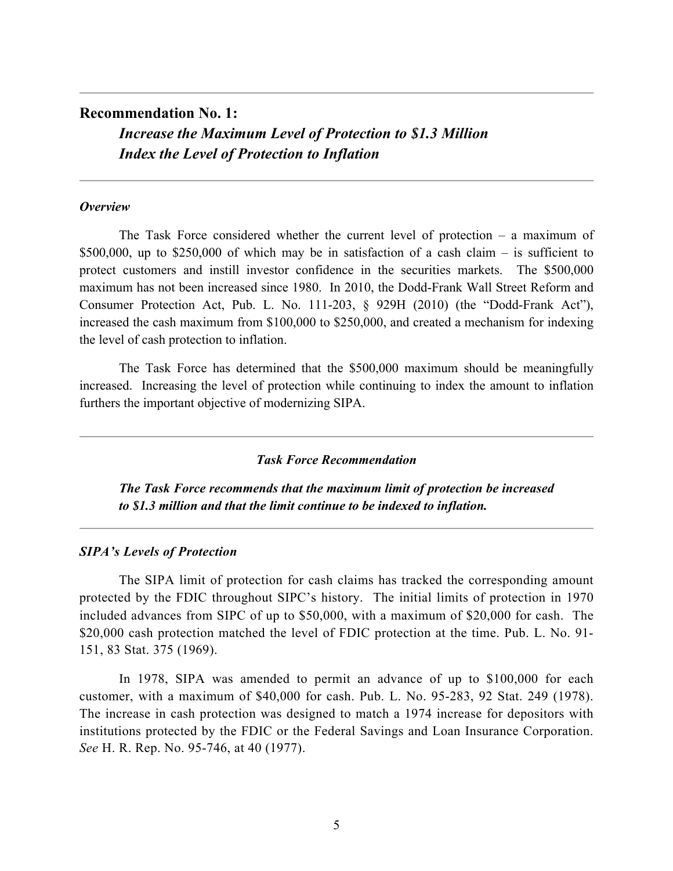# **Recommendation No. 1:** *Increase the Maximum Level of Protection to \$1.3 Million Index the Level of Protection to Inflation*

#### *Overview*

The Task Force considered whether the current level of protection – a maximum of \$500,000, up to \$250,000 of which may be in satisfaction of a cash claim – is sufficient to protect customers and instill investor confidence in the securities markets. The \$500,000 maximum has not been increased since 1980. In 2010, the Dodd-Frank Wall Street Reform and Consumer Protection Act, Pub. L. No. 111-203, § 929H (2010) (the "Dodd-Frank Act"), increased the cash maximum from \$100,000 to \$250,000, and created a mechanism for indexing the level of cash protection to inflation.

The Task Force has determined that the \$500,000 maximum should be meaningfully increased. Increasing the level of protection while continuing to index the amount to inflation furthers the important objective of modernizing SIPA.

#### *Task Force Recommendation*

*The Task Force recommends that the maximum limit of protection be increased to \$1.3 million and that the limit continue to be indexed to inflation.* 

#### *SIPA's Levels of Protection*

The SIPA limit of protection for cash claims has tracked the corresponding amount protected by the FDIC throughout SIPC's history. The initial limits of protection in 1970 included advances from SIPC of up to \$50,000, with a maximum of \$20,000 for cash. The \$20,000 cash protection matched the level of FDIC protection at the time. Pub. L. No. 91-151, 83 Stat. 375 (1969).

In 1978, SIPA was amended to permit an advance of up to \$100,000 for each customer, with a maximum of \$40,000 for cash. Pub. L. No. 95-283, 92 Stat. 249 (1978). The increase in cash protection was designed to match a 1974 increase for depositors with institutions protected by the FDIC or the Federal Savings and Loan Insurance Corporation. *See* H. R. Rep. No. 95-746, at 40 (1977).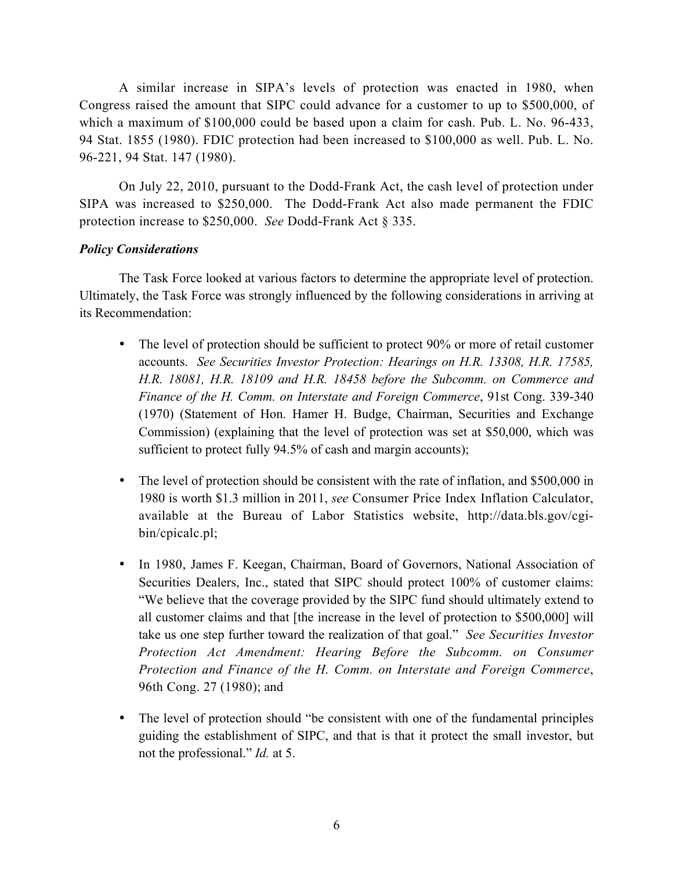A similar increase in SIPA's levels of protection was enacted in 1980, when Congress raised the amount that SIPC could advance for a customer to up to \$500,000, of which a maximum of \$100,000 could be based upon a claim for cash. Pub. L. No. 96-433, 94 Stat. 1855 (1980). FDIC protection had been increased to \$100,000 as well. Pub. L. No. 96-221, 94 Stat. 147 (1980).

On July 22, 2010, pursuant to the Dodd-Frank Act, the cash level of protection under SIPA was increased to \$250,000. The Dodd-Frank Act also made permanent the FDIC protection increase to \$250,000. *See* Dodd-Frank Act § 335.

# *Policy Considerations*

The Task Force looked at various factors to determine the appropriate level of protection. Ultimately, the Task Force was strongly influenced by the following considerations in arriving at its Recommendation:

- The level of protection should be sufficient to protect 90% or more of retail customer accounts. *See Securities Investor Protection: Hearings on H.R. 13308, H.R. 17585, H.R. 18081, H.R. 18109 and H.R. 18458 before the Subcomm. on Commerce and Finance of the H. Comm. on Interstate and Foreign Commerce*, 91st Cong. 339-340 (1970) (Statement of Hon. Hamer H. Budge, Chairman, Securities and Exchange Commission) (explaining that the level of protection was set at \$50,000, which was sufficient to protect fully 94.5% of cash and margin accounts);
- The level of protection should be consistent with the rate of inflation, and \$500,000 in 1980 is worth \$1.3 million in 2011, *see* Consumer Price Index Inflation Calculator, available at the Bureau of Labor Statistics website, http://data.bls.gov/cgibin/cpicalc.pl;
- In 1980, James F. Keegan, Chairman, Board of Governors, National Association of Securities Dealers, Inc., stated that SIPC should protect 100% of customer claims: "We believe that the coverage provided by the SIPC fund should ultimately extend to all customer claims and that [the increase in the level of protection to \$500,000] will take us one step further toward the realization of that goal." *See Securities Investor Protection Act Amendment: Hearing Before the Subcomm. on Consumer Protection and Finance of the H. Comm. on Interstate and Foreign Commerce*, 96th Cong. 27 (1980); and
- The level of protection should "be consistent with one of the fundamental principles guiding the establishment of SIPC, and that is that it protect the small investor, but not the professional." *Id.* at 5.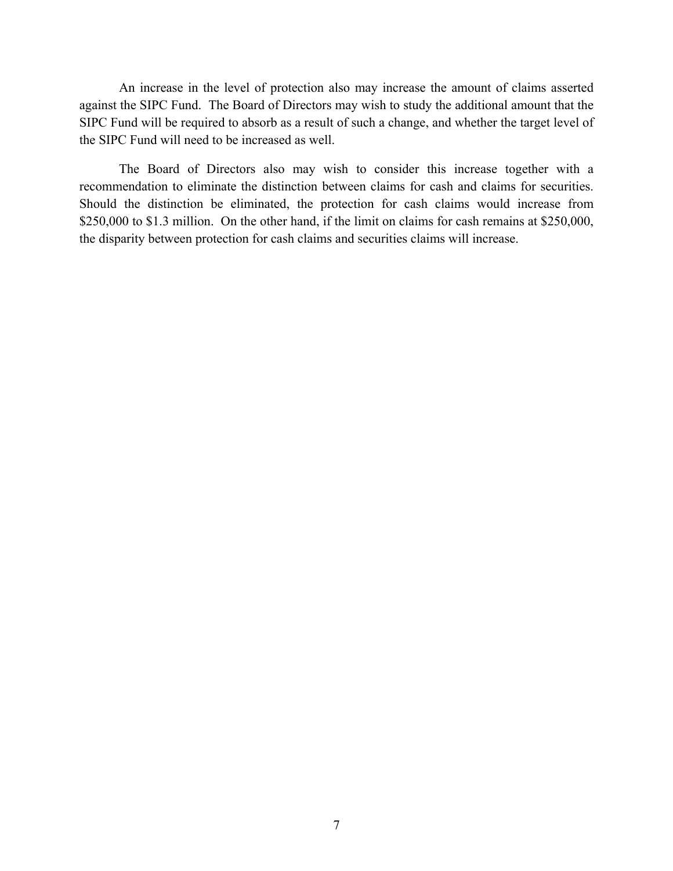An increase in the level of protection also may increase the amount of claims asserted against the SIPC Fund. The Board of Directors may wish to study the additional amount that the SIPC Fund will be required to absorb as a result of such a change, and whether the target level of the SIPC Fund will need to be increased as well.

The Board of Directors also may wish to consider this increase together with a recommendation to eliminate the distinction between claims for cash and claims for securities. Should the distinction be eliminated, the protection for cash claims would increase from \$250,000 to \$1.3 million. On the other hand, if the limit on claims for cash remains at \$250,000, the disparity between protection for cash claims and securities claims will increase.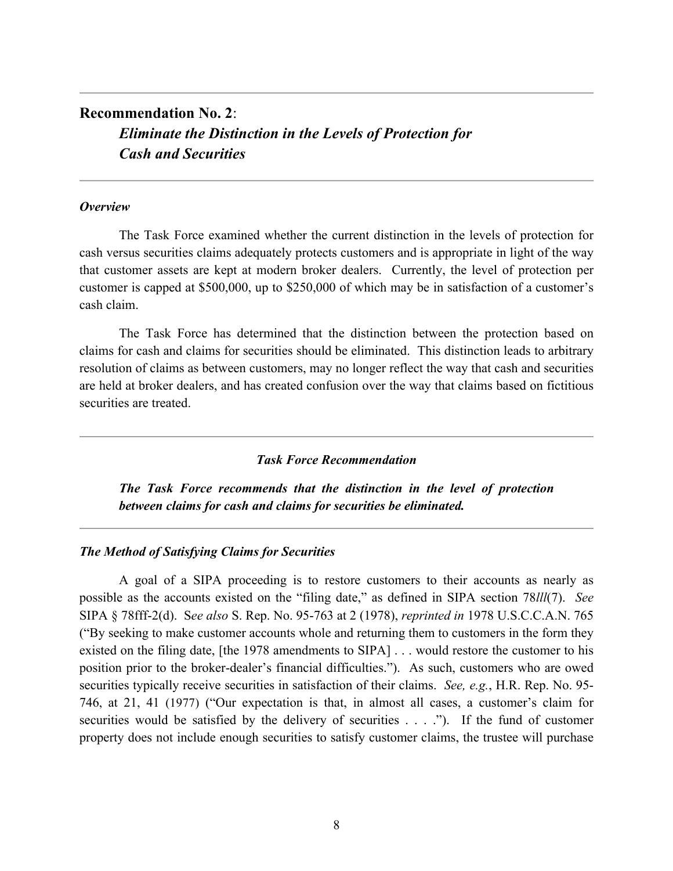# **Recommendation No. 2**: *Eliminate the Distinction in the Levels of Protection for Cash and Securities*

#### *Overview*

The Task Force examined whether the current distinction in the levels of protection for cash versus securities claims adequately protects customers and is appropriate in light of the way that customer assets are kept at modern broker dealers. Currently, the level of protection per customer is capped at \$500,000, up to \$250,000 of which may be in satisfaction of a customer's cash claim.

The Task Force has determined that the distinction between the protection based on claims for cash and claims for securities should be eliminated. This distinction leads to arbitrary resolution of claims as between customers, may no longer reflect the way that cash and securities are held at broker dealers, and has created confusion over the way that claims based on fictitious securities are treated.

# *Task Force Recommendation*

*The Task Force recommends that the distinction in the level of protection between claims for cash and claims for securities be eliminated.* 

## *The Method of Satisfying Claims for Securities*

A goal of a SIPA proceeding is to restore customers to their accounts as nearly as possible as the accounts existed on the "filing date," as defined in SIPA section 78*lll*(7). *See*  SIPA § 78fff-2(d). S*ee also* S. Rep. No. 95-763 at 2 (1978), *reprinted in* 1978 U.S.C.C.A.N. 765 ("By seeking to make customer accounts whole and returning them to customers in the form they existed on the filing date, [the 1978 amendments to SIPA] . . . would restore the customer to his position prior to the broker-dealer's financial difficulties."). As such, customers who are owed securities typically receive securities in satisfaction of their claims. *See, e.g.*, H.R. Rep. No. 95- 746, at 21, 41 (1977) ("Our expectation is that, in almost all cases, a customer's claim for securities would be satisfied by the delivery of securities . . . ."). If the fund of customer property does not include enough securities to satisfy customer claims, the trustee will purchase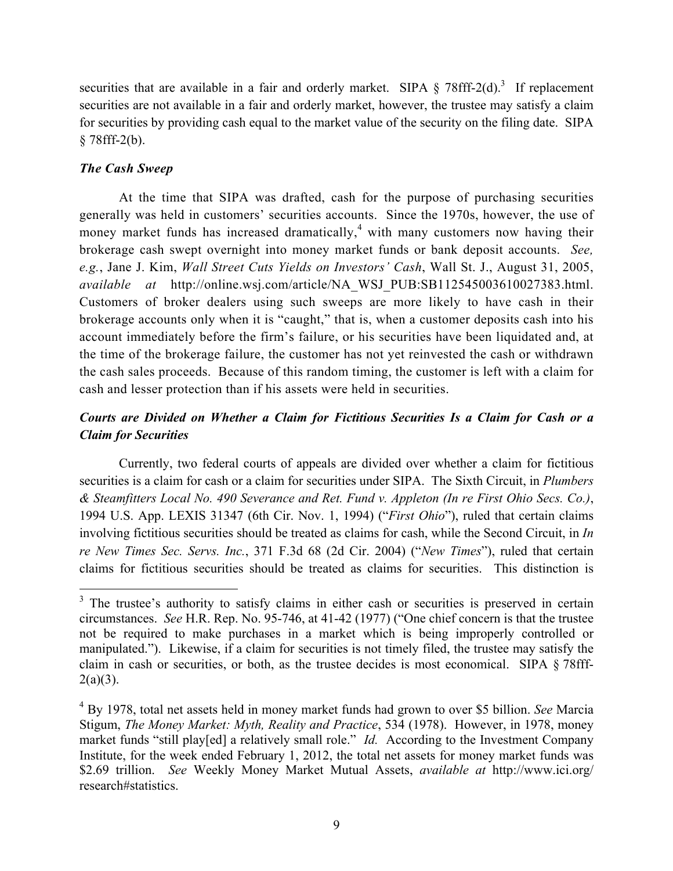securities that are available in a fair and orderly market. SIPA  $\S$  78fff-2(d).<sup>3</sup> If replacement securities are not available in a fair and orderly market, however, the trustee may satisfy a claim for securities by providing cash equal to the market value of the security on the filing date. SIPA  $§ 78$ fff-2(b).

# *The Cash Sweep*

At the time that SIPA was drafted, cash for the purpose of purchasing securities generally was held in customers' securities accounts. Since the 1970s, however, the use of money market funds has increased dramatically, $4$  with many customers now having their brokerage cash swept overnight into money market funds or bank deposit accounts. *See, e.g.*, Jane J. Kim, *Wall Street Cuts Yields on Investors' Cash*, Wall St. J., August 31, 2005, *available at* http://online.wsj.com/article/NA\_WSJ\_PUB:SB112545003610027383.html. Customers of broker dealers using such sweeps are more likely to have cash in their brokerage accounts only when it is "caught," that is, when a customer deposits cash into his account immediately before the firm's failure, or his securities have been liquidated and, at the time of the brokerage failure, the customer has not yet reinvested the cash or withdrawn the cash sales proceeds. Because of this random timing, the customer is left with a claim for cash and lesser protection than if his assets were held in securities.

# *Courts are Divided on Whether a Claim for Fictitious Securities Is a Claim for Cash or a Claim for Securities*

Currently, two federal courts of appeals are divided over whether a claim for fictitious securities is a claim for cash or a claim for securities under SIPA. The Sixth Circuit, in *Plumbers & Steamfitters Local No. 490 Severance and Ret. Fund v. Appleton (In re First Ohio Secs. Co.)*, 1994 U.S. App. LEXIS 31347 (6th Cir. Nov. 1, 1994) ("*First Ohio*"), ruled that certain claims involving fictitious securities should be treated as claims for cash, while the Second Circuit, in *In re New Times Sec. Servs. Inc.*, 371 F.3d 68 (2d Cir. 2004) ("*New Times*"), ruled that certain claims for fictitious securities should be treated as claims for securities. This distinction is

<sup>&</sup>lt;sup>3</sup> The trustee's authority to satisfy claims in either cash or securities is preserved in certain circumstances. *See* H.R. Rep. No. 95-746, at 41-42 (1977) ("One chief concern is that the trustee not be required to make purchases in a market which is being improperly controlled or manipulated."). Likewise, if a claim for securities is not timely filed, the trustee may satisfy the claim in cash or securities, or both, as the trustee decides is most economical. SIPA § 78fff- $2(a)(3)$ .

<sup>4</sup> By 1978, total net assets held in money market funds had grown to over \$5 billion. *See* Marcia Stigum, *The Money Market: Myth, Reality and Practice*, 534 (1978). However, in 1978, money market funds "still play[ed] a relatively small role." *Id.* According to the Investment Company Institute, for the week ended February 1, 2012, the total net assets for money market funds was \$2.69 trillion. *See* Weekly Money Market Mutual Assets, *available at* http://www.ici.org/ research#statistics.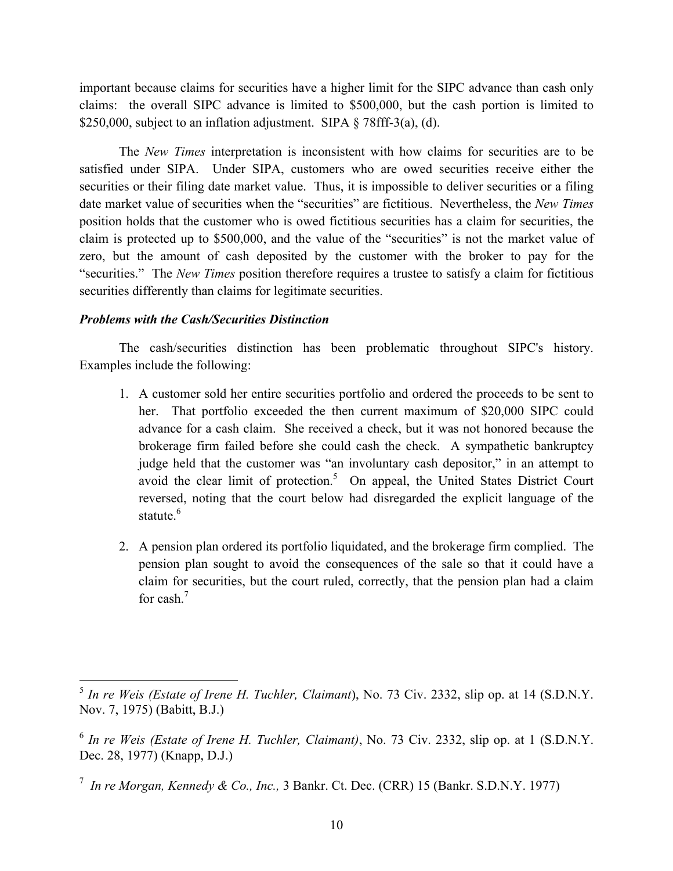important because claims for securities have a higher limit for the SIPC advance than cash only claims: the overall SIPC advance is limited to \$500,000, but the cash portion is limited to \$250,000, subject to an inflation adjustment. SIPA  $\S$  78fff-3(a), (d).

The *New Times* interpretation is inconsistent with how claims for securities are to be satisfied under SIPA. Under SIPA, customers who are owed securities receive either the securities or their filing date market value. Thus, it is impossible to deliver securities or a filing date market value of securities when the "securities" are fictitious. Nevertheless, the *New Times* position holds that the customer who is owed fictitious securities has a claim for securities, the claim is protected up to \$500,000, and the value of the "securities" is not the market value of zero, but the amount of cash deposited by the customer with the broker to pay for the "securities." The *New Times* position therefore requires a trustee to satisfy a claim for fictitious securities differently than claims for legitimate securities.

# *Problems with the Cash/Securities Distinction*

The cash/securities distinction has been problematic throughout SIPC's history. Examples include the following:

- 1. A customer sold her entire securities portfolio and ordered the proceeds to be sent to her. That portfolio exceeded the then current maximum of \$20,000 SIPC could advance for a cash claim. She received a check, but it was not honored because the brokerage firm failed before she could cash the check. A sympathetic bankruptcy judge held that the customer was "an involuntary cash depositor," in an attempt to avoid the clear limit of protection.<sup>5</sup> On appeal, the United States District Court reversed, noting that the court below had disregarded the explicit language of the statute.<sup>6</sup>
- 2. A pension plan ordered its portfolio liquidated, and the brokerage firm complied. The pension plan sought to avoid the consequences of the sale so that it could have a claim for securities, but the court ruled, correctly, that the pension plan had a claim for cash.7

 <sup>5</sup> *In re Weis (Estate of Irene H. Tuchler, Claimant*), No. 73 Civ. 2332, slip op. at 14 (S.D.N.Y. Nov. 7, 1975) (Babitt, B.J.)

<sup>6</sup> *In re Weis (Estate of Irene H. Tuchler, Claimant)*, No. 73 Civ. 2332, slip op. at 1 (S.D.N.Y. Dec. 28, 1977) (Knapp, D.J.)

<sup>7</sup> *In re Morgan, Kennedy & Co., Inc.,* 3 Bankr. Ct. Dec. (CRR) 15 (Bankr. S.D.N.Y. 1977)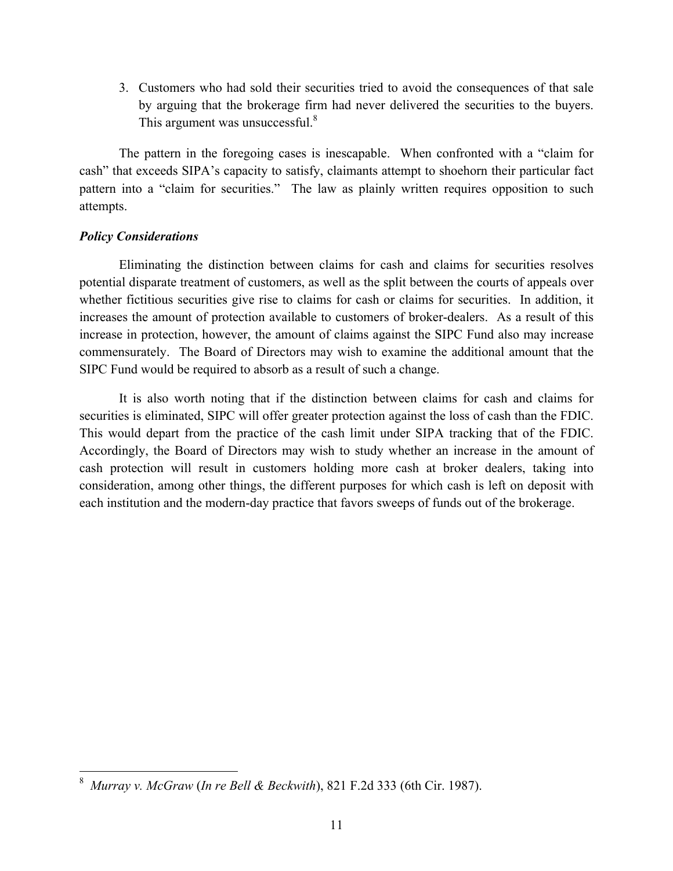3. Customers who had sold their securities tried to avoid the consequences of that sale by arguing that the brokerage firm had never delivered the securities to the buyers. This argument was unsuccessful.<sup>8</sup>

The pattern in the foregoing cases is inescapable. When confronted with a "claim for cash" that exceeds SIPA's capacity to satisfy, claimants attempt to shoehorn their particular fact pattern into a "claim for securities." The law as plainly written requires opposition to such attempts.

# *Policy Considerations*

Eliminating the distinction between claims for cash and claims for securities resolves potential disparate treatment of customers, as well as the split between the courts of appeals over whether fictitious securities give rise to claims for cash or claims for securities. In addition, it increases the amount of protection available to customers of broker-dealers. As a result of this increase in protection, however, the amount of claims against the SIPC Fund also may increase commensurately. The Board of Directors may wish to examine the additional amount that the SIPC Fund would be required to absorb as a result of such a change.

It is also worth noting that if the distinction between claims for cash and claims for securities is eliminated, SIPC will offer greater protection against the loss of cash than the FDIC. This would depart from the practice of the cash limit under SIPA tracking that of the FDIC. Accordingly, the Board of Directors may wish to study whether an increase in the amount of cash protection will result in customers holding more cash at broker dealers, taking into consideration, among other things, the different purposes for which cash is left on deposit with each institution and the modern-day practice that favors sweeps of funds out of the brokerage.

 $\frac{1}{8}$ *Murray v. McGraw* (*In re Bell & Beckwith*), 821 F.2d 333 (6th Cir. 1987).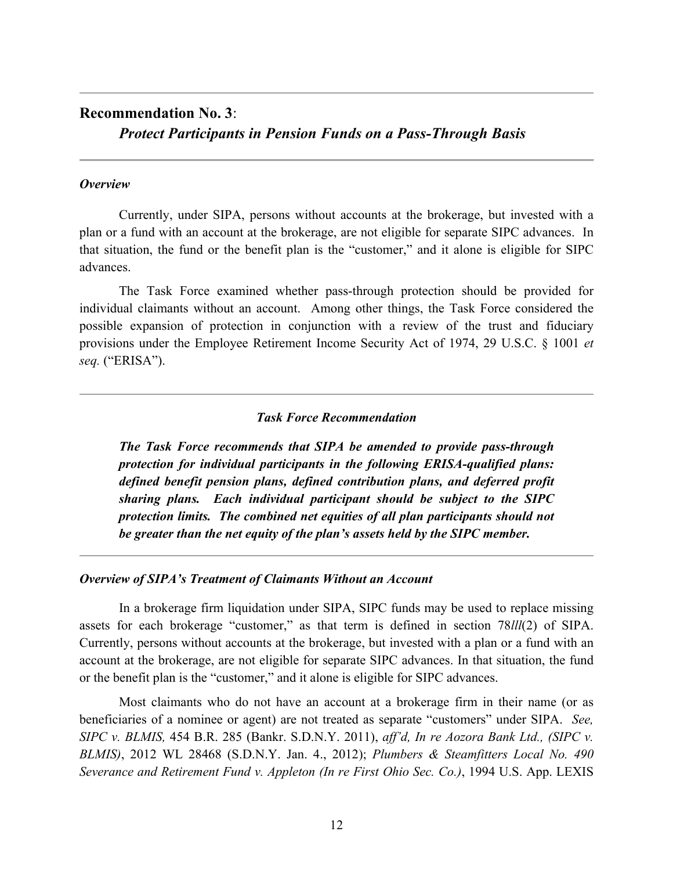# **Recommendation No. 3**:

*Protect Participants in Pension Funds on a Pass-Through Basis*

#### *Overview*

Currently, under SIPA, persons without accounts at the brokerage, but invested with a plan or a fund with an account at the brokerage, are not eligible for separate SIPC advances. In that situation, the fund or the benefit plan is the "customer," and it alone is eligible for SIPC advances.

The Task Force examined whether pass-through protection should be provided for individual claimants without an account. Among other things, the Task Force considered the possible expansion of protection in conjunction with a review of the trust and fiduciary provisions under the Employee Retirement Income Security Act of 1974, 29 U.S.C. § 1001 *et seq.* ("ERISA").

#### *Task Force Recommendation*

*The Task Force recommends that SIPA be amended to provide pass-through protection for individual participants in the following ERISA-qualified plans: defined benefit pension plans, defined contribution plans, and deferred profit sharing plans. Each individual participant should be subject to the SIPC protection limits. The combined net equities of all plan participants should not be greater than the net equity of the plan's assets held by the SIPC member.* 

#### *Overview of SIPA's Treatment of Claimants Without an Account*

In a brokerage firm liquidation under SIPA, SIPC funds may be used to replace missing assets for each brokerage "customer," as that term is defined in section 78*lll*(2) of SIPA. Currently, persons without accounts at the brokerage, but invested with a plan or a fund with an account at the brokerage, are not eligible for separate SIPC advances. In that situation, the fund or the benefit plan is the "customer," and it alone is eligible for SIPC advances.

Most claimants who do not have an account at a brokerage firm in their name (or as beneficiaries of a nominee or agent) are not treated as separate "customers" under SIPA. *See, SIPC v. BLMIS,* 454 B.R. 285 (Bankr. S.D.N.Y. 2011), *aff'd, In re Aozora Bank Ltd., (SIPC v. BLMIS)*, 2012 WL 28468 (S.D.N.Y. Jan. 4., 2012); *Plumbers & Steamfitters Local No. 490 Severance and Retirement Fund v. Appleton (In re First Ohio Sec. Co.)*, 1994 U.S. App. LEXIS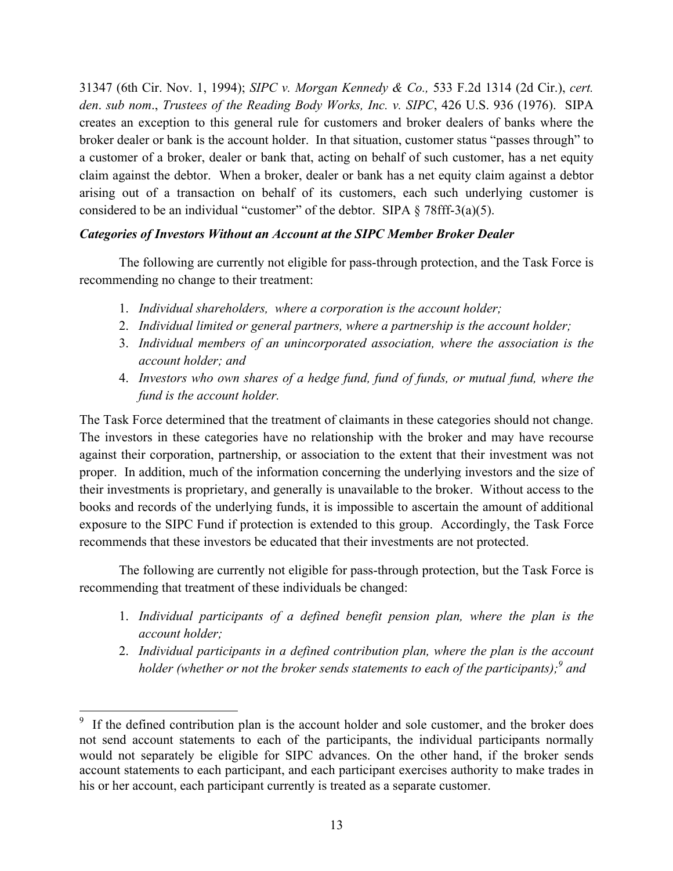31347 (6th Cir. Nov. 1, 1994); *SIPC v. Morgan Kennedy & Co.,* 533 F.2d 1314 (2d Cir.), *cert. den*. *sub nom*., *Trustees of the Reading Body Works, Inc. v. SIPC*, 426 U.S. 936 (1976). SIPA creates an exception to this general rule for customers and broker dealers of banks where the broker dealer or bank is the account holder. In that situation, customer status "passes through" to a customer of a broker, dealer or bank that, acting on behalf of such customer, has a net equity claim against the debtor. When a broker, dealer or bank has a net equity claim against a debtor arising out of a transaction on behalf of its customers, each such underlying customer is considered to be an individual "customer" of the debtor. SIPA  $\S$  78fff-3(a)(5).

# *Categories of Investors Without an Account at the SIPC Member Broker Dealer*

The following are currently not eligible for pass-through protection, and the Task Force is recommending no change to their treatment:

- 1. *Individual shareholders, where a corporation is the account holder;*
- 2. *Individual limited or general partners, where a partnership is the account holder;*
- 3. *Individual members of an unincorporated association, where the association is the account holder; and*
- 4. *Investors who own shares of a hedge fund, fund of funds, or mutual fund, where the fund is the account holder.*

The Task Force determined that the treatment of claimants in these categories should not change. The investors in these categories have no relationship with the broker and may have recourse against their corporation, partnership, or association to the extent that their investment was not proper. In addition, much of the information concerning the underlying investors and the size of their investments is proprietary, and generally is unavailable to the broker. Without access to the books and records of the underlying funds, it is impossible to ascertain the amount of additional exposure to the SIPC Fund if protection is extended to this group.Accordingly, the Task Force recommends that these investors be educated that their investments are not protected.

The following are currently not eligible for pass-through protection, but the Task Force is recommending that treatment of these individuals be changed:

- 1. *Individual participants of a defined benefit pension plan, where the plan is the account holder;*
- 2. *Individual participants in a defined contribution plan, where the plan is the account holder (whether or not the broker sends statements to each of the participants); <sup>9</sup> and*

<sup>&</sup>lt;sup>9</sup> If the defined contribution plan is the account holder and sole customer, and the broker does not send account statements to each of the participants, the individual participants normally would not separately be eligible for SIPC advances. On the other hand, if the broker sends account statements to each participant, and each participant exercises authority to make trades in his or her account, each participant currently is treated as a separate customer.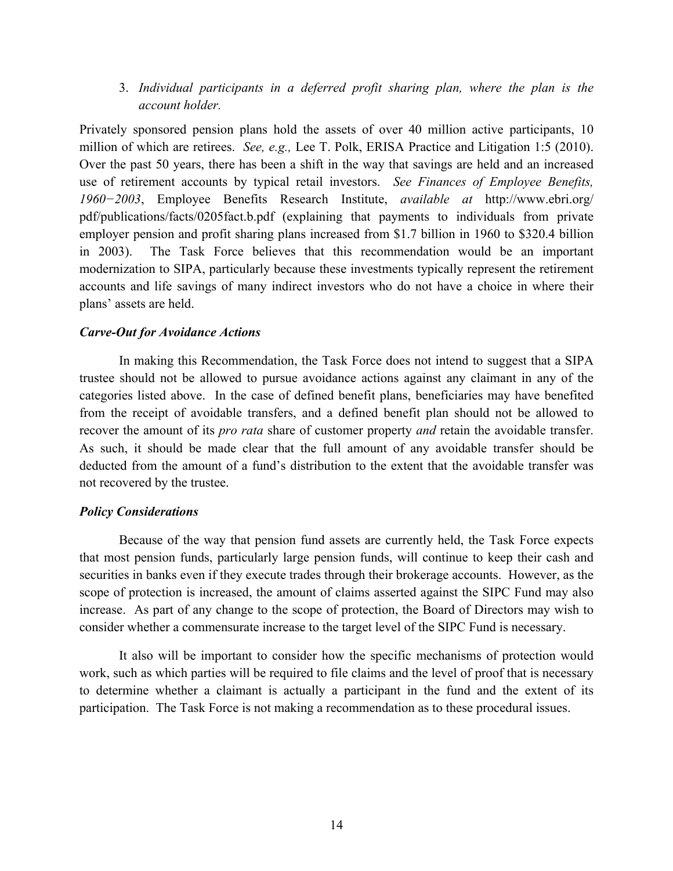3. *Individual participants in a deferred profit sharing plan, where the plan is the account holder.* 

Privately sponsored pension plans hold the assets of over 40 million active participants, 10 million of which are retirees. *See, e.g.,* Lee T. Polk, ERISA Practice and Litigation 1:5 (2010). Over the past 50 years, there has been a shift in the way that savings are held and an increased use of retirement accounts by typical retail investors. *See Finances of Employee Benefits, 1960−2003*, Employee Benefits Research Institute, *available at* http://www.ebri.org/ pdf/publications/facts/0205fact.b.pdf (explaining that payments to individuals from private employer pension and profit sharing plans increased from \$1.7 billion in 1960 to \$320.4 billion in 2003).The Task Force believes that this recommendation would be an important modernization to SIPA, particularly because these investments typically represent the retirement accounts and life savings of many indirect investors who do not have a choice in where their plans' assets are held.

#### *Carve-Out for Avoidance Actions*

In making this Recommendation, the Task Force does not intend to suggest that a SIPA trustee should not be allowed to pursue avoidance actions against any claimant in any of the categories listed above. In the case of defined benefit plans, beneficiaries may have benefited from the receipt of avoidable transfers, and a defined benefit plan should not be allowed to recover the amount of its *pro rata* share of customer property *and* retain the avoidable transfer. As such, it should be made clear that the full amount of any avoidable transfer should be deducted from the amount of a fund's distribution to the extent that the avoidable transfer was not recovered by the trustee.

#### *Policy Considerations*

Because of the way that pension fund assets are currently held, the Task Force expects that most pension funds, particularly large pension funds, will continue to keep their cash and securities in banks even if they execute trades through their brokerage accounts. However, as the scope of protection is increased, the amount of claims asserted against the SIPC Fund may also increase. As part of any change to the scope of protection, the Board of Directors may wish to consider whether a commensurate increase to the target level of the SIPC Fund is necessary.

It also will be important to consider how the specific mechanisms of protection would work, such as which parties will be required to file claims and the level of proof that is necessary to determine whether a claimant is actually a participant in the fund and the extent of its participation. The Task Force is not making a recommendation as to these procedural issues.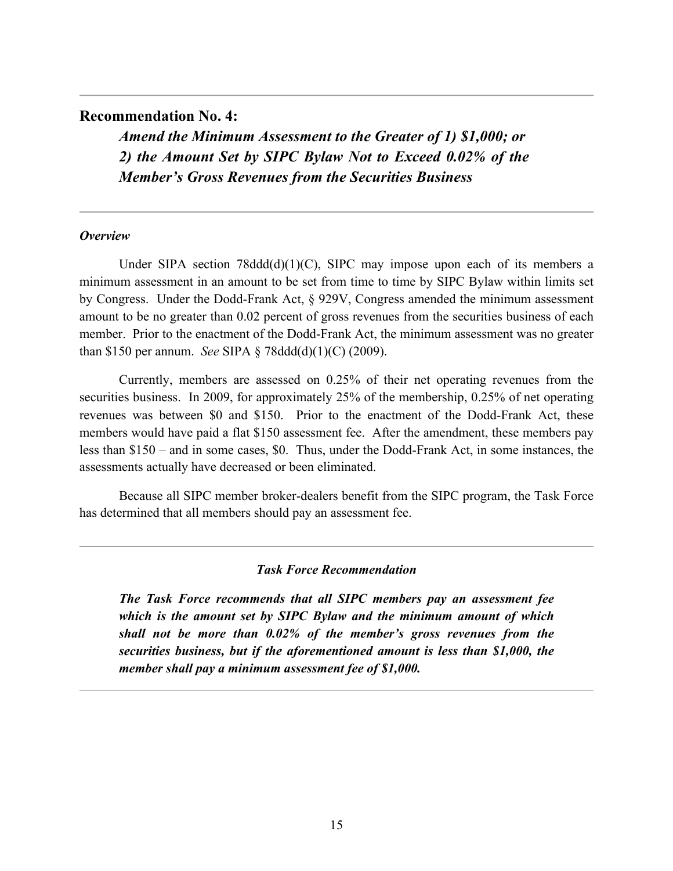# **Recommendation No. 4:**

*Amend the Minimum Assessment to the Greater of 1) \$1,000; or 2) the Amount Set by SIPC Bylaw Not to Exceed 0.02% of the Member's Gross Revenues from the Securities Business*

# *Overview*

Under SIPA section  $78d\frac{d\frac{d\binom{d}{l}}{l}}{l}$  SIPC may impose upon each of its members a minimum assessment in an amount to be set from time to time by SIPC Bylaw within limits set by Congress. Under the Dodd-Frank Act, § 929V, Congress amended the minimum assessment amount to be no greater than 0.02 percent of gross revenues from the securities business of each member. Prior to the enactment of the Dodd-Frank Act, the minimum assessment was no greater than \$150 per annum. *See* SIPA § 78ddd(d)(1)(C) (2009).

Currently, members are assessed on 0.25% of their net operating revenues from the securities business. In 2009, for approximately 25% of the membership, 0.25% of net operating revenues was between \$0 and \$150. Prior to the enactment of the Dodd-Frank Act, these members would have paid a flat \$150 assessment fee. After the amendment, these members pay less than \$150 – and in some cases, \$0. Thus, under the Dodd-Frank Act, in some instances, the assessments actually have decreased or been eliminated.

Because all SIPC member broker-dealers benefit from the SIPC program, the Task Force has determined that all members should pay an assessment fee.

#### *Task Force Recommendation*

*The Task Force recommends that all SIPC members pay an assessment fee which is the amount set by SIPC Bylaw and the minimum amount of which shall not be more than 0.02% of the member's gross revenues from the securities business, but if the aforementioned amount is less than \$1,000, the member shall pay a minimum assessment fee of \$1,000.*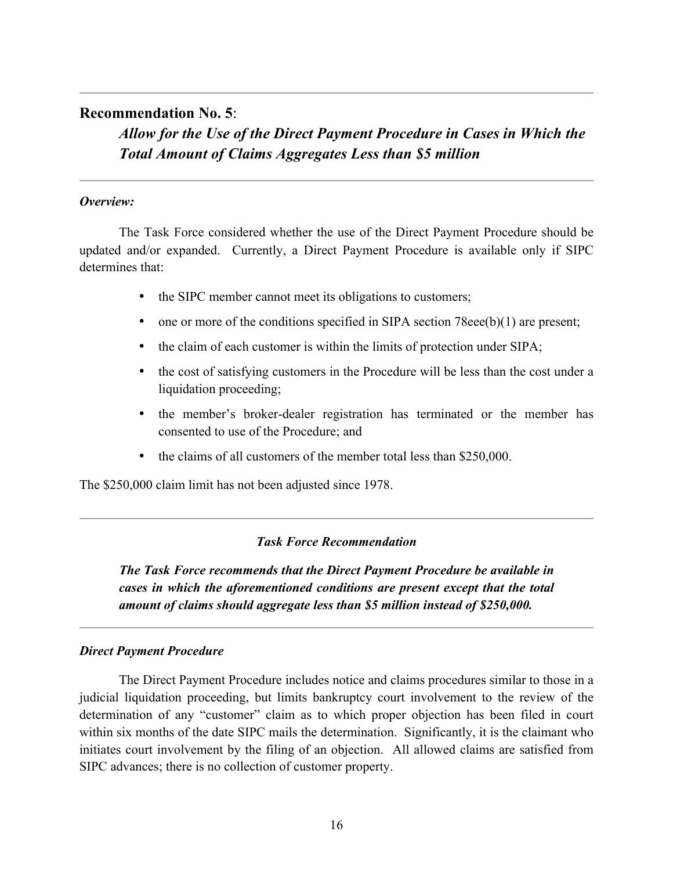# **Recommendation No. 5**:

*Allow for the Use of the Direct Payment Procedure in Cases in Which the Total Amount of Claims Aggregates Less than \$5 million* 

# *Overview:*

The Task Force considered whether the use of the Direct Payment Procedure should be updated and/or expanded. Currently, a Direct Payment Procedure is available only if SIPC determines that:

- the SIPC member cannot meet its obligations to customers;
- one or more of the conditions specified in SIPA section 78eee(b)(1) are present;
- the claim of each customer is within the limits of protection under SIPA;
- the cost of satisfying customers in the Procedure will be less than the cost under a liquidation proceeding;
- the member's broker-dealer registration has terminated or the member has consented to use of the Procedure; and
- the claims of all customers of the member total less than \$250,000.

The \$250,000 claim limit has not been adjusted since 1978.

# *Task Force Recommendation*

*The Task Force recommends that the Direct Payment Procedure be available in cases in which the aforementioned conditions are present except that the total amount of claims should aggregate less than \$5 million instead of \$250,000.* 

# *Direct Payment Procedure*

The Direct Payment Procedure includes notice and claims procedures similar to those in a judicial liquidation proceeding, but limits bankruptcy court involvement to the review of the determination of any "customer" claim as to which proper objection has been filed in court within six months of the date SIPC mails the determination. Significantly, it is the claimant who initiates court involvement by the filing of an objection. All allowed claims are satisfied from SIPC advances; there is no collection of customer property.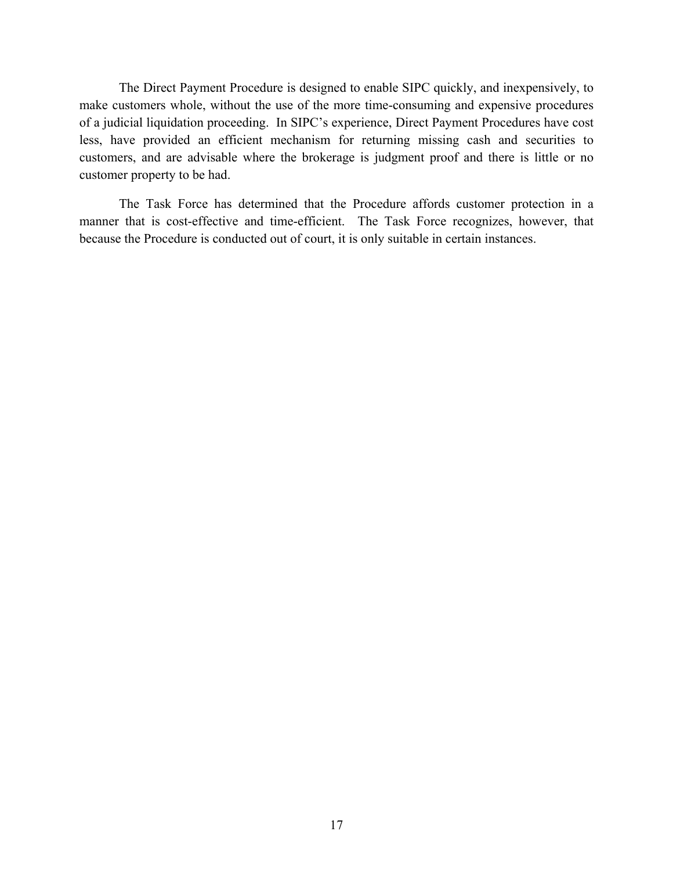The Direct Payment Procedure is designed to enable SIPC quickly, and inexpensively, to make customers whole, without the use of the more time-consuming and expensive procedures of a judicial liquidation proceeding. In SIPC's experience, Direct Payment Procedures have cost less, have provided an efficient mechanism for returning missing cash and securities to customers, and are advisable where the brokerage is judgment proof and there is little or no customer property to be had.

The Task Force has determined that the Procedure affords customer protection in a manner that is cost-effective and time-efficient. The Task Force recognizes, however, that because the Procedure is conducted out of court, it is only suitable in certain instances.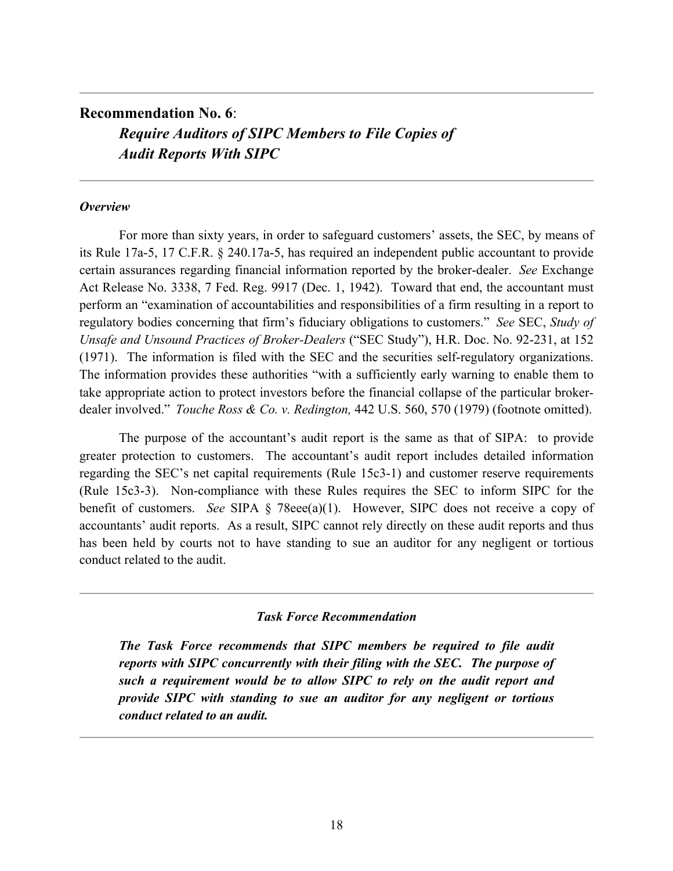# **Recommendation No. 6**: *Require Auditors of SIPC Members to File Copies of Audit Reports With SIPC*

#### *Overview*

For more than sixty years, in order to safeguard customers' assets, the SEC, by means of its Rule 17a-5, 17 C.F.R. § 240.17a-5, has required an independent public accountant to provide certain assurances regarding financial information reported by the broker-dealer. *See* Exchange Act Release No. 3338, 7 Fed. Reg. 9917 (Dec. 1, 1942). Toward that end, the accountant must perform an "examination of accountabilities and responsibilities of a firm resulting in a report to regulatory bodies concerning that firm's fiduciary obligations to customers." *See* SEC, *Study of Unsafe and Unsound Practices of Broker-Dealers* ("SEC Study"), H.R. Doc. No. 92-231, at 152 (1971). The information is filed with the SEC and the securities self-regulatory organizations. The information provides these authorities "with a sufficiently early warning to enable them to take appropriate action to protect investors before the financial collapse of the particular brokerdealer involved." *Touche Ross & Co. v. Redington,* 442 U.S. 560, 570 (1979) (footnote omitted).

The purpose of the accountant's audit report is the same as that of SIPA: to provide greater protection to customers. The accountant's audit report includes detailed information regarding the SEC's net capital requirements (Rule 15c3-1) and customer reserve requirements (Rule 15c3-3). Non-compliance with these Rules requires the SEC to inform SIPC for the benefit of customers. *See* SIPA § 78eee(a)(1). However, SIPC does not receive a copy of accountants' audit reports. As a result, SIPC cannot rely directly on these audit reports and thus has been held by courts not to have standing to sue an auditor for any negligent or tortious conduct related to the audit.

# *Task Force Recommendation*

*The Task Force recommends that SIPC members be required to file audit reports with SIPC concurrently with their filing with the SEC. The purpose of such a requirement would be to allow SIPC to rely on the audit report and provide SIPC with standing to sue an auditor for any negligent or tortious conduct related to an audit.*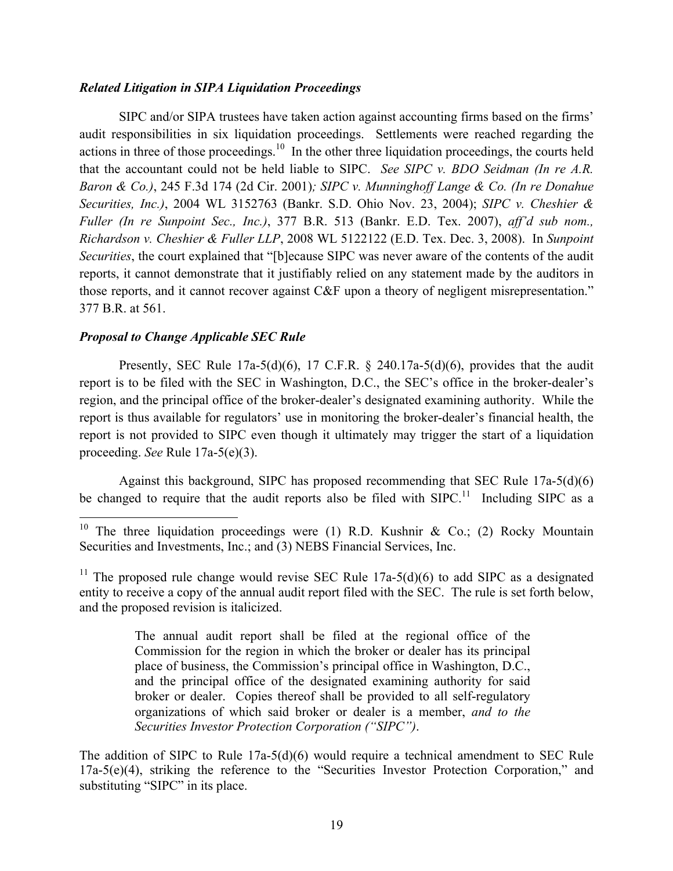# *Related Litigation in SIPA Liquidation Proceedings*

SIPC and/or SIPA trustees have taken action against accounting firms based on the firms' audit responsibilities in six liquidation proceedings. Settlements were reached regarding the actions in three of those proceedings.<sup>10</sup> In the other three liquidation proceedings, the courts held that the accountant could not be held liable to SIPC. *See SIPC v. BDO Seidman (In re A.R. Baron & Co.)*, 245 F.3d 174 (2d Cir. 2001)*; SIPC v. Munninghoff Lange & Co. (In re Donahue Securities, Inc.)*, 2004 WL 3152763 (Bankr. S.D. Ohio Nov. 23, 2004); *SIPC v. Cheshier & Fuller (In re Sunpoint Sec., Inc.)*, 377 B.R. 513 (Bankr. E.D. Tex. 2007), *aff'd sub nom., Richardson v. Cheshier & Fuller LLP*, 2008 WL 5122122 (E.D. Tex. Dec. 3, 2008). In *Sunpoint Securities*, the court explained that "[b]ecause SIPC was never aware of the contents of the audit reports, it cannot demonstrate that it justifiably relied on any statement made by the auditors in those reports, and it cannot recover against C&F upon a theory of negligent misrepresentation." 377 B.R. at 561.

# *Proposal to Change Applicable SEC Rule*

Presently, SEC Rule  $17a-5(d)(6)$ , 17 C.F.R. § 240.17a-5(d)(6), provides that the audit report is to be filed with the SEC in Washington, D.C., the SEC's office in the broker-dealer's region, and the principal office of the broker-dealer's designated examining authority. While the report is thus available for regulators' use in monitoring the broker-dealer's financial health, the report is not provided to SIPC even though it ultimately may trigger the start of a liquidation proceeding. *See* Rule 17a-5(e)(3).

Against this background, SIPC has proposed recommending that SEC Rule 17a-5(d)(6) be changed to require that the audit reports also be filed with  $SIPC$ <sup>11</sup> Including SIPC as a

<sup>11</sup> The proposed rule change would revise SEC Rule 17a-5(d)(6) to add SIPC as a designated entity to receive a copy of the annual audit report filed with the SEC. The rule is set forth below, and the proposed revision is italicized.

> The annual audit report shall be filed at the regional office of the Commission for the region in which the broker or dealer has its principal place of business, the Commission's principal office in Washington, D.C., and the principal office of the designated examining authority for said broker or dealer. Copies thereof shall be provided to all self-regulatory organizations of which said broker or dealer is a member, *and to the Securities Investor Protection Corporation ("SIPC")*.

The addition of SIPC to Rule 17a-5(d)(6) would require a technical amendment to SEC Rule 17a-5(e)(4), striking the reference to the "Securities Investor Protection Corporation," and substituting "SIPC" in its place.

<sup>&</sup>lt;sup>10</sup> The three liquidation proceedings were (1) R.D. Kushnir & Co.; (2) Rocky Mountain Securities and Investments, Inc.; and (3) NEBS Financial Services, Inc.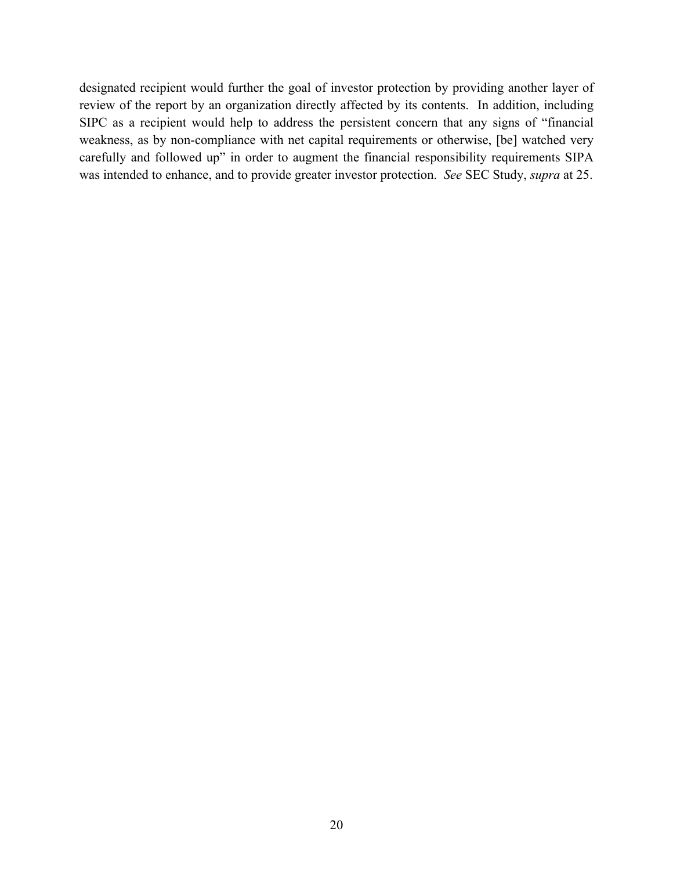designated recipient would further the goal of investor protection by providing another layer of review of the report by an organization directly affected by its contents. In addition, including SIPC as a recipient would help to address the persistent concern that any signs of "financial weakness, as by non-compliance with net capital requirements or otherwise, [be] watched very carefully and followed up" in order to augment the financial responsibility requirements SIPA was intended to enhance, and to provide greater investor protection. *See* SEC Study, *supra* at 25.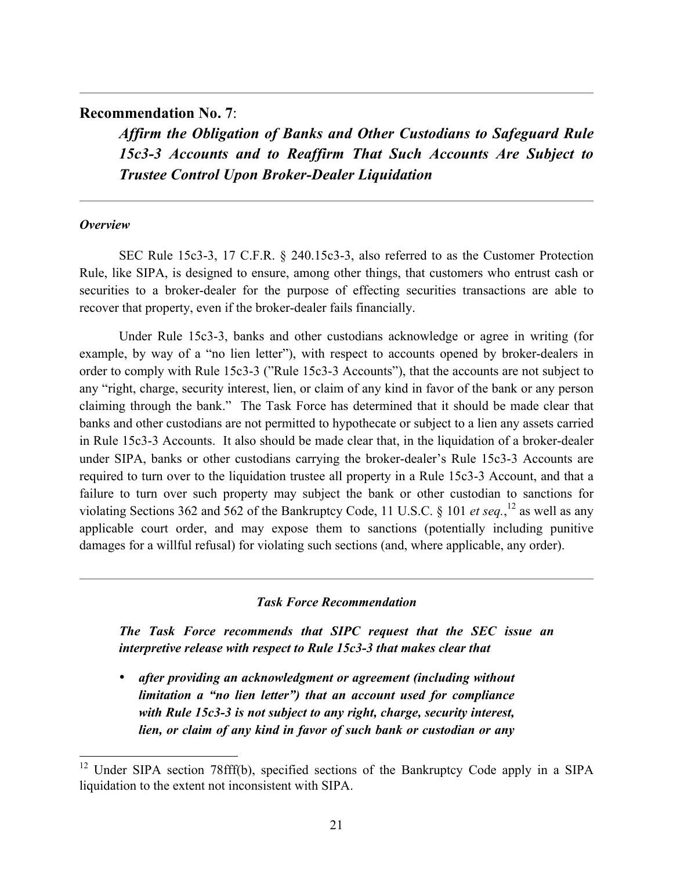# **Recommendation No. 7**:

*Affirm the Obligation of Banks and Other Custodians to Safeguard Rule 15c3-3 Accounts and to Reaffirm That Such Accounts Are Subject to Trustee Control Upon Broker-Dealer Liquidation*

# *Overview*

SEC Rule 15c3-3, 17 C.F.R. § 240.15c3-3, also referred to as the Customer Protection Rule, like SIPA, is designed to ensure, among other things, that customers who entrust cash or securities to a broker-dealer for the purpose of effecting securities transactions are able to recover that property, even if the broker-dealer fails financially.

Under Rule 15c3-3, banks and other custodians acknowledge or agree in writing (for example, by way of a "no lien letter"), with respect to accounts opened by broker-dealers in order to comply with Rule 15c3-3 ("Rule 15c3-3 Accounts"), that the accounts are not subject to any "right, charge, security interest, lien, or claim of any kind in favor of the bank or any person claiming through the bank." The Task Force has determined that it should be made clear that banks and other custodians are not permitted to hypothecate or subject to a lien any assets carried in Rule 15c3-3 Accounts. It also should be made clear that, in the liquidation of a broker-dealer under SIPA, banks or other custodians carrying the broker-dealer's Rule 15c3-3 Accounts are required to turn over to the liquidation trustee all property in a Rule 15c3-3 Account, and that a failure to turn over such property may subject the bank or other custodian to sanctions for violating Sections 362 and 562 of the Bankruptcy Code, 11 U.S.C.  $\S$  101 *et seq.*,<sup>12</sup> as well as any applicable court order, and may expose them to sanctions (potentially including punitive damages for a willful refusal) for violating such sections (and, where applicable, any order).

#### *Task Force Recommendation*

*The Task Force recommends that SIPC request that the SEC issue an interpretive release with respect to Rule 15c3-3 that makes clear that* 

• *after providing an acknowledgment or agreement (including without limitation a "no lien letter") that an account used for compliance with Rule 15c3-3 is not subject to any right, charge, security interest, lien, or claim of any kind in favor of such bank or custodian or any* 

<sup>&</sup>lt;sup>12</sup> Under SIPA section 78fff(b), specified sections of the Bankruptcy Code apply in a SIPA liquidation to the extent not inconsistent with SIPA.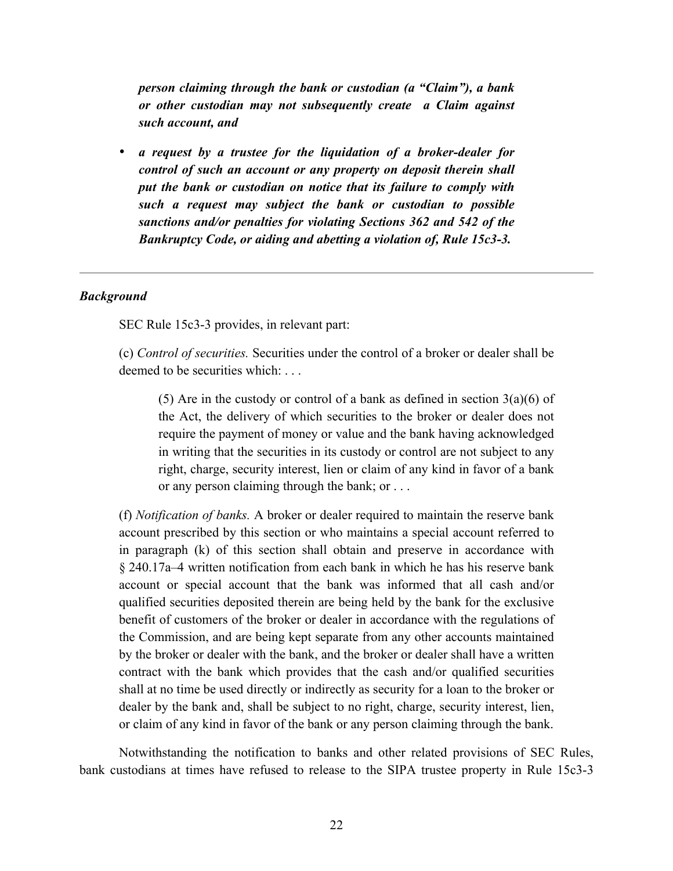*person claiming through the bank or custodian (a "Claim"), a bank or other custodian may not subsequently create a Claim against such account, and* 

• *a request by a trustee for the liquidation of a broker-dealer for control of such an account or any property on deposit therein shall put the bank or custodian on notice that its failure to comply with such a request may subject the bank or custodian to possible sanctions and/or penalties for violating Sections 362 and 542 of the Bankruptcy Code, or aiding and abetting a violation of, Rule 15c3-3.*

#### *Background*

SEC Rule 15c3-3 provides, in relevant part:

(c) *Control of securities.* Securities under the control of a broker or dealer shall be deemed to be securities which: ...

(5) Are in the custody or control of a bank as defined in section  $3(a)(6)$  of the Act, the delivery of which securities to the broker or dealer does not require the payment of money or value and the bank having acknowledged in writing that the securities in its custody or control are not subject to any right, charge, security interest, lien or claim of any kind in favor of a bank or any person claiming through the bank; or . . .

(f) *Notification of banks.* A broker or dealer required to maintain the reserve bank account prescribed by this section or who maintains a special account referred to in paragraph (k) of this section shall obtain and preserve in accordance with § 240.17a–4 written notification from each bank in which he has his reserve bank account or special account that the bank was informed that all cash and/or qualified securities deposited therein are being held by the bank for the exclusive benefit of customers of the broker or dealer in accordance with the regulations of the Commission, and are being kept separate from any other accounts maintained by the broker or dealer with the bank, and the broker or dealer shall have a written contract with the bank which provides that the cash and/or qualified securities shall at no time be used directly or indirectly as security for a loan to the broker or dealer by the bank and, shall be subject to no right, charge, security interest, lien, or claim of any kind in favor of the bank or any person claiming through the bank.

Notwithstanding the notification to banks and other related provisions of SEC Rules, bank custodians at times have refused to release to the SIPA trustee property in Rule 15c3-3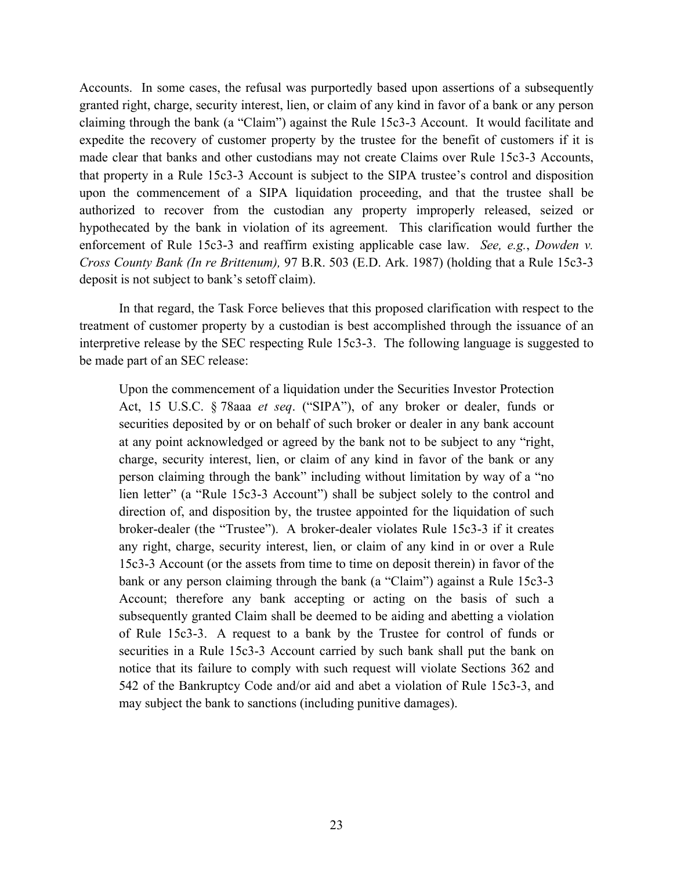Accounts. In some cases, the refusal was purportedly based upon assertions of a subsequently granted right, charge, security interest, lien, or claim of any kind in favor of a bank or any person claiming through the bank (a "Claim") against the Rule 15c3-3 Account. It would facilitate and expedite the recovery of customer property by the trustee for the benefit of customers if it is made clear that banks and other custodians may not create Claims over Rule 15c3-3 Accounts, that property in a Rule 15c3-3 Account is subject to the SIPA trustee's control and disposition upon the commencement of a SIPA liquidation proceeding, and that the trustee shall be authorized to recover from the custodian any property improperly released, seized or hypothecated by the bank in violation of its agreement. This clarification would further the enforcement of Rule 15c3-3 and reaffirm existing applicable case law. *See, e.g.*, *Dowden v. Cross County Bank (In re Brittenum),* 97 B.R. 503 (E.D. Ark. 1987) (holding that a Rule 15c3-3 deposit is not subject to bank's setoff claim).

In that regard, the Task Force believes that this proposed clarification with respect to the treatment of customer property by a custodian is best accomplished through the issuance of an interpretive release by the SEC respecting Rule 15c3-3. The following language is suggested to be made part of an SEC release:

Upon the commencement of a liquidation under the Securities Investor Protection Act, 15 U.S.C. § 78aaa *et seq*. ("SIPA"), of any broker or dealer, funds or securities deposited by or on behalf of such broker or dealer in any bank account at any point acknowledged or agreed by the bank not to be subject to any "right, charge, security interest, lien, or claim of any kind in favor of the bank or any person claiming through the bank" including without limitation by way of a "no lien letter" (a "Rule 15c3-3 Account") shall be subject solely to the control and direction of, and disposition by, the trustee appointed for the liquidation of such broker-dealer (the "Trustee"). A broker-dealer violates Rule 15c3-3 if it creates any right, charge, security interest, lien, or claim of any kind in or over a Rule 15c3-3 Account (or the assets from time to time on deposit therein) in favor of the bank or any person claiming through the bank (a "Claim") against a Rule 15c3-3 Account; therefore any bank accepting or acting on the basis of such a subsequently granted Claim shall be deemed to be aiding and abetting a violation of Rule 15c3-3. A request to a bank by the Trustee for control of funds or securities in a Rule 15c3-3 Account carried by such bank shall put the bank on notice that its failure to comply with such request will violate Sections 362 and 542 of the Bankruptcy Code and/or aid and abet a violation of Rule 15c3-3, and may subject the bank to sanctions (including punitive damages).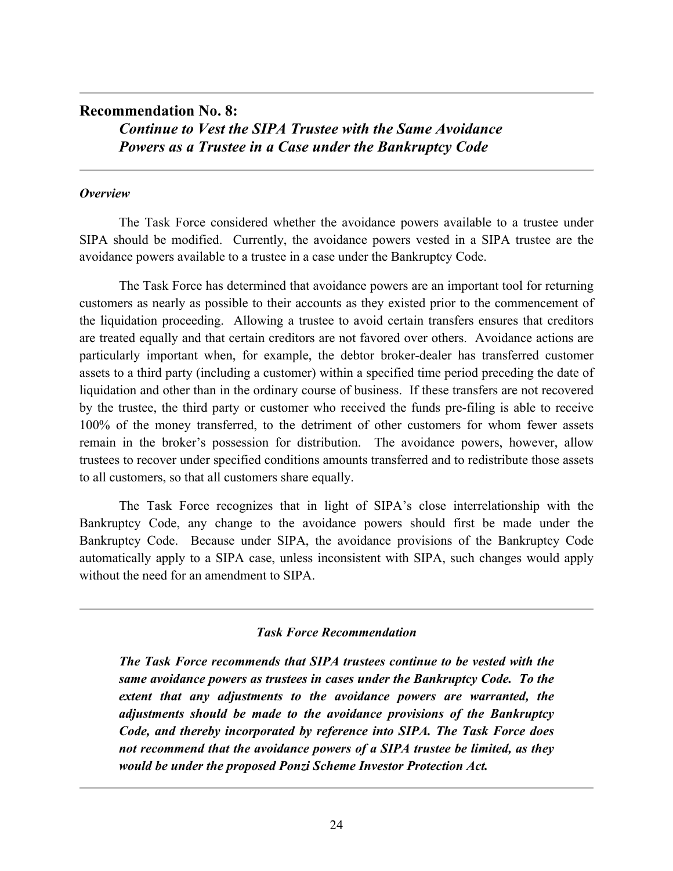# **Recommendation No. 8:** *Continue to Vest the SIPA Trustee with the Same Avoidance Powers as a Trustee in a Case under the Bankruptcy Code*

# *Overview*

The Task Force considered whether the avoidance powers available to a trustee under SIPA should be modified. Currently, the avoidance powers vested in a SIPA trustee are the avoidance powers available to a trustee in a case under the Bankruptcy Code.

The Task Force has determined that avoidance powers are an important tool for returning customers as nearly as possible to their accounts as they existed prior to the commencement of the liquidation proceeding. Allowing a trustee to avoid certain transfers ensures that creditors are treated equally and that certain creditors are not favored over others. Avoidance actions are particularly important when, for example, the debtor broker-dealer has transferred customer assets to a third party (including a customer) within a specified time period preceding the date of liquidation and other than in the ordinary course of business. If these transfers are not recovered by the trustee, the third party or customer who received the funds pre-filing is able to receive 100% of the money transferred, to the detriment of other customers for whom fewer assets remain in the broker's possession for distribution. The avoidance powers, however, allow trustees to recover under specified conditions amounts transferred and to redistribute those assets to all customers, so that all customers share equally.

The Task Force recognizes that in light of SIPA's close interrelationship with the Bankruptcy Code, any change to the avoidance powers should first be made under the Bankruptcy Code. Because under SIPA, the avoidance provisions of the Bankruptcy Code automatically apply to a SIPA case, unless inconsistent with SIPA, such changes would apply without the need for an amendment to SIPA.

# *Task Force Recommendation*

*The Task Force recommends that SIPA trustees continue to be vested with the same avoidance powers as trustees in cases under the Bankruptcy Code. To the extent that any adjustments to the avoidance powers are warranted, the adjustments should be made to the avoidance provisions of the Bankruptcy Code, and thereby incorporated by reference into SIPA. The Task Force does not recommend that the avoidance powers of a SIPA trustee be limited, as they would be under the proposed Ponzi Scheme Investor Protection Act.*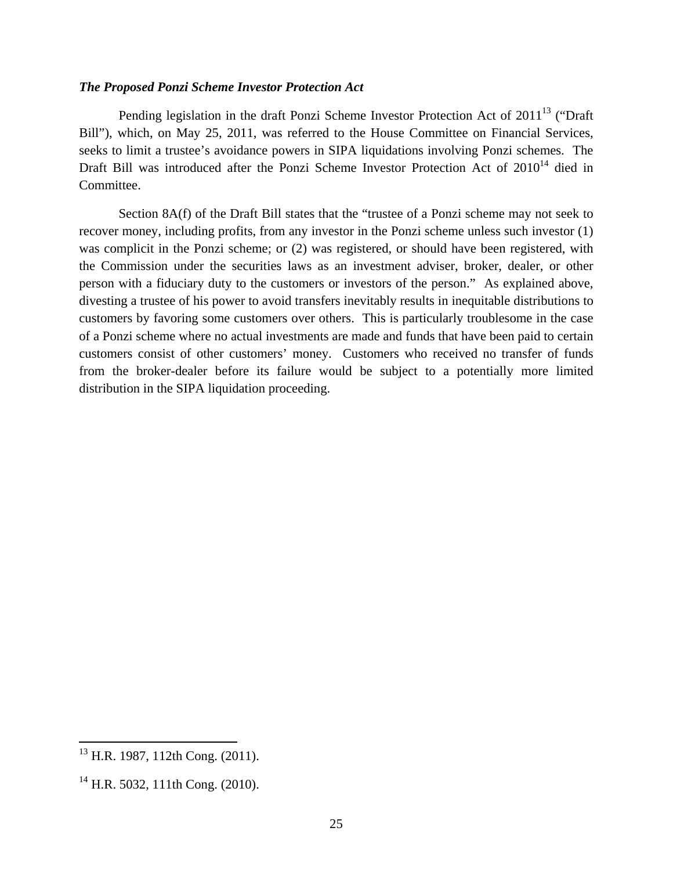#### *The Proposed Ponzi Scheme Investor Protection Act*

Pending legislation in the draft Ponzi Scheme Investor Protection Act of  $2011^{13}$  ("Draft") Bill"), which, on May 25, 2011, was referred to the House Committee on Financial Services, seeks to limit a trustee's avoidance powers in SIPA liquidations involving Ponzi schemes. The Draft Bill was introduced after the Ponzi Scheme Investor Protection Act of  $2010<sup>14</sup>$  died in Committee.

Section 8A(f) of the Draft Bill states that the "trustee of a Ponzi scheme may not seek to recover money, including profits, from any investor in the Ponzi scheme unless such investor (1) was complicit in the Ponzi scheme; or (2) was registered, or should have been registered, with the Commission under the securities laws as an investment adviser, broker, dealer, or other person with a fiduciary duty to the customers or investors of the person." As explained above, divesting a trustee of his power to avoid transfers inevitably results in inequitable distributions to customers by favoring some customers over others. This is particularly troublesome in the case of a Ponzi scheme where no actual investments are made and funds that have been paid to certain customers consist of other customers' money. Customers who received no transfer of funds from the broker-dealer before its failure would be subject to a potentially more limited distribution in the SIPA liquidation proceeding.

<u>.</u>

<sup>&</sup>lt;sup>13</sup> H.R. 1987, 112th Cong. (2011).

 $^{14}$  H.R. 5032, 111th Cong. (2010).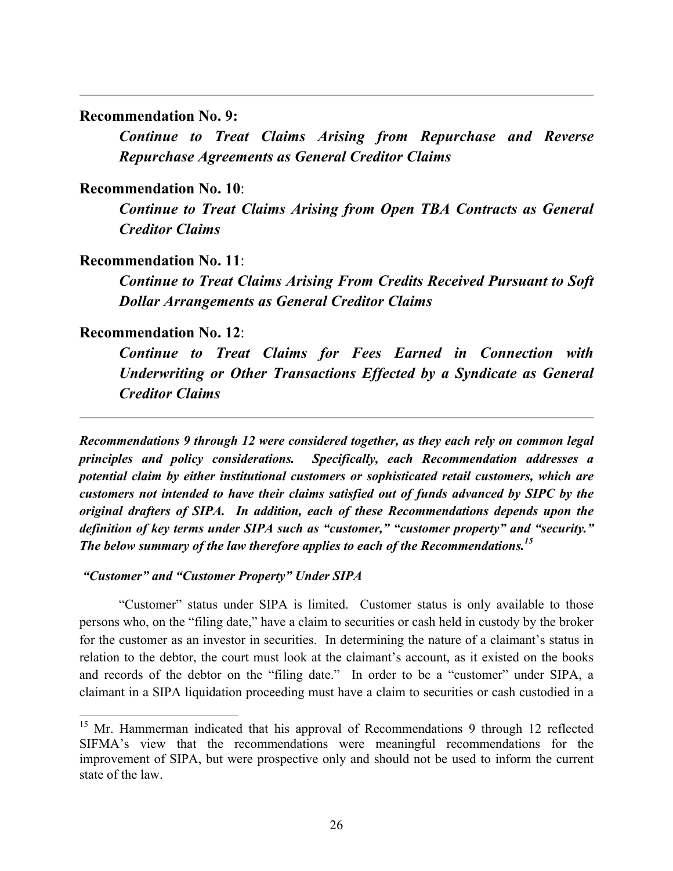## **Recommendation No. 9:**

*Continue to Treat Claims Arising from Repurchase and Reverse Repurchase Agreements as General Creditor Claims*

## **Recommendation No. 10**:

*Continue to Treat Claims Arising from Open TBA Contracts as General Creditor Claims*

## **Recommendation No. 11**:

*Continue to Treat Claims Arising From Credits Received Pursuant to Soft Dollar Arrangements as General Creditor Claims*

## **Recommendation No. 12**:

*Continue to Treat Claims for Fees Earned in Connection with Underwriting or Other Transactions Effected by a Syndicate as General Creditor Claims*

*Recommendations 9 through 12 were considered together, as they each rely on common legal principles and policy considerations. Specifically, each Recommendation addresses a potential claim by either institutional customers or sophisticated retail customers, which are customers not intended to have their claims satisfied out of funds advanced by SIPC by the original drafters of SIPA. In addition, each of these Recommendations depends upon the definition of key terms under SIPA such as "customer," "customer property" and "security." The below summary of the law therefore applies to each of the Recommendations.15*

*"Customer" and "Customer Property" Under SIPA*

"Customer" status under SIPA is limited. Customer status is only available to those persons who, on the "filing date," have a claim to securities or cash held in custody by the broker for the customer as an investor in securities. In determining the nature of a claimant's status in relation to the debtor, the court must look at the claimant's account, as it existed on the books and records of the debtor on the "filing date." In order to be a "customer" under SIPA, a claimant in a SIPA liquidation proceeding must have a claim to securities or cash custodied in a

<sup>&</sup>lt;sup>15</sup> Mr. Hammerman indicated that his approval of Recommendations 9 through 12 reflected SIFMA's view that the recommendations were meaningful recommendations for the improvement of SIPA, but were prospective only and should not be used to inform the current state of the law.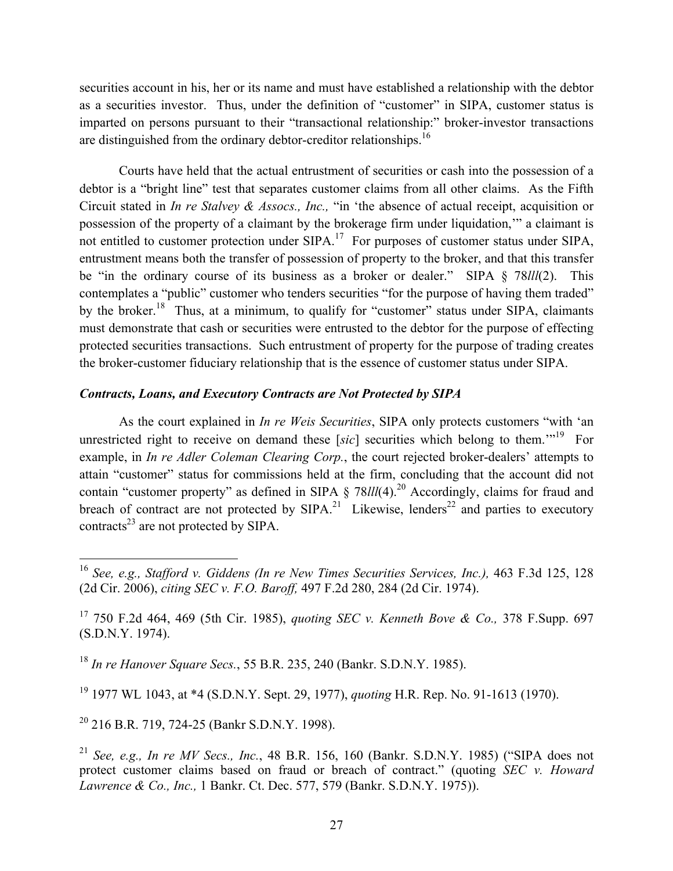securities account in his, her or its name and must have established a relationship with the debtor as a securities investor. Thus, under the definition of "customer" in SIPA, customer status is imparted on persons pursuant to their "transactional relationship:" broker-investor transactions are distinguished from the ordinary debtor-creditor relationships.<sup>16</sup>

Courts have held that the actual entrustment of securities or cash into the possession of a debtor is a "bright line" test that separates customer claims from all other claims. As the Fifth Circuit stated in *In re Stalvey & Assocs., Inc.,* "in 'the absence of actual receipt, acquisition or possession of the property of a claimant by the brokerage firm under liquidation,'" a claimant is not entitled to customer protection under SIPA.<sup>17</sup> For purposes of customer status under SIPA, entrustment means both the transfer of possession of property to the broker, and that this transfer be "in the ordinary course of its business as a broker or dealer." SIPA § 78*lll*(2). This contemplates a "public" customer who tenders securities "for the purpose of having them traded" by the broker.<sup>18</sup> Thus, at a minimum, to qualify for "customer" status under SIPA, claimants must demonstrate that cash or securities were entrusted to the debtor for the purpose of effecting protected securities transactions. Such entrustment of property for the purpose of trading creates the broker-customer fiduciary relationship that is the essence of customer status under SIPA.

## *Contracts, Loans, and Executory Contracts are Not Protected by SIPA*

As the court explained in *In re Weis Securities*, SIPA only protects customers "with 'an unrestricted right to receive on demand these [sic] securities which belong to them.<sup>"19</sup> For example, in *In re Adler Coleman Clearing Corp.*, the court rejected broker-dealers' attempts to attain "customer" status for commissions held at the firm, concluding that the account did not contain "customer property" as defined in SIPA § 78*lll*(4).<sup>20</sup> Accordingly, claims for fraud and breach of contract are not protected by  $SIPA^{21}$  Likewise, lenders<sup>22</sup> and parties to executory contracts<sup>23</sup> are not protected by SIPA.

<sup>18</sup> *In re Hanover Square Secs.*, 55 B.R. 235, 240 (Bankr. S.D.N.Y. 1985).

<sup>19</sup> 1977 WL 1043, at \*4 (S.D.N.Y. Sept. 29, 1977), *quoting* H.R. Rep. No. 91-1613 (1970).

<sup>20</sup> 216 B.R. 719, 724-25 (Bankr S.D.N.Y. 1998).

<sup>&</sup>lt;sup>16</sup> See, e.g., Stafford v. Giddens (In re New Times Securities Services, Inc.), 463 F.3d 125, 128 (2d Cir. 2006), *citing SEC v. F.O. Baroff,* 497 F.2d 280, 284 (2d Cir. 1974).

<sup>17</sup> 750 F.2d 464, 469 (5th Cir. 1985), *quoting SEC v. Kenneth Bove & Co.,* 378 F.Supp. 697 (S.D.N.Y. 1974).

<sup>21</sup> *See, e.g., In re MV Secs., Inc.*, 48 B.R. 156, 160 (Bankr. S.D.N.Y. 1985) ("SIPA does not protect customer claims based on fraud or breach of contract." (quoting *SEC v. Howard Lawrence & Co., Inc.,* 1 Bankr. Ct. Dec. 577, 579 (Bankr. S.D.N.Y. 1975)).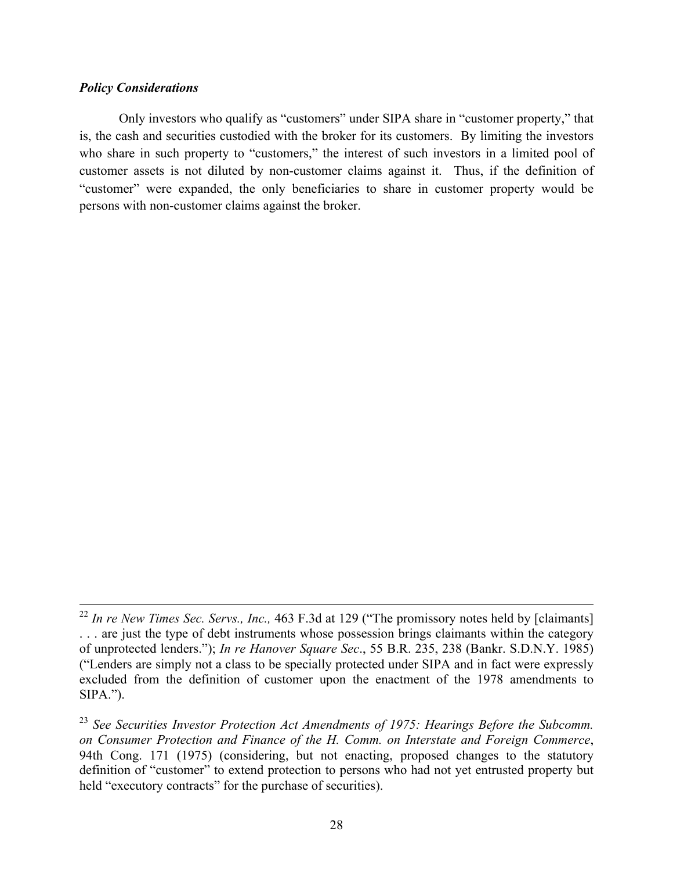#### *Policy Considerations*

Only investors who qualify as "customers" under SIPA share in "customer property," that is, the cash and securities custodied with the broker for its customers. By limiting the investors who share in such property to "customers," the interest of such investors in a limited pool of customer assets is not diluted by non-customer claims against it. Thus, if the definition of "customer" were expanded, the only beneficiaries to share in customer property would be persons with non-customer claims against the broker.

 <sup>22</sup> *In re New Times Sec. Servs., Inc.,* 463 F.3d at 129 ("The promissory notes held by [claimants] . . . are just the type of debt instruments whose possession brings claimants within the category of unprotected lenders."); *In re Hanover Square Sec*., 55 B.R. 235, 238 (Bankr. S.D.N.Y. 1985) ("Lenders are simply not a class to be specially protected under SIPA and in fact were expressly excluded from the definition of customer upon the enactment of the 1978 amendments to  $SIPA."$ ).

<sup>23</sup> *See Securities Investor Protection Act Amendments of 1975: Hearings Before the Subcomm. on Consumer Protection and Finance of the H. Comm. on Interstate and Foreign Commerce*, 94th Cong. 171 (1975) (considering, but not enacting, proposed changes to the statutory definition of "customer" to extend protection to persons who had not yet entrusted property but held "executory contracts" for the purchase of securities).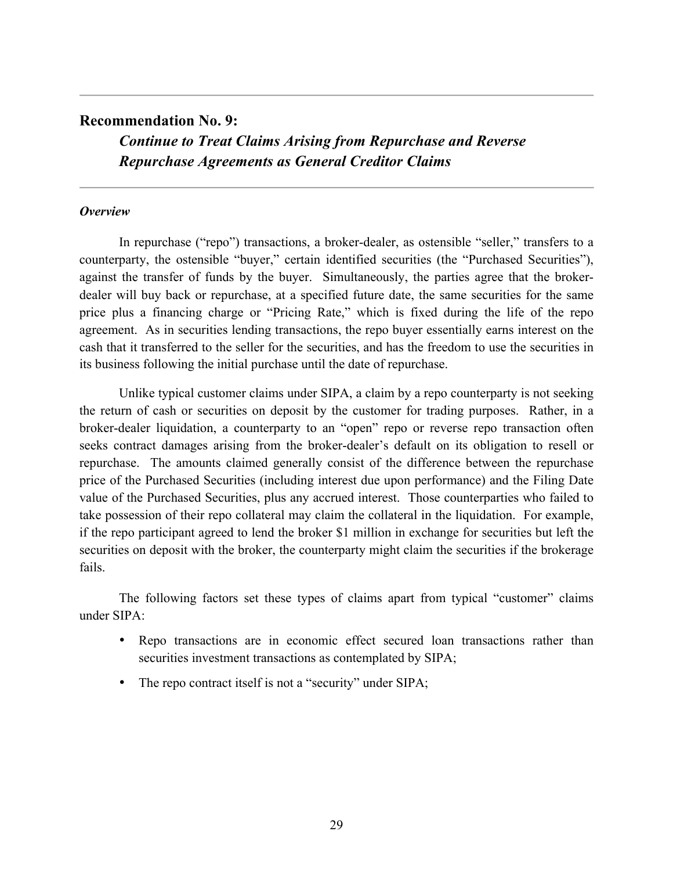## **Recommendation No. 9:**

*Continue to Treat Claims Arising from Repurchase and Reverse Repurchase Agreements as General Creditor Claims*

## *Overview*

In repurchase ("repo") transactions, a broker-dealer, as ostensible "seller," transfers to a counterparty, the ostensible "buyer," certain identified securities (the "Purchased Securities"), against the transfer of funds by the buyer. Simultaneously, the parties agree that the brokerdealer will buy back or repurchase, at a specified future date, the same securities for the same price plus a financing charge or "Pricing Rate," which is fixed during the life of the repo agreement. As in securities lending transactions, the repo buyer essentially earns interest on the cash that it transferred to the seller for the securities, and has the freedom to use the securities in its business following the initial purchase until the date of repurchase.

Unlike typical customer claims under SIPA, a claim by a repo counterparty is not seeking the return of cash or securities on deposit by the customer for trading purposes. Rather, in a broker-dealer liquidation, a counterparty to an "open" repo or reverse repo transaction often seeks contract damages arising from the broker-dealer's default on its obligation to resell or repurchase. The amounts claimed generally consist of the difference between the repurchase price of the Purchased Securities (including interest due upon performance) and the Filing Date value of the Purchased Securities, plus any accrued interest. Those counterparties who failed to take possession of their repo collateral may claim the collateral in the liquidation. For example, if the repo participant agreed to lend the broker \$1 million in exchange for securities but left the securities on deposit with the broker, the counterparty might claim the securities if the brokerage fails.

The following factors set these types of claims apart from typical "customer" claims under SIPA:

- Repo transactions are in economic effect secured loan transactions rather than securities investment transactions as contemplated by SIPA;
- The repo contract itself is not a "security" under SIPA;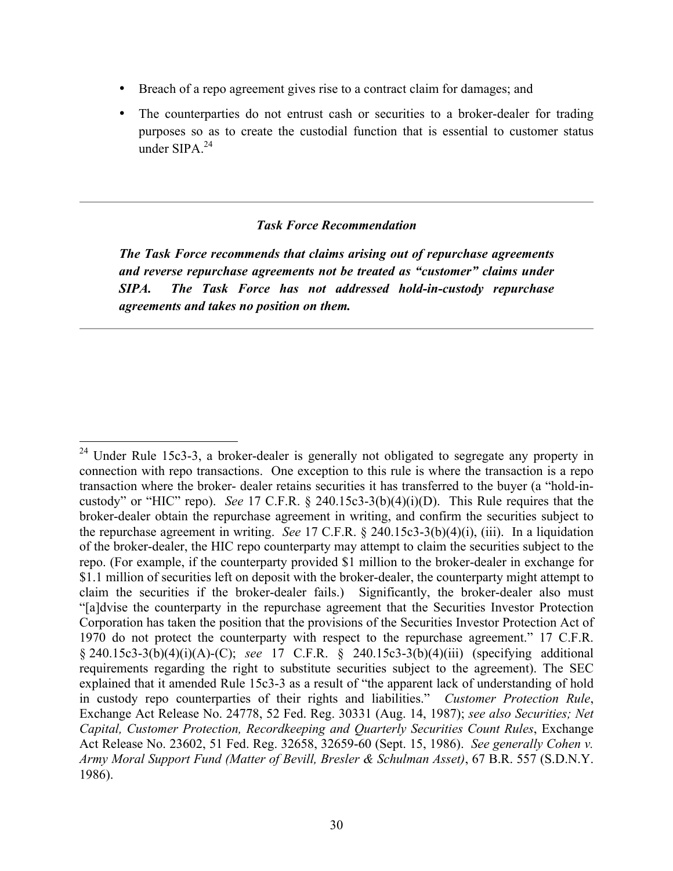- Breach of a repo agreement gives rise to a contract claim for damages; and
- The counterparties do not entrust cash or securities to a broker-dealer for trading purposes so as to create the custodial function that is essential to customer status under SIPA $^{24}$

## *Task Force Recommendation*

*The Task Force recommends that claims arising out of repurchase agreements and reverse repurchase agreements not be treated as "customer" claims under SIPA. The Task Force has not addressed hold-in-custody repurchase agreements and takes no position on them.* 

<sup>&</sup>lt;sup>24</sup> Under Rule 15c3-3, a broker-dealer is generally not obligated to segregate any property in connection with repo transactions. One exception to this rule is where the transaction is a repo transaction where the broker- dealer retains securities it has transferred to the buyer (a "hold-incustody" or "HIC" repo). *See* 17 C.F.R. § 240.15c3-3(b)(4)(i)(D). This Rule requires that the broker-dealer obtain the repurchase agreement in writing, and confirm the securities subject to the repurchase agreement in writing. *See* 17 C.F.R. § 240.15c3-3(b)(4)(i), (iii). In a liquidation of the broker-dealer, the HIC repo counterparty may attempt to claim the securities subject to the repo. (For example, if the counterparty provided \$1 million to the broker-dealer in exchange for \$1.1 million of securities left on deposit with the broker-dealer, the counterparty might attempt to claim the securities if the broker-dealer fails.) Significantly, the broker-dealer also must "[a]dvise the counterparty in the repurchase agreement that the Securities Investor Protection Corporation has taken the position that the provisions of the Securities Investor Protection Act of 1970 do not protect the counterparty with respect to the repurchase agreement." 17 C.F.R. § 240.15c3-3(b)(4)(i)(A)-(C); *see* 17 C.F.R. § 240.15c3-3(b)(4)(iii) (specifying additional requirements regarding the right to substitute securities subject to the agreement). The SEC explained that it amended Rule 15c3-3 as a result of "the apparent lack of understanding of hold in custody repo counterparties of their rights and liabilities." *Customer Protection Rule*, Exchange Act Release No. 24778, 52 Fed. Reg. 30331 (Aug. 14, 1987); *see also Securities; Net Capital, Customer Protection, Recordkeeping and Quarterly Securities Count Rules*, Exchange Act Release No. 23602, 51 Fed. Reg. 32658, 32659-60 (Sept. 15, 1986). *See generally Cohen v. Army Moral Support Fund (Matter of Bevill, Bresler & Schulman Asset)*, 67 B.R. 557 (S.D.N.Y. 1986).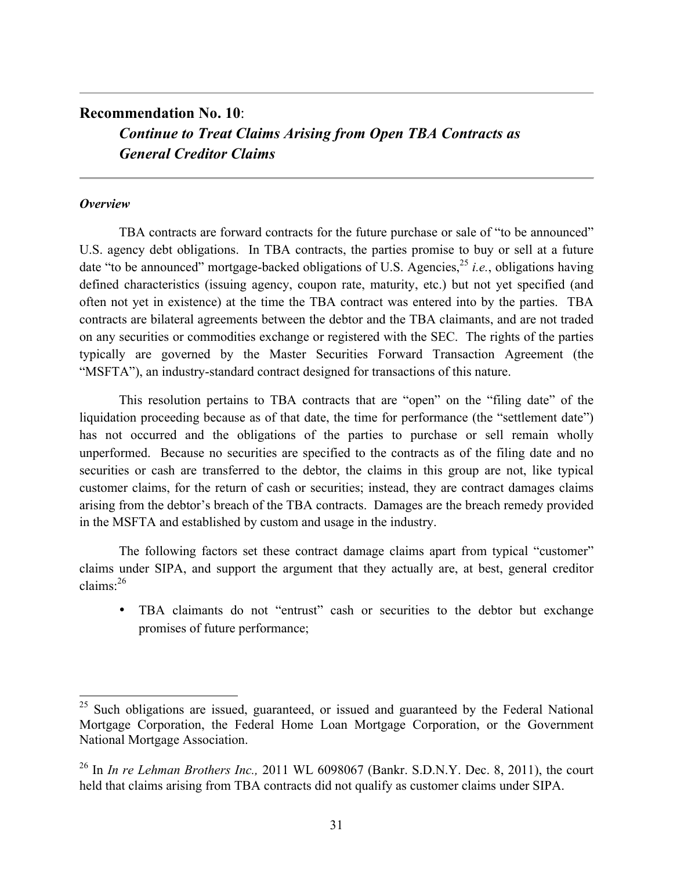# **Recommendation No. 10**: *Continue to Treat Claims Arising from Open TBA Contracts as General Creditor Claims*

## *Overview*

TBA contracts are forward contracts for the future purchase or sale of "to be announced" U.S. agency debt obligations. In TBA contracts, the parties promise to buy or sell at a future date "to be announced" mortgage-backed obligations of U.S. Agencies,25 *i.e.*, obligations having defined characteristics (issuing agency, coupon rate, maturity, etc.) but not yet specified (and often not yet in existence) at the time the TBA contract was entered into by the parties. TBA contracts are bilateral agreements between the debtor and the TBA claimants, and are not traded on any securities or commodities exchange or registered with the SEC. The rights of the parties typically are governed by the Master Securities Forward Transaction Agreement (the "MSFTA"), an industry-standard contract designed for transactions of this nature.

This resolution pertains to TBA contracts that are "open" on the "filing date" of the liquidation proceeding because as of that date, the time for performance (the "settlement date") has not occurred and the obligations of the parties to purchase or sell remain wholly unperformed. Because no securities are specified to the contracts as of the filing date and no securities or cash are transferred to the debtor, the claims in this group are not, like typical customer claims, for the return of cash or securities; instead, they are contract damages claims arising from the debtor's breach of the TBA contracts. Damages are the breach remedy provided in the MSFTA and established by custom and usage in the industry.

The following factors set these contract damage claims apart from typical "customer" claims under SIPA, and support the argument that they actually are, at best, general creditor claims:26

• TBA claimants do not "entrust" cash or securities to the debtor but exchange promises of future performance;

<sup>&</sup>lt;sup>25</sup> Such obligations are issued, guaranteed, or issued and guaranteed by the Federal National Mortgage Corporation, the Federal Home Loan Mortgage Corporation, or the Government National Mortgage Association.

<sup>26</sup> In *In re Lehman Brothers Inc.,* 2011 WL 6098067 (Bankr. S.D.N.Y. Dec. 8, 2011), the court held that claims arising from TBA contracts did not qualify as customer claims under SIPA.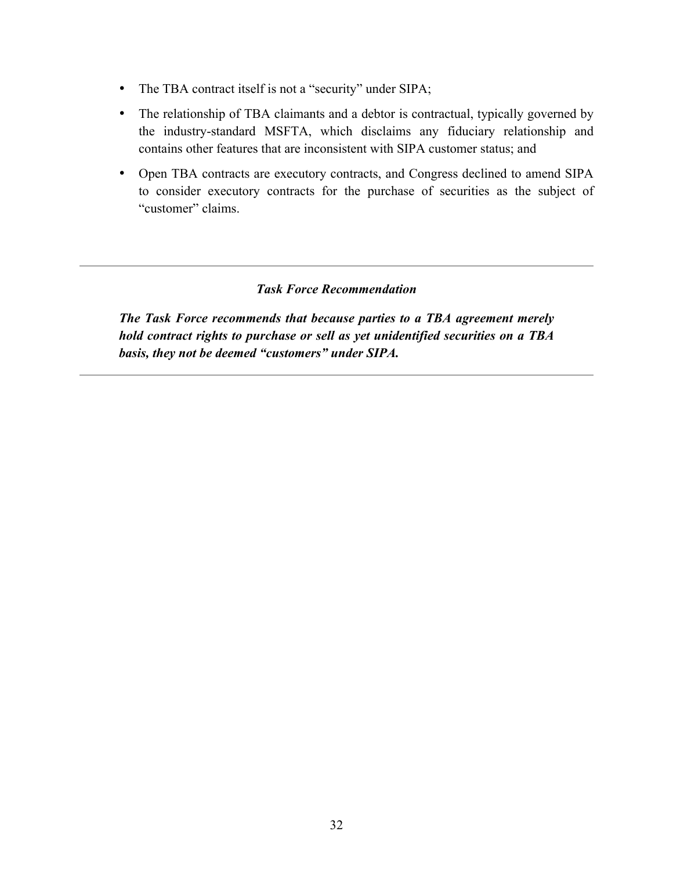- The TBA contract itself is not a "security" under SIPA;
- The relationship of TBA claimants and a debtor is contractual, typically governed by the industry-standard MSFTA, which disclaims any fiduciary relationship and contains other features that are inconsistent with SIPA customer status; and
- Open TBA contracts are executory contracts, and Congress declined to amend SIPA to consider executory contracts for the purchase of securities as the subject of "customer" claims.

## *Task Force Recommendation*

*The Task Force recommends that because parties to a TBA agreement merely hold contract rights to purchase or sell as yet unidentified securities on a TBA basis, they not be deemed "customers" under SIPA.*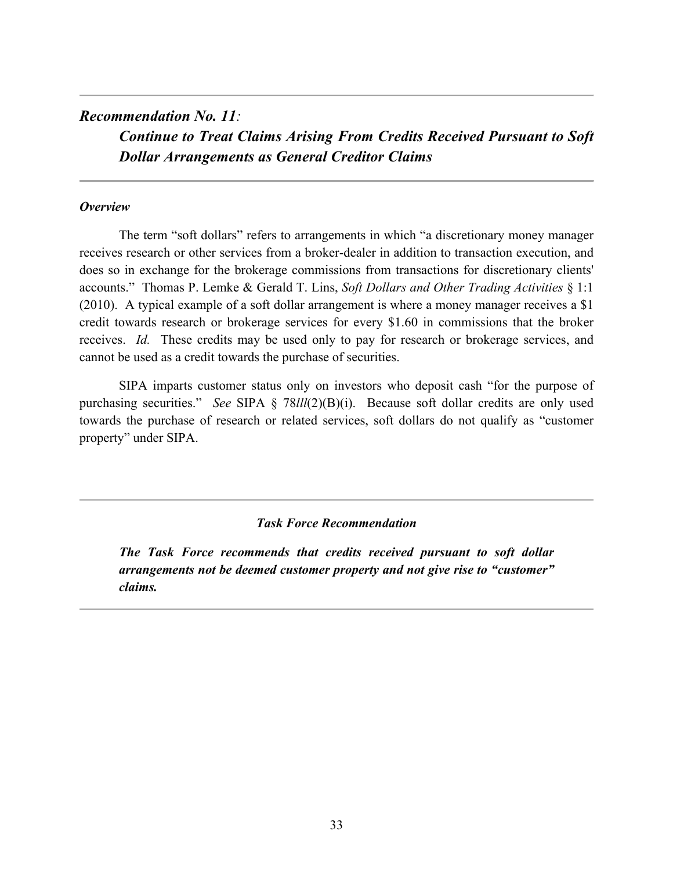## *Recommendation No. 11:*

*Continue to Treat Claims Arising From Credits Received Pursuant to Soft Dollar Arrangements as General Creditor Claims*

## *Overview*

The term "soft dollars" refers to arrangements in which "a discretionary money manager receives research or other services from a broker-dealer in addition to transaction execution, and does so in exchange for the brokerage commissions from transactions for discretionary clients' accounts." Thomas P. Lemke & Gerald T. Lins, *Soft Dollars and Other Trading Activities* § 1:1 (2010). A typical example of a soft dollar arrangement is where a money manager receives a \$1 credit towards research or brokerage services for every \$1.60 in commissions that the broker receives. *Id.* These credits may be used only to pay for research or brokerage services, and cannot be used as a credit towards the purchase of securities.

SIPA imparts customer status only on investors who deposit cash "for the purpose of purchasing securities." *See* SIPA § 78*lll*(2)(B)(i). Because soft dollar credits are only used towards the purchase of research or related services, soft dollars do not qualify as "customer property" under SIPA.

## *Task Force Recommendation*

*The Task Force recommends that credits received pursuant to soft dollar arrangements not be deemed customer property and not give rise to "customer" claims.*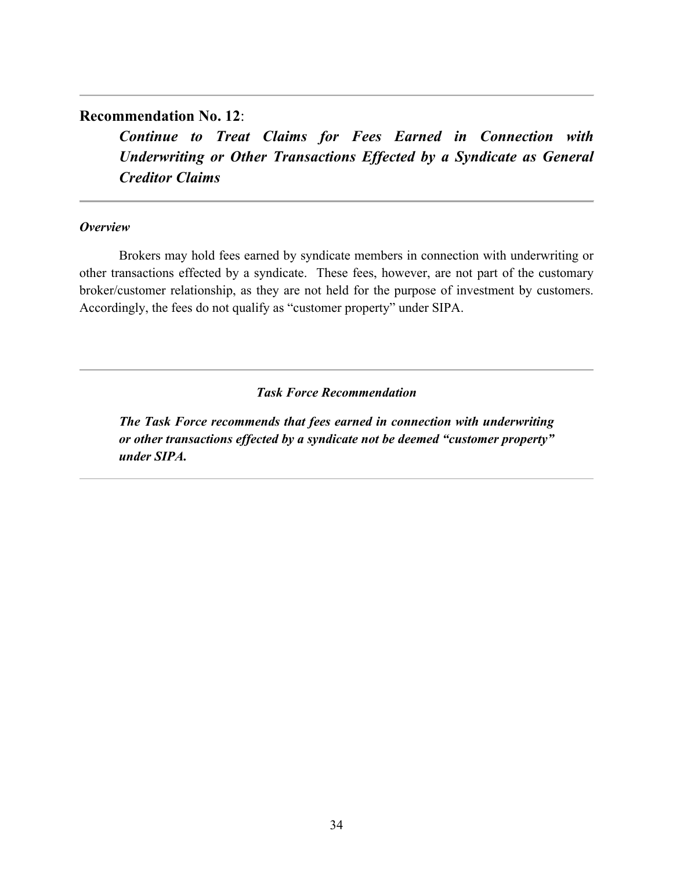# **Recommendation No. 12**:

*Continue to Treat Claims for Fees Earned in Connection with Underwriting or Other Transactions Effected by a Syndicate as General Creditor Claims*

## *Overview*

Brokers may hold fees earned by syndicate members in connection with underwriting or other transactions effected by a syndicate. These fees, however, are not part of the customary broker/customer relationship, as they are not held for the purpose of investment by customers. Accordingly, the fees do not qualify as "customer property" under SIPA.

*Task Force Recommendation*

*The Task Force recommends that fees earned in connection with underwriting or other transactions effected by a syndicate not be deemed "customer property" under SIPA.*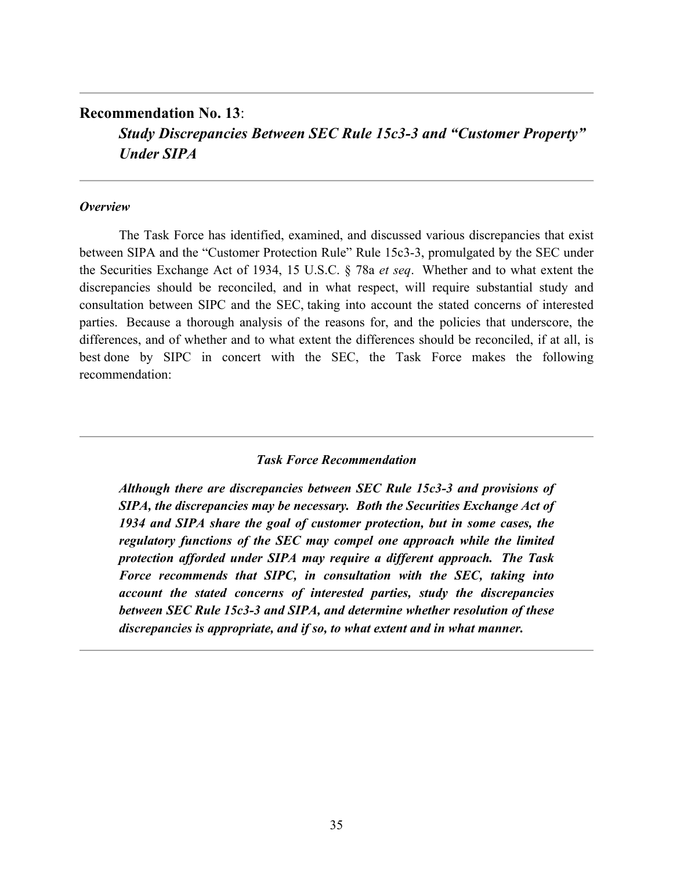# **Recommendation No. 13**: *Study Discrepancies Between SEC Rule 15c3-3 and "Customer Property" Under SIPA*

#### *Overview*

The Task Force has identified, examined, and discussed various discrepancies that exist between SIPA and the "Customer Protection Rule" Rule 15c3-3, promulgated by the SEC under the Securities Exchange Act of 1934, 15 U.S.C. § 78a *et seq*. Whether and to what extent the discrepancies should be reconciled, and in what respect, will require substantial study and consultation between SIPC and the SEC, taking into account the stated concerns of interested parties. Because a thorough analysis of the reasons for, and the policies that underscore, the differences, and of whether and to what extent the differences should be reconciled, if at all, is best done by SIPC in concert with the SEC, the Task Force makes the following recommendation:

### *Task Force Recommendation*

*Although there are discrepancies between SEC Rule 15c3-3 and provisions of SIPA, the discrepancies may be necessary. Both the Securities Exchange Act of 1934 and SIPA share the goal of customer protection, but in some cases, the regulatory functions of the SEC may compel one approach while the limited protection afforded under SIPA may require a different approach. The Task Force recommends that SIPC, in consultation with the SEC, taking into account the stated concerns of interested parties, study the discrepancies between SEC Rule 15c3-3 and SIPA, and determine whether resolution of these discrepancies is appropriate, and if so, to what extent and in what manner.*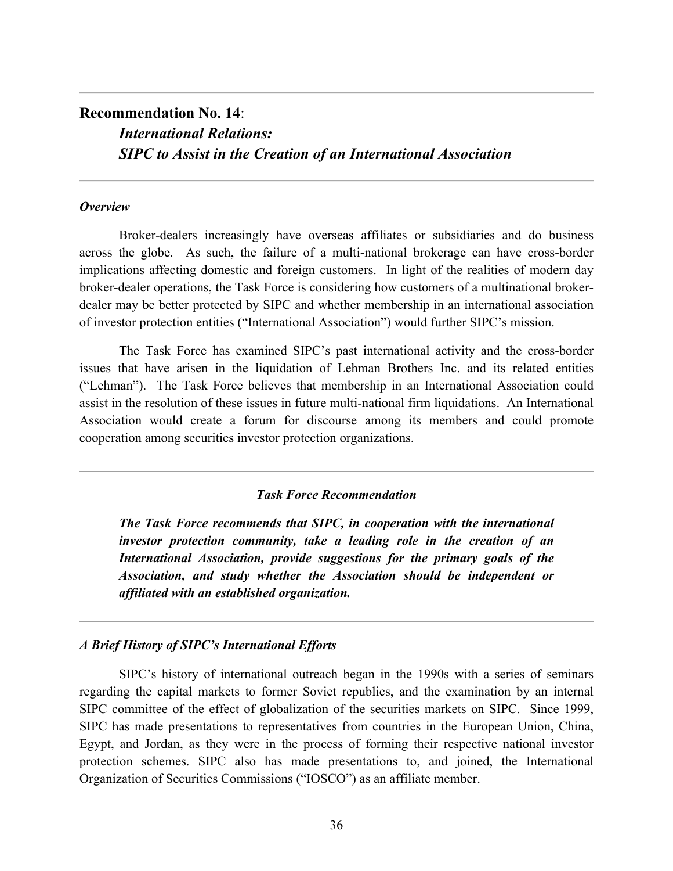# **Recommendation No. 14**: *International Relations: SIPC to Assist in the Creation of an International Association*

#### *Overview*

Broker-dealers increasingly have overseas affiliates or subsidiaries and do business across the globe. As such, the failure of a multi-national brokerage can have cross-border implications affecting domestic and foreign customers. In light of the realities of modern day broker-dealer operations, the Task Force is considering how customers of a multinational brokerdealer may be better protected by SIPC and whether membership in an international association of investor protection entities ("International Association") would further SIPC's mission.

The Task Force has examined SIPC's past international activity and the cross-border issues that have arisen in the liquidation of Lehman Brothers Inc. and its related entities ("Lehman"). The Task Force believes that membership in an International Association could assist in the resolution of these issues in future multi-national firm liquidations. An International Association would create a forum for discourse among its members and could promote cooperation among securities investor protection organizations.

#### *Task Force Recommendation*

*The Task Force recommends that SIPC, in cooperation with the international investor protection community, take a leading role in the creation of an International Association, provide suggestions for the primary goals of the Association, and study whether the Association should be independent or affiliated with an established organization.* 

#### *A Brief History of SIPC's International Efforts*

SIPC's history of international outreach began in the 1990s with a series of seminars regarding the capital markets to former Soviet republics, and the examination by an internal SIPC committee of the effect of globalization of the securities markets on SIPC. Since 1999, SIPC has made presentations to representatives from countries in the European Union, China, Egypt, and Jordan, as they were in the process of forming their respective national investor protection schemes. SIPC also has made presentations to, and joined, the International Organization of Securities Commissions ("IOSCO") as an affiliate member.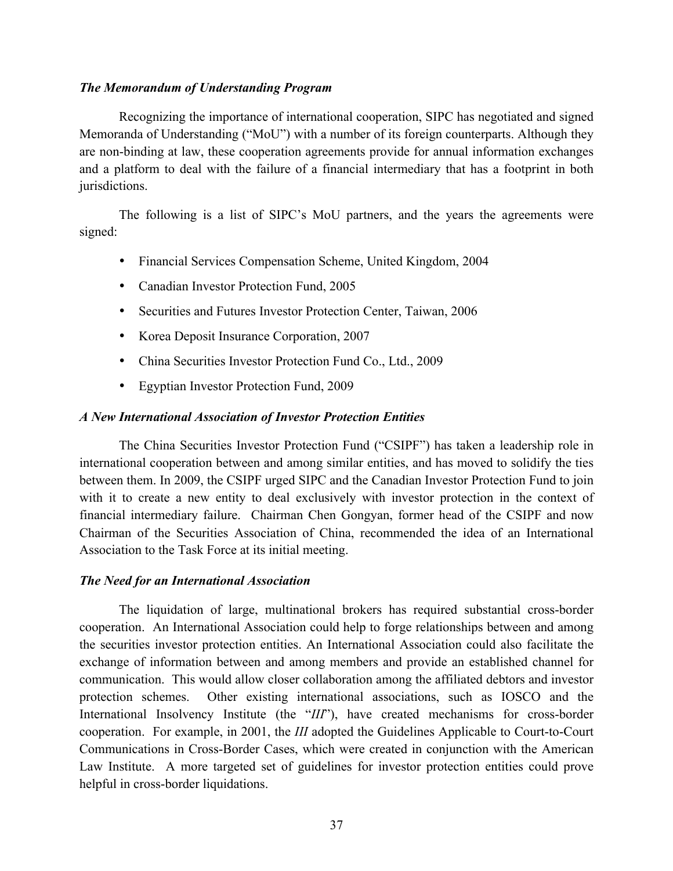## *The Memorandum of Understanding Program*

Recognizing the importance of international cooperation, SIPC has negotiated and signed Memoranda of Understanding ("MoU") with a number of its foreign counterparts. Although they are non-binding at law, these cooperation agreements provide for annual information exchanges and a platform to deal with the failure of a financial intermediary that has a footprint in both jurisdictions.

The following is a list of SIPC's MoU partners, and the years the agreements were signed:

- Financial Services Compensation Scheme, United Kingdom, 2004
- Canadian Investor Protection Fund, 2005
- Securities and Futures Investor Protection Center, Taiwan, 2006
- Korea Deposit Insurance Corporation, 2007
- China Securities Investor Protection Fund Co., Ltd., 2009
- Egyptian Investor Protection Fund, 2009

## *A New International Association of Investor Protection Entities*

The China Securities Investor Protection Fund ("CSIPF") has taken a leadership role in international cooperation between and among similar entities, and has moved to solidify the ties between them. In 2009, the CSIPF urged SIPC and the Canadian Investor Protection Fund to join with it to create a new entity to deal exclusively with investor protection in the context of financial intermediary failure. Chairman Chen Gongyan, former head of the CSIPF and now Chairman of the Securities Association of China, recommended the idea of an International Association to the Task Force at its initial meeting.

## *The Need for an International Association*

The liquidation of large, multinational brokers has required substantial cross-border cooperation. An International Association could help to forge relationships between and among the securities investor protection entities. An International Association could also facilitate the exchange of information between and among members and provide an established channel for communication. This would allow closer collaboration among the affiliated debtors and investor protection schemes. Other existing international associations, such as IOSCO and the International Insolvency Institute (the "*III*"), have created mechanisms for cross-border cooperation. For example, in 2001, the *III* adopted the Guidelines Applicable to Court-to-Court Communications in Cross-Border Cases, which were created in conjunction with the American Law Institute. A more targeted set of guidelines for investor protection entities could prove helpful in cross-border liquidations.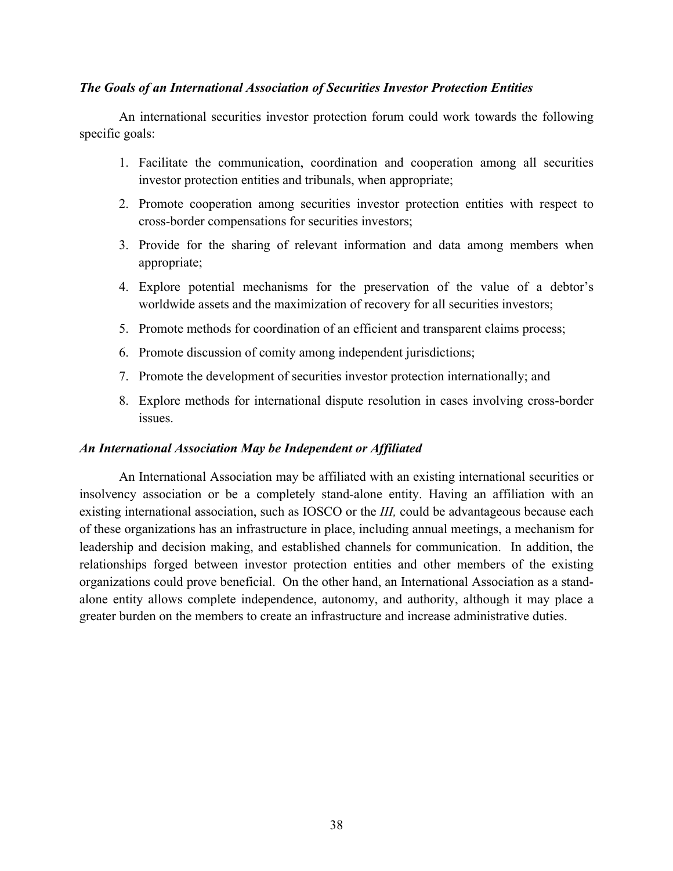## *The Goals of an International Association of Securities Investor Protection Entities*

An international securities investor protection forum could work towards the following specific goals:

- 1. Facilitate the communication, coordination and cooperation among all securities investor protection entities and tribunals, when appropriate;
- 2. Promote cooperation among securities investor protection entities with respect to cross-border compensations for securities investors;
- 3. Provide for the sharing of relevant information and data among members when appropriate;
- 4. Explore potential mechanisms for the preservation of the value of a debtor's worldwide assets and the maximization of recovery for all securities investors;
- 5. Promote methods for coordination of an efficient and transparent claims process;
- 6. Promote discussion of comity among independent jurisdictions;
- 7. Promote the development of securities investor protection internationally; and
- 8. Explore methods for international dispute resolution in cases involving cross-border issues.

## *An International Association May be Independent or Affiliated*

An International Association may be affiliated with an existing international securities or insolvency association or be a completely stand-alone entity. Having an affiliation with an existing international association, such as IOSCO or the *III,* could be advantageous because each of these organizations has an infrastructure in place, including annual meetings, a mechanism for leadership and decision making, and established channels for communication. In addition, the relationships forged between investor protection entities and other members of the existing organizations could prove beneficial. On the other hand, an International Association as a standalone entity allows complete independence, autonomy, and authority, although it may place a greater burden on the members to create an infrastructure and increase administrative duties.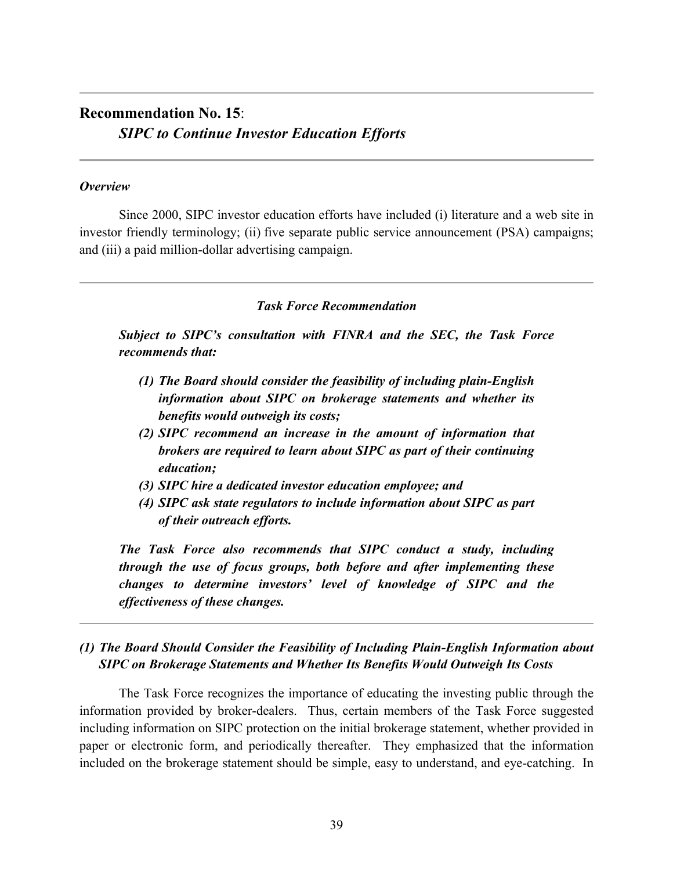# **Recommendation No. 15**: *SIPC to Continue Investor Education Efforts*

#### *Overview*

Since 2000, SIPC investor education efforts have included (i) literature and a web site in investor friendly terminology; (ii) five separate public service announcement (PSA) campaigns; and (iii) a paid million-dollar advertising campaign.

## *Task Force Recommendation*

*Subject to SIPC's consultation with FINRA and the SEC, the Task Force recommends that:*

- *(1) The Board should consider the feasibility of including plain-English information about SIPC on brokerage statements and whether its benefits would outweigh its costs;*
- *(2) SIPC recommend an increase in the amount of information that brokers are required to learn about SIPC as part of their continuing education;*
- *(3) SIPC hire a dedicated investor education employee; and*
- *(4) SIPC ask state regulators to include information about SIPC as part of their outreach efforts.*

*The Task Force also recommends that SIPC conduct a study, including through the use of focus groups, both before and after implementing these changes to determine investors' level of knowledge of SIPC and the effectiveness of these changes.* 

# *(1) The Board Should Consider the Feasibility of Including Plain-English Information about SIPC on Brokerage Statements and Whether Its Benefits Would Outweigh Its Costs*

The Task Force recognizes the importance of educating the investing public through the information provided by broker-dealers. Thus, certain members of the Task Force suggested including information on SIPC protection on the initial brokerage statement, whether provided in paper or electronic form, and periodically thereafter. They emphasized that the information included on the brokerage statement should be simple, easy to understand, and eye-catching. In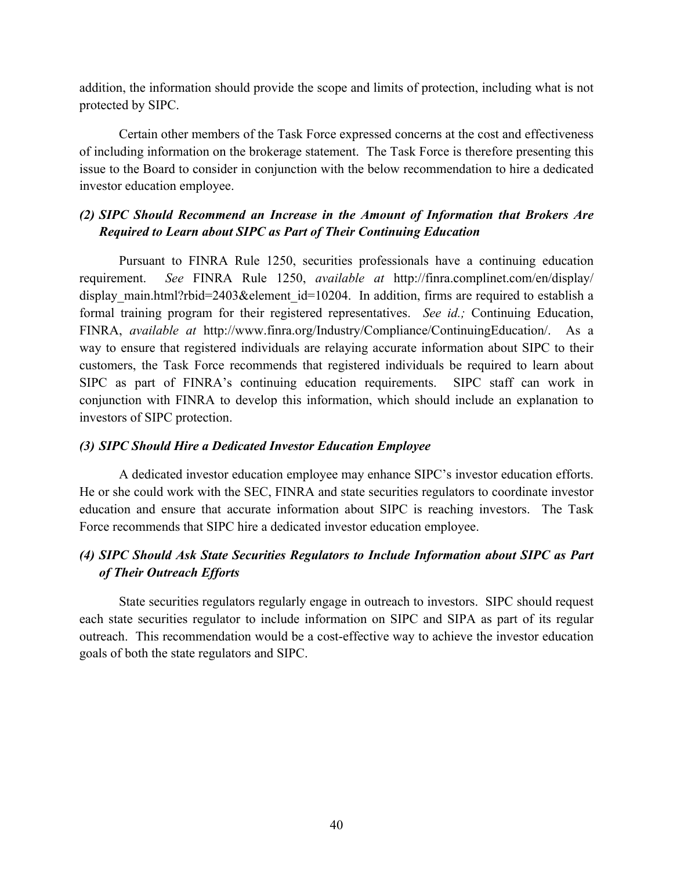addition, the information should provide the scope and limits of protection, including what is not protected by SIPC.

Certain other members of the Task Force expressed concerns at the cost and effectiveness of including information on the brokerage statement. The Task Force is therefore presenting this issue to the Board to consider in conjunction with the below recommendation to hire a dedicated investor education employee.

## *(2) SIPC Should Recommend an Increase in the Amount of Information that Brokers Are Required to Learn about SIPC as Part of Their Continuing Education*

Pursuant to FINRA Rule 1250, securities professionals have a continuing education requirement. *See* FINRA Rule 1250, *available at* http://finra.complinet.com/en/display/ display main.html?rbid=2403&element id=10204. In addition, firms are required to establish a formal training program for their registered representatives. *See id.;* Continuing Education, FINRA, *available at* http://www.finra.org/Industry/Compliance/ContinuingEducation/. As a way to ensure that registered individuals are relaying accurate information about SIPC to their customers, the Task Force recommends that registered individuals be required to learn about SIPC as part of FINRA's continuing education requirements. SIPC staff can work in conjunction with FINRA to develop this information, which should include an explanation to investors of SIPC protection.

## *(3) SIPC Should Hire a Dedicated Investor Education Employee*

A dedicated investor education employee may enhance SIPC's investor education efforts. He or she could work with the SEC, FINRA and state securities regulators to coordinate investor education and ensure that accurate information about SIPC is reaching investors. The Task Force recommends that SIPC hire a dedicated investor education employee.

## *(4) SIPC Should Ask State Securities Regulators to Include Information about SIPC as Part of Their Outreach Efforts*

State securities regulators regularly engage in outreach to investors. SIPC should request each state securities regulator to include information on SIPC and SIPA as part of its regular outreach. This recommendation would be a cost-effective way to achieve the investor education goals of both the state regulators and SIPC.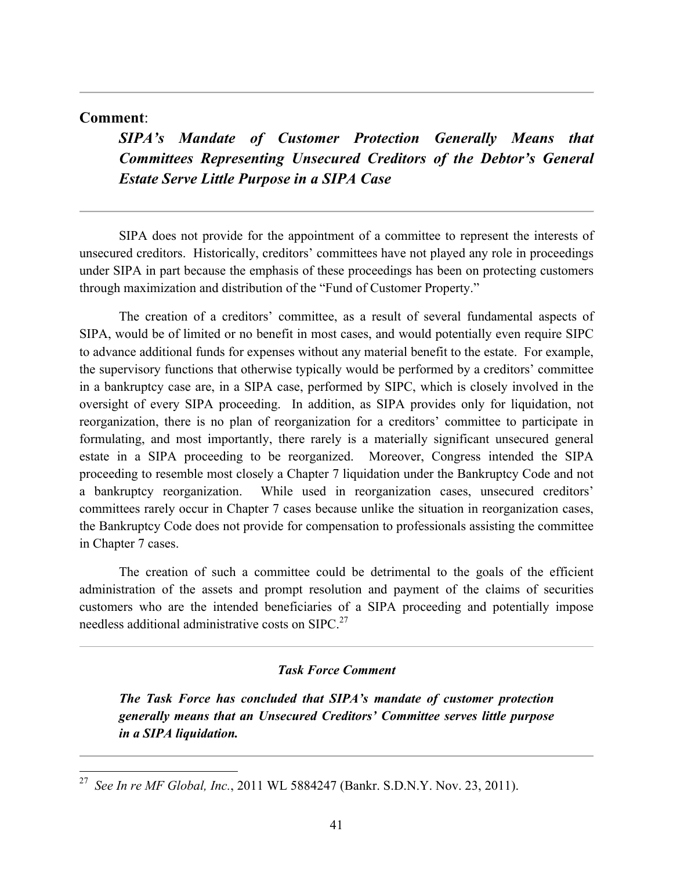## **Comment**:

*SIPA's Mandate of Customer Protection Generally Means that Committees Representing Unsecured Creditors of the Debtor's General Estate Serve Little Purpose in a SIPA Case*

SIPA does not provide for the appointment of a committee to represent the interests of unsecured creditors. Historically, creditors' committees have not played any role in proceedings under SIPA in part because the emphasis of these proceedings has been on protecting customers through maximization and distribution of the "Fund of Customer Property."

The creation of a creditors' committee, as a result of several fundamental aspects of SIPA, would be of limited or no benefit in most cases, and would potentially even require SIPC to advance additional funds for expenses without any material benefit to the estate. For example, the supervisory functions that otherwise typically would be performed by a creditors' committee in a bankruptcy case are, in a SIPA case, performed by SIPC, which is closely involved in the oversight of every SIPA proceeding. In addition, as SIPA provides only for liquidation, not reorganization, there is no plan of reorganization for a creditors' committee to participate in formulating, and most importantly, there rarely is a materially significant unsecured general estate in a SIPA proceeding to be reorganized. Moreover, Congress intended the SIPA proceeding to resemble most closely a Chapter 7 liquidation under the Bankruptcy Code and not a bankruptcy reorganization. While used in reorganization cases, unsecured creditors' committees rarely occur in Chapter 7 cases because unlike the situation in reorganization cases, the Bankruptcy Code does not provide for compensation to professionals assisting the committee in Chapter 7 cases.

The creation of such a committee could be detrimental to the goals of the efficient administration of the assets and prompt resolution and payment of the claims of securities customers who are the intended beneficiaries of a SIPA proceeding and potentially impose needless additional administrative costs on SIPC.<sup>27</sup>

#### *Task Force Comment*

*The Task Force has concluded that SIPA's mandate of customer protection generally means that an Unsecured Creditors' Committee serves little purpose in a SIPA liquidation.*

 <sup>27</sup> *See In re MF Global, Inc.*, 2011 WL 5884247 (Bankr. S.D.N.Y. Nov. 23, 2011).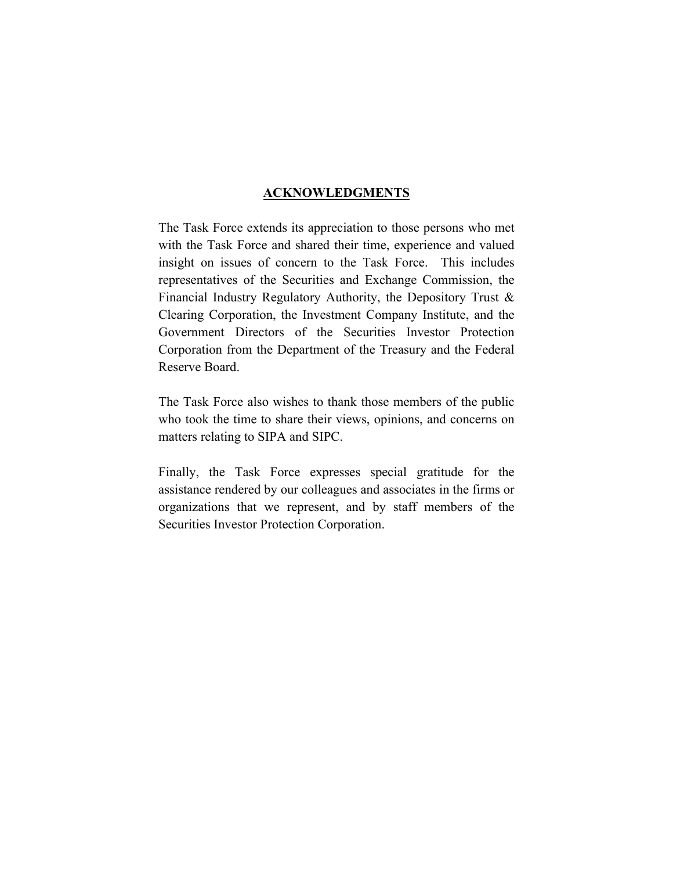## **ACKNOWLEDGMENTS**

The Task Force extends its appreciation to those persons who met with the Task Force and shared their time, experience and valued insight on issues of concern to the Task Force. This includes representatives of the Securities and Exchange Commission, the Financial Industry Regulatory Authority, the Depository Trust & Clearing Corporation, the Investment Company Institute, and the Government Directors of the Securities Investor Protection Corporation from the Department of the Treasury and the Federal Reserve Board.

The Task Force also wishes to thank those members of the public who took the time to share their views, opinions, and concerns on matters relating to SIPA and SIPC.

Finally, the Task Force expresses special gratitude for the assistance rendered by our colleagues and associates in the firms or organizations that we represent, and by staff members of the Securities Investor Protection Corporation.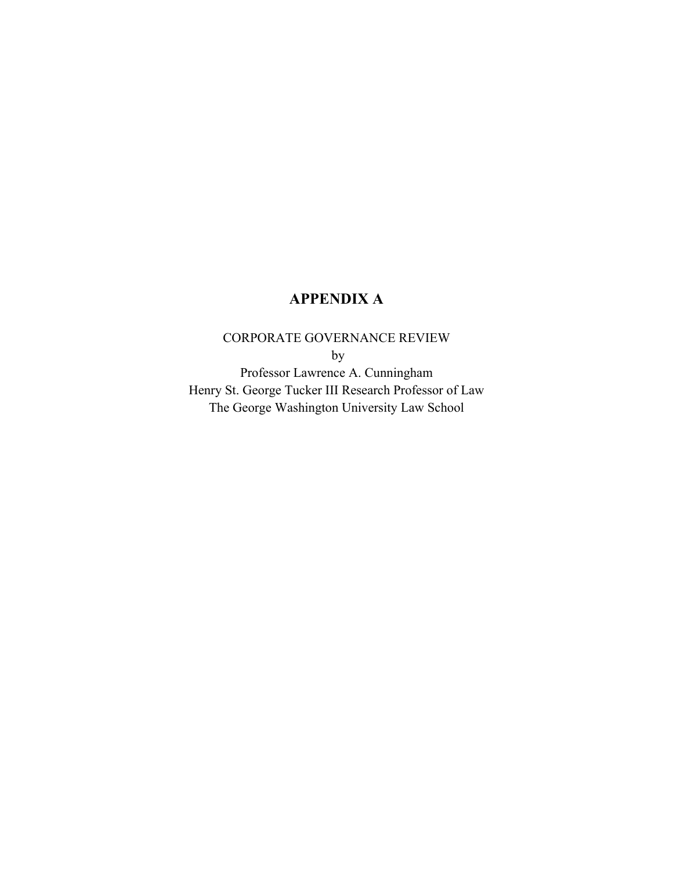# **APPENDIX A**

# CORPORATE GOVERNANCE REVIEW

by

Professor Lawrence A. Cunningham Henry St. George Tucker III Research Professor of Law The George Washington University Law School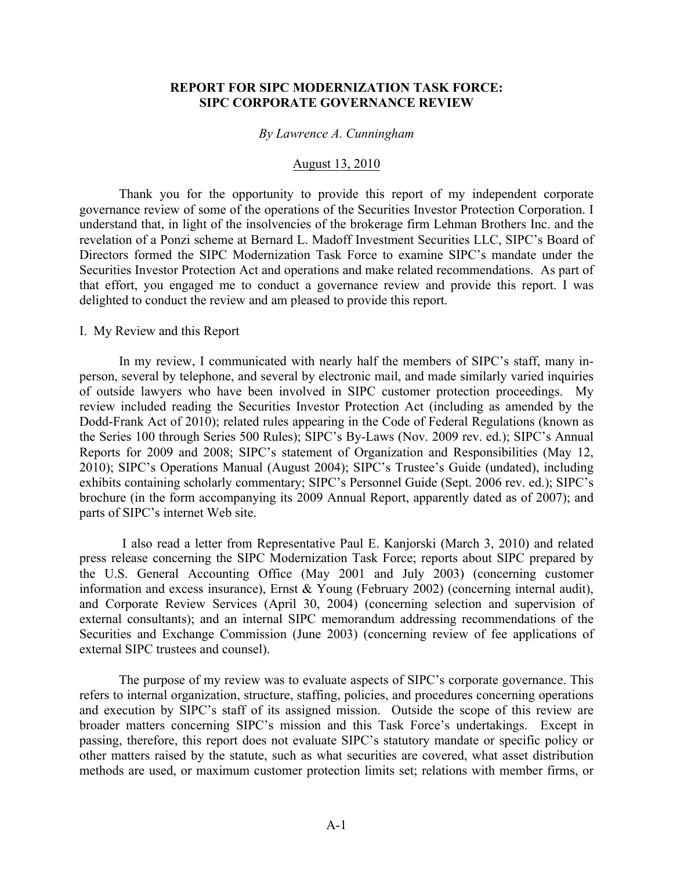### **REPORT FOR SIPC MODERNIZATION TASK FORCE: SIPC CORPORATE GOVERNANCE REVIEW**

#### *By Lawrence A. Cunningham*

## August 13, 2010

Thank you for the opportunity to provide this report of my independent corporate governance review of some of the operations of the Securities Investor Protection Corporation. I understand that, in light of the insolvencies of the brokerage firm Lehman Brothers Inc. and the revelation of a Ponzi scheme at Bernard L. Madoff Investment Securities LLC, SIPC's Board of Directors formed the SIPC Modernization Task Force to examine SIPC's mandate under the Securities Investor Protection Act and operations and make related recommendations. As part of that effort, you engaged me to conduct a governance review and provide this report. I was delighted to conduct the review and am pleased to provide this report.

#### I. My Review and this Report

In my review, I communicated with nearly half the members of SIPC's staff, many inperson, several by telephone, and several by electronic mail, and made similarly varied inquiries of outside lawyers who have been involved in SIPC customer protection proceedings. My review included reading the Securities Investor Protection Act (including as amended by the Dodd-Frank Act of 2010); related rules appearing in the Code of Federal Regulations (known as the Series 100 through Series 500 Rules); SIPC's By-Laws (Nov. 2009 rev. ed.); SIPC's Annual Reports for 2009 and 2008; SIPC's statement of Organization and Responsibilities (May 12, 2010); SIPC's Operations Manual (August 2004); SIPC's Trustee's Guide (undated), including exhibits containing scholarly commentary; SIPC's Personnel Guide (Sept. 2006 rev. ed.); SIPC's brochure (in the form accompanying its 2009 Annual Report, apparently dated as of 2007); and parts of SIPC's internet Web site.

I also read a letter from Representative Paul E. Kanjorski (March 3, 2010) and related press release concerning the SIPC Modernization Task Force; reports about SIPC prepared by the U.S. General Accounting Office (May 2001 and July 2003) (concerning customer information and excess insurance), Ernst & Young (February 2002) (concerning internal audit), and Corporate Review Services (April 30, 2004) (concerning selection and supervision of external consultants); and an internal SIPC memorandum addressing recommendations of the Securities and Exchange Commission (June 2003) (concerning review of fee applications of external SIPC trustees and counsel).

The purpose of my review was to evaluate aspects of SIPC's corporate governance. This refers to internal organization, structure, staffing, policies, and procedures concerning operations and execution by SIPC's staff of its assigned mission. Outside the scope of this review are broader matters concerning SIPC's mission and this Task Force's undertakings. Except in passing, therefore, this report does not evaluate SIPC's statutory mandate or specific policy or other matters raised by the statute, such as what securities are covered, what asset distribution methods are used, or maximum customer protection limits set; relations with member firms, or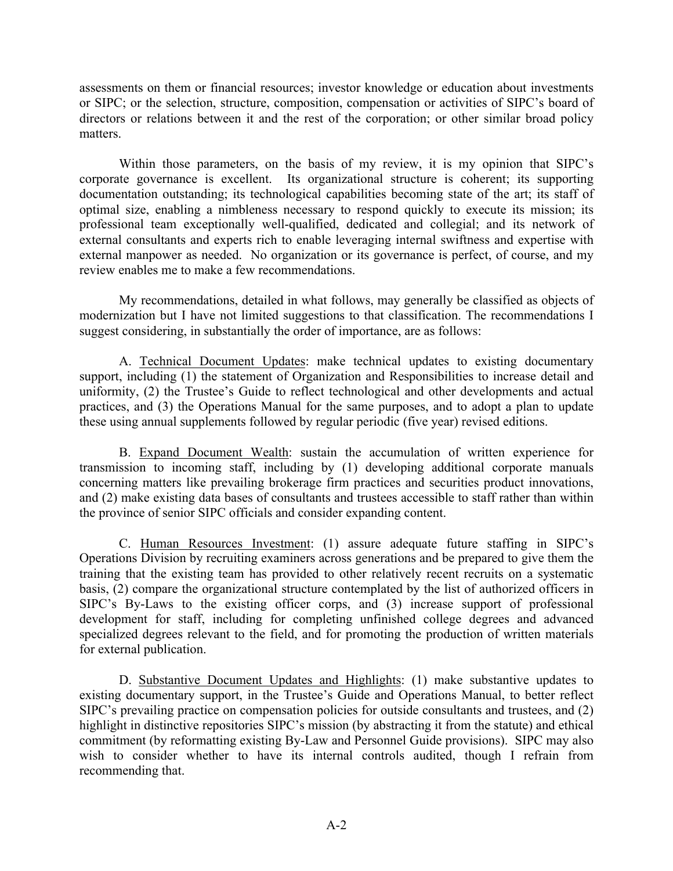assessments on them or financial resources; investor knowledge or education about investments or SIPC; or the selection, structure, composition, compensation or activities of SIPC's board of directors or relations between it and the rest of the corporation; or other similar broad policy matters.

Within those parameters, on the basis of my review, it is my opinion that SIPC's corporate governance is excellent. Its organizational structure is coherent; its supporting documentation outstanding; its technological capabilities becoming state of the art; its staff of optimal size, enabling a nimbleness necessary to respond quickly to execute its mission; its professional team exceptionally well-qualified, dedicated and collegial; and its network of external consultants and experts rich to enable leveraging internal swiftness and expertise with external manpower as needed. No organization or its governance is perfect, of course, and my review enables me to make a few recommendations.

My recommendations, detailed in what follows, may generally be classified as objects of modernization but I have not limited suggestions to that classification. The recommendations I suggest considering, in substantially the order of importance, are as follows:

A. Technical Document Updates: make technical updates to existing documentary support, including (1) the statement of Organization and Responsibilities to increase detail and uniformity, (2) the Trustee's Guide to reflect technological and other developments and actual practices, and (3) the Operations Manual for the same purposes, and to adopt a plan to update these using annual supplements followed by regular periodic (five year) revised editions.

B. Expand Document Wealth: sustain the accumulation of written experience for transmission to incoming staff, including by (1) developing additional corporate manuals concerning matters like prevailing brokerage firm practices and securities product innovations, and (2) make existing data bases of consultants and trustees accessible to staff rather than within the province of senior SIPC officials and consider expanding content.

C. Human Resources Investment: (1) assure adequate future staffing in SIPC's Operations Division by recruiting examiners across generations and be prepared to give them the training that the existing team has provided to other relatively recent recruits on a systematic basis, (2) compare the organizational structure contemplated by the list of authorized officers in SIPC's By-Laws to the existing officer corps, and (3) increase support of professional development for staff, including for completing unfinished college degrees and advanced specialized degrees relevant to the field, and for promoting the production of written materials for external publication.

D. Substantive Document Updates and Highlights: (1) make substantive updates to existing documentary support, in the Trustee's Guide and Operations Manual, to better reflect SIPC's prevailing practice on compensation policies for outside consultants and trustees, and (2) highlight in distinctive repositories SIPC's mission (by abstracting it from the statute) and ethical commitment (by reformatting existing By-Law and Personnel Guide provisions). SIPC may also wish to consider whether to have its internal controls audited, though I refrain from recommending that.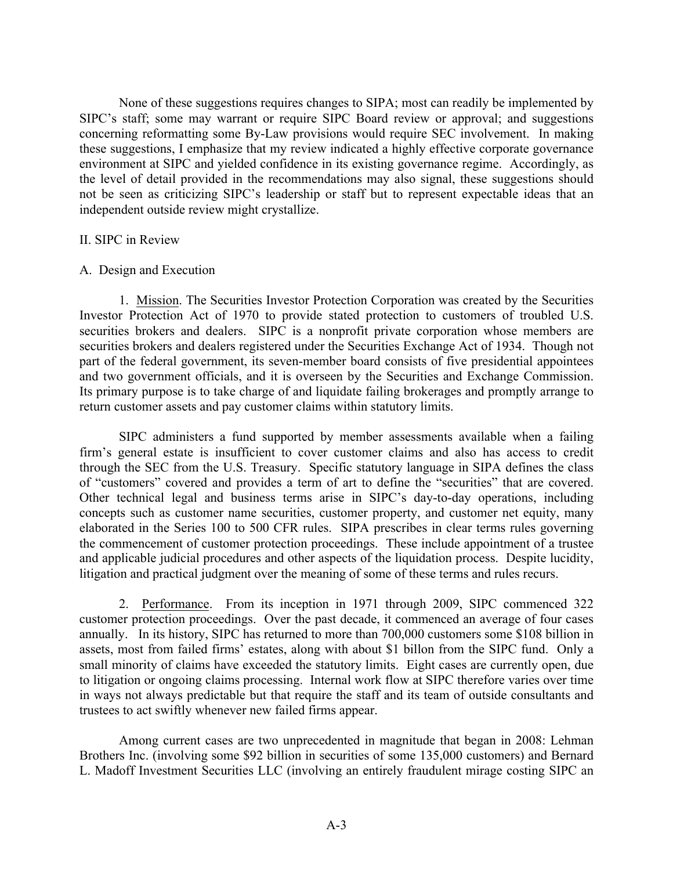None of these suggestions requires changes to SIPA; most can readily be implemented by SIPC's staff; some may warrant or require SIPC Board review or approval; and suggestions concerning reformatting some By-Law provisions would require SEC involvement. In making these suggestions, I emphasize that my review indicated a highly effective corporate governance environment at SIPC and yielded confidence in its existing governance regime. Accordingly, as the level of detail provided in the recommendations may also signal, these suggestions should not be seen as criticizing SIPC's leadership or staff but to represent expectable ideas that an independent outside review might crystallize.

## II. SIPC in Review

### A. Design and Execution

1. Mission. The Securities Investor Protection Corporation was created by the Securities Investor Protection Act of 1970 to provide stated protection to customers of troubled U.S. securities brokers and dealers. SIPC is a nonprofit private corporation whose members are securities brokers and dealers registered under the Securities Exchange Act of 1934. Though not part of the federal government, its seven-member board consists of five presidential appointees and two government officials, and it is overseen by the Securities and Exchange Commission. Its primary purpose is to take charge of and liquidate failing brokerages and promptly arrange to return customer assets and pay customer claims within statutory limits.

SIPC administers a fund supported by member assessments available when a failing firm's general estate is insufficient to cover customer claims and also has access to credit through the SEC from the U.S. Treasury. Specific statutory language in SIPA defines the class of "customers" covered and provides a term of art to define the "securities" that are covered. Other technical legal and business terms arise in SIPC's day-to-day operations, including concepts such as customer name securities, customer property, and customer net equity, many elaborated in the Series 100 to 500 CFR rules. SIPA prescribes in clear terms rules governing the commencement of customer protection proceedings. These include appointment of a trustee and applicable judicial procedures and other aspects of the liquidation process. Despite lucidity, litigation and practical judgment over the meaning of some of these terms and rules recurs.

2. Performance. From its inception in 1971 through 2009, SIPC commenced 322 customer protection proceedings. Over the past decade, it commenced an average of four cases annually. In its history, SIPC has returned to more than 700,000 customers some \$108 billion in assets, most from failed firms' estates, along with about \$1 billon from the SIPC fund. Only a small minority of claims have exceeded the statutory limits. Eight cases are currently open, due to litigation or ongoing claims processing. Internal work flow at SIPC therefore varies over time in ways not always predictable but that require the staff and its team of outside consultants and trustees to act swiftly whenever new failed firms appear.

Among current cases are two unprecedented in magnitude that began in 2008: Lehman Brothers Inc. (involving some \$92 billion in securities of some 135,000 customers) and Bernard L. Madoff Investment Securities LLC (involving an entirely fraudulent mirage costing SIPC an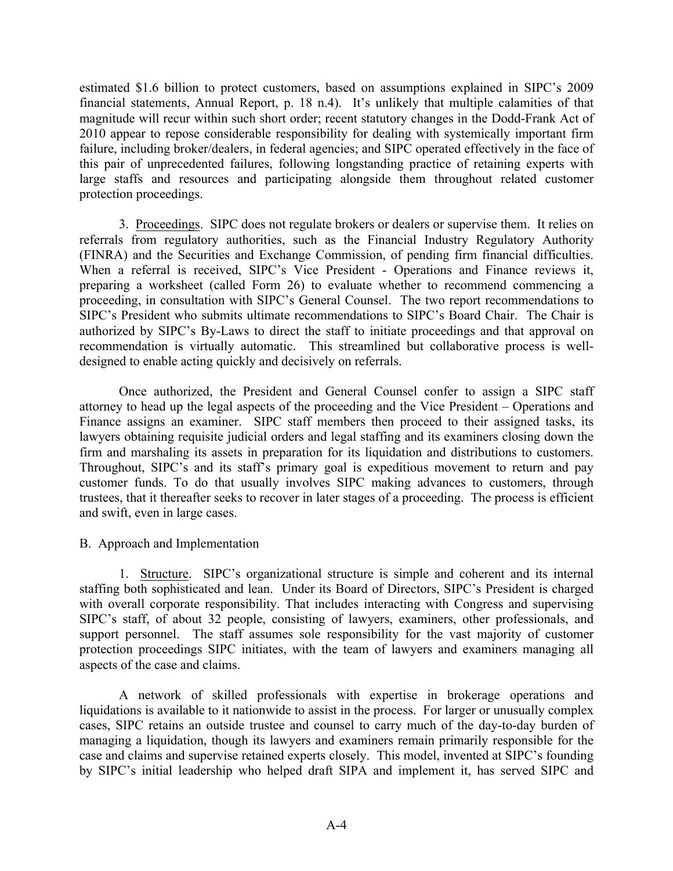estimated \$1.6 billion to protect customers, based on assumptions explained in SIPC's 2009 financial statements, Annual Report, p. 18 n.4). It's unlikely that multiple calamities of that magnitude will recur within such short order; recent statutory changes in the Dodd-Frank Act of 2010 appear to repose considerable responsibility for dealing with systemically important firm failure, including broker/dealers, in federal agencies; and SIPC operated effectively in the face of this pair of unprecedented failures, following longstanding practice of retaining experts with large staffs and resources and participating alongside them throughout related customer protection proceedings.

3. Proceedings. SIPC does not regulate brokers or dealers or supervise them. It relies on referrals from regulatory authorities, such as the Financial Industry Regulatory Authority (FINRA) and the Securities and Exchange Commission, of pending firm financial difficulties. When a referral is received, SIPC's Vice President - Operations and Finance reviews it, preparing a worksheet (called Form 26) to evaluate whether to recommend commencing a proceeding, in consultation with SIPC's General Counsel. The two report recommendations to SIPC's President who submits ultimate recommendations to SIPC's Board Chair. The Chair is authorized by SIPC's By-Laws to direct the staff to initiate proceedings and that approval on recommendation is virtually automatic. This streamlined but collaborative process is welldesigned to enable acting quickly and decisively on referrals.

Once authorized, the President and General Counsel confer to assign a SIPC staff attorney to head up the legal aspects of the proceeding and the Vice President – Operations and Finance assigns an examiner. SIPC staff members then proceed to their assigned tasks, its lawyers obtaining requisite judicial orders and legal staffing and its examiners closing down the firm and marshaling its assets in preparation for its liquidation and distributions to customers. Throughout, SIPC's and its staff's primary goal is expeditious movement to return and pay customer funds. To do that usually involves SIPC making advances to customers, through trustees, that it thereafter seeks to recover in later stages of a proceeding. The process is efficient and swift, even in large cases.

## B. Approach and Implementation

1. Structure. SIPC's organizational structure is simple and coherent and its internal staffing both sophisticated and lean. Under its Board of Directors, SIPC's President is charged with overall corporate responsibility. That includes interacting with Congress and supervising SIPC's staff, of about 32 people, consisting of lawyers, examiners, other professionals, and support personnel. The staff assumes sole responsibility for the vast majority of customer protection proceedings SIPC initiates, with the team of lawyers and examiners managing all aspects of the case and claims.

A network of skilled professionals with expertise in brokerage operations and liquidations is available to it nationwide to assist in the process. For larger or unusually complex cases, SIPC retains an outside trustee and counsel to carry much of the day-to-day burden of managing a liquidation, though its lawyers and examiners remain primarily responsible for the case and claims and supervise retained experts closely. This model, invented at SIPC's founding by SIPC's initial leadership who helped draft SIPA and implement it, has served SIPC and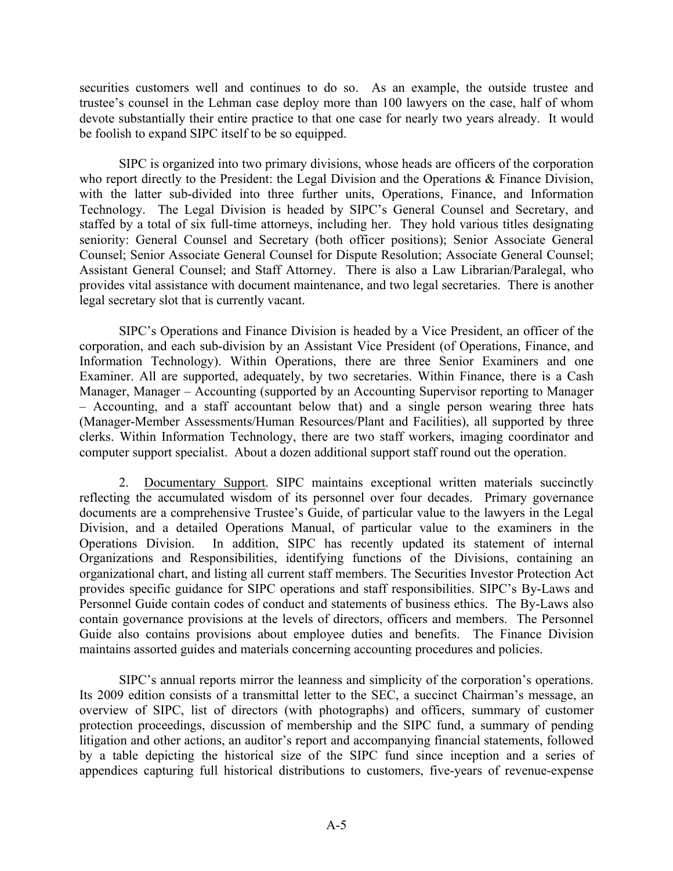securities customers well and continues to do so. As an example, the outside trustee and trustee's counsel in the Lehman case deploy more than 100 lawyers on the case, half of whom devote substantially their entire practice to that one case for nearly two years already. It would be foolish to expand SIPC itself to be so equipped.

SIPC is organized into two primary divisions, whose heads are officers of the corporation who report directly to the President: the Legal Division and the Operations & Finance Division, with the latter sub-divided into three further units, Operations, Finance, and Information Technology. The Legal Division is headed by SIPC's General Counsel and Secretary, and staffed by a total of six full-time attorneys, including her. They hold various titles designating seniority: General Counsel and Secretary (both officer positions); Senior Associate General Counsel; Senior Associate General Counsel for Dispute Resolution; Associate General Counsel; Assistant General Counsel; and Staff Attorney. There is also a Law Librarian/Paralegal, who provides vital assistance with document maintenance, and two legal secretaries. There is another legal secretary slot that is currently vacant.

SIPC's Operations and Finance Division is headed by a Vice President, an officer of the corporation, and each sub-division by an Assistant Vice President (of Operations, Finance, and Information Technology). Within Operations, there are three Senior Examiners and one Examiner. All are supported, adequately, by two secretaries. Within Finance, there is a Cash Manager, Manager – Accounting (supported by an Accounting Supervisor reporting to Manager – Accounting, and a staff accountant below that) and a single person wearing three hats (Manager-Member Assessments/Human Resources/Plant and Facilities), all supported by three clerks. Within Information Technology, there are two staff workers, imaging coordinator and computer support specialist. About a dozen additional support staff round out the operation.

2. Documentary Support. SIPC maintains exceptional written materials succinctly reflecting the accumulated wisdom of its personnel over four decades. Primary governance documents are a comprehensive Trustee's Guide, of particular value to the lawyers in the Legal Division, and a detailed Operations Manual, of particular value to the examiners in the Operations Division. In addition, SIPC has recently updated its statement of internal Organizations and Responsibilities, identifying functions of the Divisions, containing an organizational chart, and listing all current staff members. The Securities Investor Protection Act provides specific guidance for SIPC operations and staff responsibilities. SIPC's By-Laws and Personnel Guide contain codes of conduct and statements of business ethics. The By-Laws also contain governance provisions at the levels of directors, officers and members. The Personnel Guide also contains provisions about employee duties and benefits. The Finance Division maintains assorted guides and materials concerning accounting procedures and policies.

SIPC's annual reports mirror the leanness and simplicity of the corporation's operations. Its 2009 edition consists of a transmittal letter to the SEC, a succinct Chairman's message, an overview of SIPC, list of directors (with photographs) and officers, summary of customer protection proceedings, discussion of membership and the SIPC fund, a summary of pending litigation and other actions, an auditor's report and accompanying financial statements, followed by a table depicting the historical size of the SIPC fund since inception and a series of appendices capturing full historical distributions to customers, five-years of revenue-expense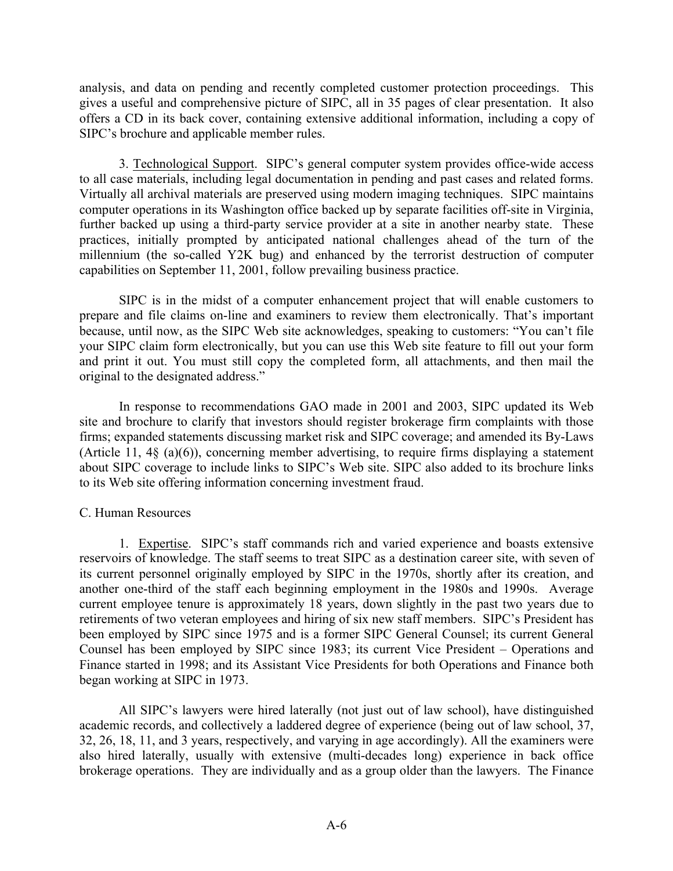analysis, and data on pending and recently completed customer protection proceedings. This gives a useful and comprehensive picture of SIPC, all in 35 pages of clear presentation. It also offers a CD in its back cover, containing extensive additional information, including a copy of SIPC's brochure and applicable member rules.

3. Technological Support. SIPC's general computer system provides office-wide access to all case materials, including legal documentation in pending and past cases and related forms. Virtually all archival materials are preserved using modern imaging techniques. SIPC maintains computer operations in its Washington office backed up by separate facilities off-site in Virginia, further backed up using a third-party service provider at a site in another nearby state. These practices, initially prompted by anticipated national challenges ahead of the turn of the millennium (the so-called Y2K bug) and enhanced by the terrorist destruction of computer capabilities on September 11, 2001, follow prevailing business practice.

SIPC is in the midst of a computer enhancement project that will enable customers to prepare and file claims on-line and examiners to review them electronically. That's important because, until now, as the SIPC Web site acknowledges, speaking to customers: "You can't file your SIPC claim form electronically, but you can use this Web site feature to fill out your form and print it out. You must still copy the completed form, all attachments, and then mail the original to the designated address."

In response to recommendations GAO made in 2001 and 2003, SIPC updated its Web site and brochure to clarify that investors should register brokerage firm complaints with those firms; expanded statements discussing market risk and SIPC coverage; and amended its By-Laws (Article 11, 4§ (a)(6)), concerning member advertising, to require firms displaying a statement about SIPC coverage to include links to SIPC's Web site. SIPC also added to its brochure links to its Web site offering information concerning investment fraud.

## C. Human Resources

1. Expertise. SIPC's staff commands rich and varied experience and boasts extensive reservoirs of knowledge. The staff seems to treat SIPC as a destination career site, with seven of its current personnel originally employed by SIPC in the 1970s, shortly after its creation, and another one-third of the staff each beginning employment in the 1980s and 1990s. Average current employee tenure is approximately 18 years, down slightly in the past two years due to retirements of two veteran employees and hiring of six new staff members. SIPC's President has been employed by SIPC since 1975 and is a former SIPC General Counsel; its current General Counsel has been employed by SIPC since 1983; its current Vice President – Operations and Finance started in 1998; and its Assistant Vice Presidents for both Operations and Finance both began working at SIPC in 1973.

All SIPC's lawyers were hired laterally (not just out of law school), have distinguished academic records, and collectively a laddered degree of experience (being out of law school, 37, 32, 26, 18, 11, and 3 years, respectively, and varying in age accordingly). All the examiners were also hired laterally, usually with extensive (multi-decades long) experience in back office brokerage operations. They are individually and as a group older than the lawyers. The Finance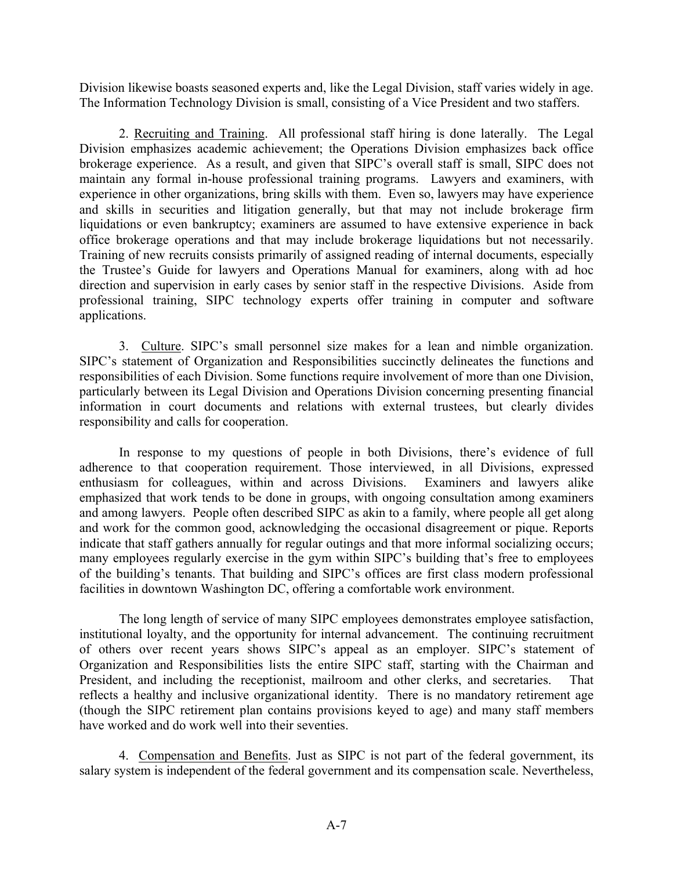Division likewise boasts seasoned experts and, like the Legal Division, staff varies widely in age. The Information Technology Division is small, consisting of a Vice President and two staffers.

2. Recruiting and Training. All professional staff hiring is done laterally. The Legal Division emphasizes academic achievement; the Operations Division emphasizes back office brokerage experience. As a result, and given that SIPC's overall staff is small, SIPC does not maintain any formal in-house professional training programs. Lawyers and examiners, with experience in other organizations, bring skills with them. Even so, lawyers may have experience and skills in securities and litigation generally, but that may not include brokerage firm liquidations or even bankruptcy; examiners are assumed to have extensive experience in back office brokerage operations and that may include brokerage liquidations but not necessarily. Training of new recruits consists primarily of assigned reading of internal documents, especially the Trustee's Guide for lawyers and Operations Manual for examiners, along with ad hoc direction and supervision in early cases by senior staff in the respective Divisions. Aside from professional training, SIPC technology experts offer training in computer and software applications.

3. Culture. SIPC's small personnel size makes for a lean and nimble organization. SIPC's statement of Organization and Responsibilities succinctly delineates the functions and responsibilities of each Division. Some functions require involvement of more than one Division, particularly between its Legal Division and Operations Division concerning presenting financial information in court documents and relations with external trustees, but clearly divides responsibility and calls for cooperation.

In response to my questions of people in both Divisions, there's evidence of full adherence to that cooperation requirement. Those interviewed, in all Divisions, expressed enthusiasm for colleagues, within and across Divisions. Examiners and lawyers alike emphasized that work tends to be done in groups, with ongoing consultation among examiners and among lawyers. People often described SIPC as akin to a family, where people all get along and work for the common good, acknowledging the occasional disagreement or pique. Reports indicate that staff gathers annually for regular outings and that more informal socializing occurs; many employees regularly exercise in the gym within SIPC's building that's free to employees of the building's tenants. That building and SIPC's offices are first class modern professional facilities in downtown Washington DC, offering a comfortable work environment.

The long length of service of many SIPC employees demonstrates employee satisfaction, institutional loyalty, and the opportunity for internal advancement. The continuing recruitment of others over recent years shows SIPC's appeal as an employer. SIPC's statement of Organization and Responsibilities lists the entire SIPC staff, starting with the Chairman and President, and including the receptionist, mailroom and other clerks, and secretaries. That reflects a healthy and inclusive organizational identity. There is no mandatory retirement age (though the SIPC retirement plan contains provisions keyed to age) and many staff members have worked and do work well into their seventies.

4. Compensation and Benefits. Just as SIPC is not part of the federal government, its salary system is independent of the federal government and its compensation scale. Nevertheless,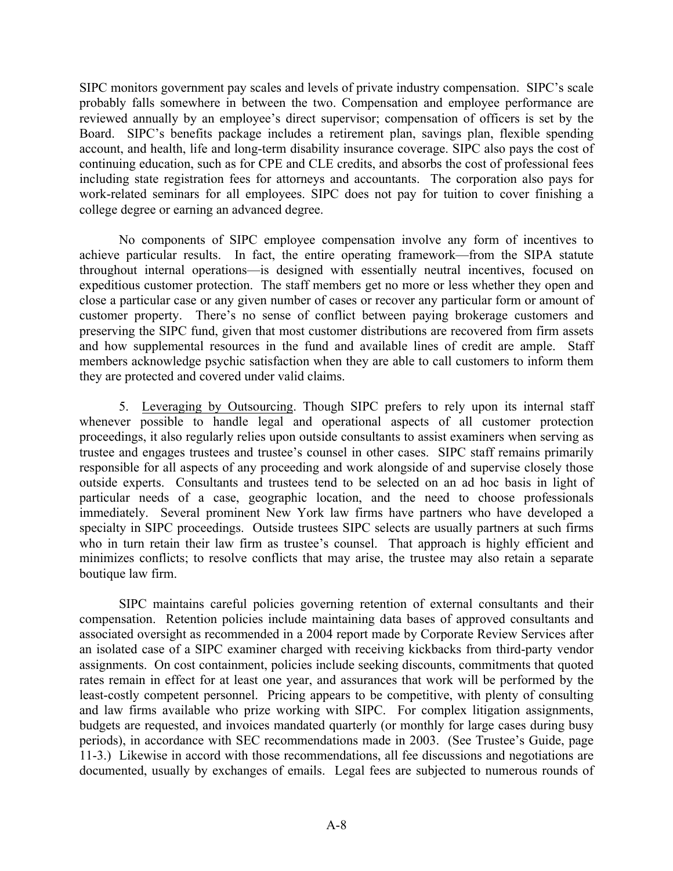SIPC monitors government pay scales and levels of private industry compensation. SIPC's scale probably falls somewhere in between the two. Compensation and employee performance are reviewed annually by an employee's direct supervisor; compensation of officers is set by the Board. SIPC's benefits package includes a retirement plan, savings plan, flexible spending account, and health, life and long-term disability insurance coverage. SIPC also pays the cost of continuing education, such as for CPE and CLE credits, and absorbs the cost of professional fees including state registration fees for attorneys and accountants. The corporation also pays for work-related seminars for all employees. SIPC does not pay for tuition to cover finishing a college degree or earning an advanced degree.

No components of SIPC employee compensation involve any form of incentives to achieve particular results. In fact, the entire operating framework—from the SIPA statute throughout internal operations—is designed with essentially neutral incentives, focused on expeditious customer protection. The staff members get no more or less whether they open and close a particular case or any given number of cases or recover any particular form or amount of customer property. There's no sense of conflict between paying brokerage customers and preserving the SIPC fund, given that most customer distributions are recovered from firm assets and how supplemental resources in the fund and available lines of credit are ample. Staff members acknowledge psychic satisfaction when they are able to call customers to inform them they are protected and covered under valid claims.

5. Leveraging by Outsourcing. Though SIPC prefers to rely upon its internal staff whenever possible to handle legal and operational aspects of all customer protection proceedings, it also regularly relies upon outside consultants to assist examiners when serving as trustee and engages trustees and trustee's counsel in other cases. SIPC staff remains primarily responsible for all aspects of any proceeding and work alongside of and supervise closely those outside experts. Consultants and trustees tend to be selected on an ad hoc basis in light of particular needs of a case, geographic location, and the need to choose professionals immediately. Several prominent New York law firms have partners who have developed a specialty in SIPC proceedings. Outside trustees SIPC selects are usually partners at such firms who in turn retain their law firm as trustee's counsel. That approach is highly efficient and minimizes conflicts; to resolve conflicts that may arise, the trustee may also retain a separate boutique law firm.

SIPC maintains careful policies governing retention of external consultants and their compensation. Retention policies include maintaining data bases of approved consultants and associated oversight as recommended in a 2004 report made by Corporate Review Services after an isolated case of a SIPC examiner charged with receiving kickbacks from third-party vendor assignments. On cost containment, policies include seeking discounts, commitments that quoted rates remain in effect for at least one year, and assurances that work will be performed by the least-costly competent personnel. Pricing appears to be competitive, with plenty of consulting and law firms available who prize working with SIPC. For complex litigation assignments, budgets are requested, and invoices mandated quarterly (or monthly for large cases during busy periods), in accordance with SEC recommendations made in 2003. (See Trustee's Guide, page 11-3.) Likewise in accord with those recommendations, all fee discussions and negotiations are documented, usually by exchanges of emails. Legal fees are subjected to numerous rounds of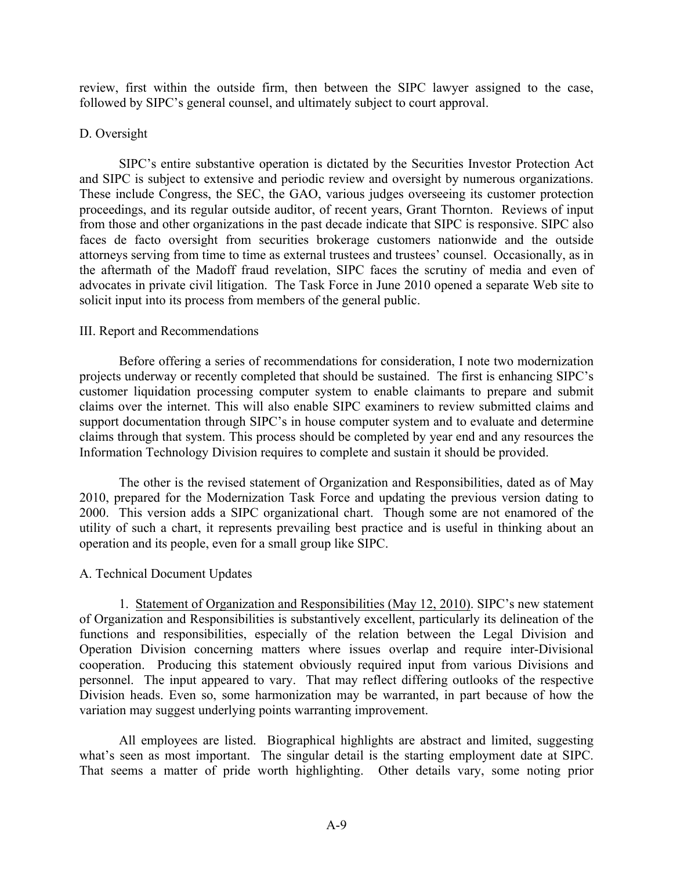review, first within the outside firm, then between the SIPC lawyer assigned to the case, followed by SIPC's general counsel, and ultimately subject to court approval.

## D. Oversight

SIPC's entire substantive operation is dictated by the Securities Investor Protection Act and SIPC is subject to extensive and periodic review and oversight by numerous organizations. These include Congress, the SEC, the GAO, various judges overseeing its customer protection proceedings, and its regular outside auditor, of recent years, Grant Thornton. Reviews of input from those and other organizations in the past decade indicate that SIPC is responsive. SIPC also faces de facto oversight from securities brokerage customers nationwide and the outside attorneys serving from time to time as external trustees and trustees' counsel. Occasionally, as in the aftermath of the Madoff fraud revelation, SIPC faces the scrutiny of media and even of advocates in private civil litigation. The Task Force in June 2010 opened a separate Web site to solicit input into its process from members of the general public.

## III. Report and Recommendations

Before offering a series of recommendations for consideration, I note two modernization projects underway or recently completed that should be sustained. The first is enhancing SIPC's customer liquidation processing computer system to enable claimants to prepare and submit claims over the internet. This will also enable SIPC examiners to review submitted claims and support documentation through SIPC's in house computer system and to evaluate and determine claims through that system. This process should be completed by year end and any resources the Information Technology Division requires to complete and sustain it should be provided.

The other is the revised statement of Organization and Responsibilities, dated as of May 2010, prepared for the Modernization Task Force and updating the previous version dating to 2000. This version adds a SIPC organizational chart. Though some are not enamored of the utility of such a chart, it represents prevailing best practice and is useful in thinking about an operation and its people, even for a small group like SIPC.

## A. Technical Document Updates

1. Statement of Organization and Responsibilities (May 12, 2010). SIPC's new statement of Organization and Responsibilities is substantively excellent, particularly its delineation of the functions and responsibilities, especially of the relation between the Legal Division and Operation Division concerning matters where issues overlap and require inter-Divisional cooperation. Producing this statement obviously required input from various Divisions and personnel. The input appeared to vary. That may reflect differing outlooks of the respective Division heads. Even so, some harmonization may be warranted, in part because of how the variation may suggest underlying points warranting improvement.

All employees are listed. Biographical highlights are abstract and limited, suggesting what's seen as most important. The singular detail is the starting employment date at SIPC. That seems a matter of pride worth highlighting. Other details vary, some noting prior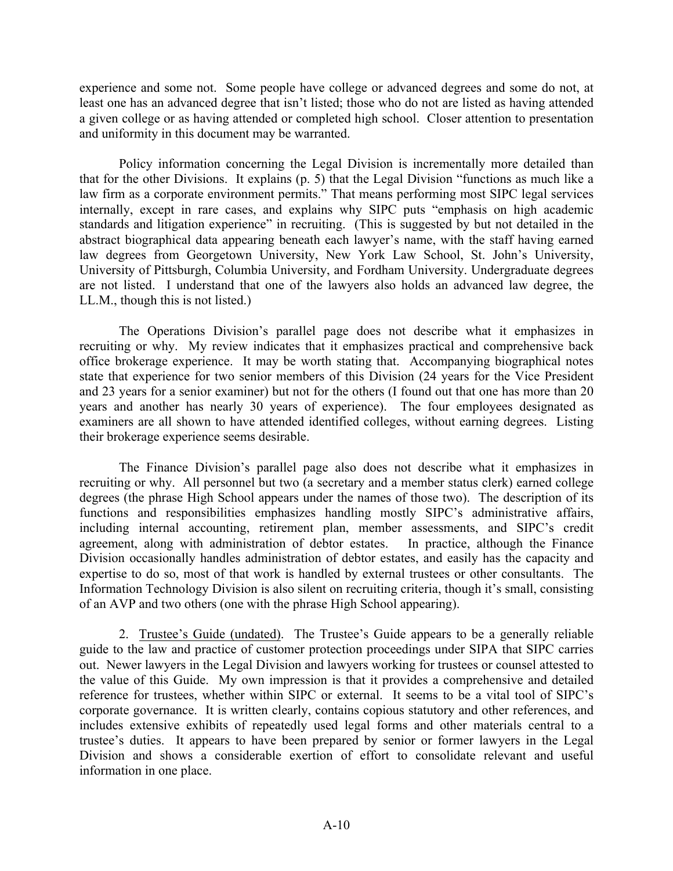experience and some not. Some people have college or advanced degrees and some do not, at least one has an advanced degree that isn't listed; those who do not are listed as having attended a given college or as having attended or completed high school. Closer attention to presentation and uniformity in this document may be warranted.

Policy information concerning the Legal Division is incrementally more detailed than that for the other Divisions. It explains (p. 5) that the Legal Division "functions as much like a law firm as a corporate environment permits." That means performing most SIPC legal services internally, except in rare cases, and explains why SIPC puts "emphasis on high academic standards and litigation experience" in recruiting. (This is suggested by but not detailed in the abstract biographical data appearing beneath each lawyer's name, with the staff having earned law degrees from Georgetown University, New York Law School, St. John's University, University of Pittsburgh, Columbia University, and Fordham University. Undergraduate degrees are not listed. I understand that one of the lawyers also holds an advanced law degree, the LL.M., though this is not listed.)

The Operations Division's parallel page does not describe what it emphasizes in recruiting or why. My review indicates that it emphasizes practical and comprehensive back office brokerage experience. It may be worth stating that. Accompanying biographical notes state that experience for two senior members of this Division (24 years for the Vice President and 23 years for a senior examiner) but not for the others (I found out that one has more than 20 years and another has nearly 30 years of experience). The four employees designated as examiners are all shown to have attended identified colleges, without earning degrees. Listing their brokerage experience seems desirable.

The Finance Division's parallel page also does not describe what it emphasizes in recruiting or why. All personnel but two (a secretary and a member status clerk) earned college degrees (the phrase High School appears under the names of those two). The description of its functions and responsibilities emphasizes handling mostly SIPC's administrative affairs, including internal accounting, retirement plan, member assessments, and SIPC's credit agreement, along with administration of debtor estates. In practice, although the Finance Division occasionally handles administration of debtor estates, and easily has the capacity and expertise to do so, most of that work is handled by external trustees or other consultants. The Information Technology Division is also silent on recruiting criteria, though it's small, consisting of an AVP and two others (one with the phrase High School appearing).

2. Trustee's Guide (undated). The Trustee's Guide appears to be a generally reliable guide to the law and practice of customer protection proceedings under SIPA that SIPC carries out. Newer lawyers in the Legal Division and lawyers working for trustees or counsel attested to the value of this Guide. My own impression is that it provides a comprehensive and detailed reference for trustees, whether within SIPC or external. It seems to be a vital tool of SIPC's corporate governance. It is written clearly, contains copious statutory and other references, and includes extensive exhibits of repeatedly used legal forms and other materials central to a trustee's duties. It appears to have been prepared by senior or former lawyers in the Legal Division and shows a considerable exertion of effort to consolidate relevant and useful information in one place.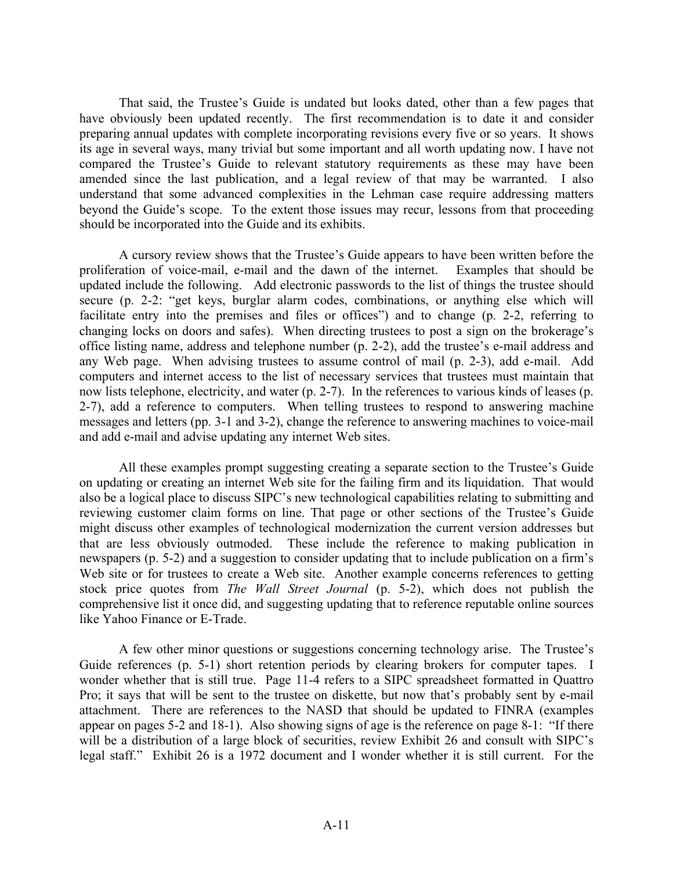That said, the Trustee's Guide is undated but looks dated, other than a few pages that have obviously been updated recently. The first recommendation is to date it and consider preparing annual updates with complete incorporating revisions every five or so years. It shows its age in several ways, many trivial but some important and all worth updating now. I have not compared the Trustee's Guide to relevant statutory requirements as these may have been amended since the last publication, and a legal review of that may be warranted. I also understand that some advanced complexities in the Lehman case require addressing matters beyond the Guide's scope. To the extent those issues may recur, lessons from that proceeding should be incorporated into the Guide and its exhibits.

A cursory review shows that the Trustee's Guide appears to have been written before the proliferation of voice-mail, e-mail and the dawn of the internet. Examples that should be updated include the following. Add electronic passwords to the list of things the trustee should secure (p. 2-2: "get keys, burglar alarm codes, combinations, or anything else which will facilitate entry into the premises and files or offices") and to change (p. 2-2, referring to changing locks on doors and safes). When directing trustees to post a sign on the brokerage's office listing name, address and telephone number (p. 2-2), add the trustee's e-mail address and any Web page. When advising trustees to assume control of mail (p. 2-3), add e-mail. Add computers and internet access to the list of necessary services that trustees must maintain that now lists telephone, electricity, and water (p. 2-7). In the references to various kinds of leases (p. 2-7), add a reference to computers. When telling trustees to respond to answering machine messages and letters (pp. 3-1 and 3-2), change the reference to answering machines to voice-mail and add e-mail and advise updating any internet Web sites.

All these examples prompt suggesting creating a separate section to the Trustee's Guide on updating or creating an internet Web site for the failing firm and its liquidation. That would also be a logical place to discuss SIPC's new technological capabilities relating to submitting and reviewing customer claim forms on line. That page or other sections of the Trustee's Guide might discuss other examples of technological modernization the current version addresses but that are less obviously outmoded. These include the reference to making publication in newspapers (p. 5-2) and a suggestion to consider updating that to include publication on a firm's Web site or for trustees to create a Web site. Another example concerns references to getting stock price quotes from *The Wall Street Journal* (p. 5-2), which does not publish the comprehensive list it once did, and suggesting updating that to reference reputable online sources like Yahoo Finance or E-Trade.

A few other minor questions or suggestions concerning technology arise. The Trustee's Guide references (p. 5-1) short retention periods by clearing brokers for computer tapes. I wonder whether that is still true. Page 11-4 refers to a SIPC spreadsheet formatted in Quattro Pro; it says that will be sent to the trustee on diskette, but now that's probably sent by e-mail attachment. There are references to the NASD that should be updated to FINRA (examples appear on pages 5-2 and 18-1). Also showing signs of age is the reference on page 8-1: "If there will be a distribution of a large block of securities, review Exhibit 26 and consult with SIPC's legal staff." Exhibit 26 is a 1972 document and I wonder whether it is still current. For the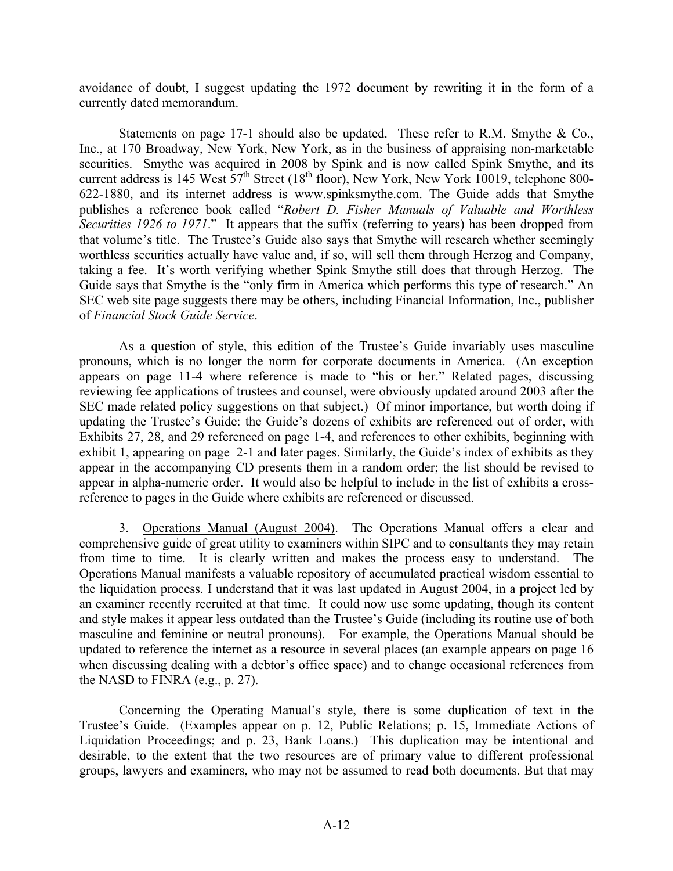avoidance of doubt, I suggest updating the 1972 document by rewriting it in the form of a currently dated memorandum.

Statements on page 17-1 should also be updated. These refer to R.M. Smythe & Co., Inc., at 170 Broadway, New York, New York, as in the business of appraising non-marketable securities. Smythe was acquired in 2008 by Spink and is now called Spink Smythe, and its current address is 145 West  $57<sup>th</sup>$  Street (18<sup>th</sup> floor), New York, New York 10019, telephone 800-622-1880, and its internet address is www.spinksmythe.com. The Guide adds that Smythe publishes a reference book called "*Robert D. Fisher Manuals of Valuable and Worthless Securities 1926 to 1971*." It appears that the suffix (referring to years) has been dropped from that volume's title. The Trustee's Guide also says that Smythe will research whether seemingly worthless securities actually have value and, if so, will sell them through Herzog and Company, taking a fee. It's worth verifying whether Spink Smythe still does that through Herzog. The Guide says that Smythe is the "only firm in America which performs this type of research." An SEC web site page suggests there may be others, including Financial Information, Inc., publisher of *Financial Stock Guide Service*.

As a question of style, this edition of the Trustee's Guide invariably uses masculine pronouns, which is no longer the norm for corporate documents in America. (An exception appears on page 11-4 where reference is made to "his or her." Related pages, discussing reviewing fee applications of trustees and counsel, were obviously updated around 2003 after the SEC made related policy suggestions on that subject.) Of minor importance, but worth doing if updating the Trustee's Guide: the Guide's dozens of exhibits are referenced out of order, with Exhibits 27, 28, and 29 referenced on page 1-4, and references to other exhibits, beginning with exhibit 1, appearing on page 2-1 and later pages. Similarly, the Guide's index of exhibits as they appear in the accompanying CD presents them in a random order; the list should be revised to appear in alpha-numeric order. It would also be helpful to include in the list of exhibits a crossreference to pages in the Guide where exhibits are referenced or discussed.

3. Operations Manual (August 2004). The Operations Manual offers a clear and comprehensive guide of great utility to examiners within SIPC and to consultants they may retain from time to time. It is clearly written and makes the process easy to understand. The Operations Manual manifests a valuable repository of accumulated practical wisdom essential to the liquidation process. I understand that it was last updated in August 2004, in a project led by an examiner recently recruited at that time. It could now use some updating, though its content and style makes it appear less outdated than the Trustee's Guide (including its routine use of both masculine and feminine or neutral pronouns). For example, the Operations Manual should be updated to reference the internet as a resource in several places (an example appears on page 16 when discussing dealing with a debtor's office space) and to change occasional references from the NASD to FINRA (e.g., p. 27).

Concerning the Operating Manual's style, there is some duplication of text in the Trustee's Guide. (Examples appear on p. 12, Public Relations; p. 15, Immediate Actions of Liquidation Proceedings; and p. 23, Bank Loans.) This duplication may be intentional and desirable, to the extent that the two resources are of primary value to different professional groups, lawyers and examiners, who may not be assumed to read both documents. But that may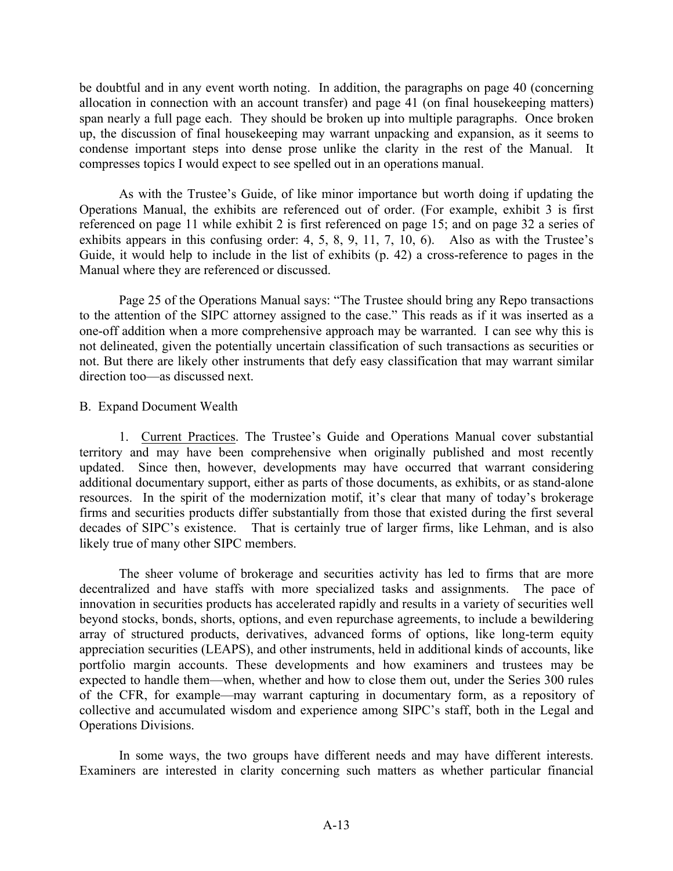be doubtful and in any event worth noting. In addition, the paragraphs on page 40 (concerning allocation in connection with an account transfer) and page 41 (on final housekeeping matters) span nearly a full page each. They should be broken up into multiple paragraphs. Once broken up, the discussion of final housekeeping may warrant unpacking and expansion, as it seems to condense important steps into dense prose unlike the clarity in the rest of the Manual. It compresses topics I would expect to see spelled out in an operations manual.

As with the Trustee's Guide, of like minor importance but worth doing if updating the Operations Manual, the exhibits are referenced out of order. (For example, exhibit 3 is first referenced on page 11 while exhibit 2 is first referenced on page 15; and on page 32 a series of exhibits appears in this confusing order: 4, 5, 8, 9, 11, 7, 10, 6). Also as with the Trustee's Guide, it would help to include in the list of exhibits (p. 42) a cross-reference to pages in the Manual where they are referenced or discussed.

Page 25 of the Operations Manual says: "The Trustee should bring any Repo transactions to the attention of the SIPC attorney assigned to the case." This reads as if it was inserted as a one-off addition when a more comprehensive approach may be warranted. I can see why this is not delineated, given the potentially uncertain classification of such transactions as securities or not. But there are likely other instruments that defy easy classification that may warrant similar direction too—as discussed next.

## B. Expand Document Wealth

1. Current Practices. The Trustee's Guide and Operations Manual cover substantial territory and may have been comprehensive when originally published and most recently updated. Since then, however, developments may have occurred that warrant considering additional documentary support, either as parts of those documents, as exhibits, or as stand-alone resources. In the spirit of the modernization motif, it's clear that many of today's brokerage firms and securities products differ substantially from those that existed during the first several decades of SIPC's existence. That is certainly true of larger firms, like Lehman, and is also likely true of many other SIPC members.

The sheer volume of brokerage and securities activity has led to firms that are more decentralized and have staffs with more specialized tasks and assignments. The pace of innovation in securities products has accelerated rapidly and results in a variety of securities well beyond stocks, bonds, shorts, options, and even repurchase agreements, to include a bewildering array of structured products, derivatives, advanced forms of options, like long-term equity appreciation securities (LEAPS), and other instruments, held in additional kinds of accounts, like portfolio margin accounts. These developments and how examiners and trustees may be expected to handle them—when, whether and how to close them out, under the Series 300 rules of the CFR, for example—may warrant capturing in documentary form, as a repository of collective and accumulated wisdom and experience among SIPC's staff, both in the Legal and Operations Divisions.

In some ways, the two groups have different needs and may have different interests. Examiners are interested in clarity concerning such matters as whether particular financial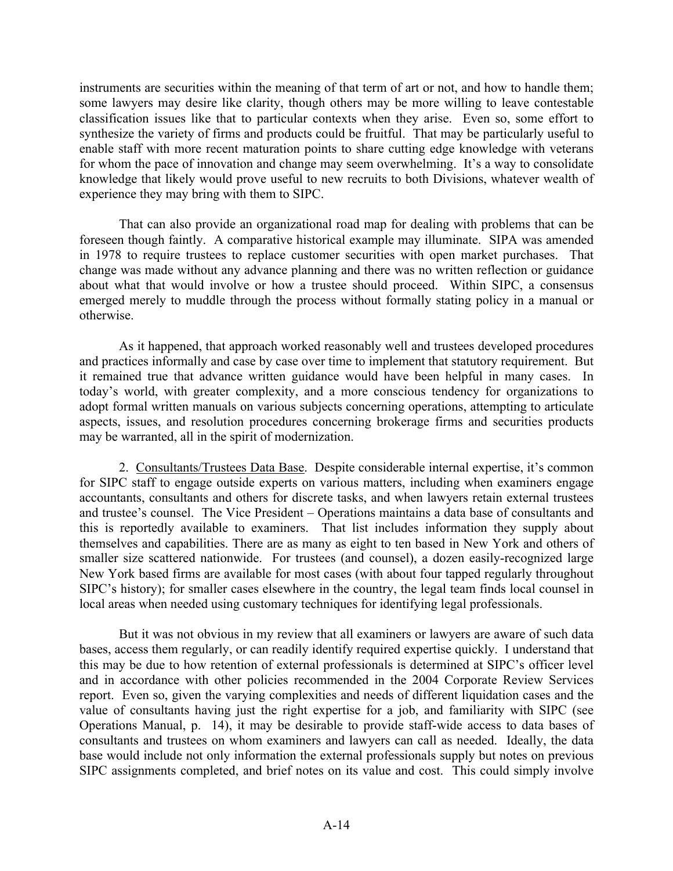instruments are securities within the meaning of that term of art or not, and how to handle them; some lawyers may desire like clarity, though others may be more willing to leave contestable classification issues like that to particular contexts when they arise. Even so, some effort to synthesize the variety of firms and products could be fruitful. That may be particularly useful to enable staff with more recent maturation points to share cutting edge knowledge with veterans for whom the pace of innovation and change may seem overwhelming. It's a way to consolidate knowledge that likely would prove useful to new recruits to both Divisions, whatever wealth of experience they may bring with them to SIPC.

That can also provide an organizational road map for dealing with problems that can be foreseen though faintly. A comparative historical example may illuminate. SIPA was amended in 1978 to require trustees to replace customer securities with open market purchases. That change was made without any advance planning and there was no written reflection or guidance about what that would involve or how a trustee should proceed. Within SIPC, a consensus emerged merely to muddle through the process without formally stating policy in a manual or otherwise.

As it happened, that approach worked reasonably well and trustees developed procedures and practices informally and case by case over time to implement that statutory requirement. But it remained true that advance written guidance would have been helpful in many cases. In today's world, with greater complexity, and a more conscious tendency for organizations to adopt formal written manuals on various subjects concerning operations, attempting to articulate aspects, issues, and resolution procedures concerning brokerage firms and securities products may be warranted, all in the spirit of modernization.

2. Consultants/Trustees Data Base. Despite considerable internal expertise, it's common for SIPC staff to engage outside experts on various matters, including when examiners engage accountants, consultants and others for discrete tasks, and when lawyers retain external trustees and trustee's counsel. The Vice President – Operations maintains a data base of consultants and this is reportedly available to examiners. That list includes information they supply about themselves and capabilities. There are as many as eight to ten based in New York and others of smaller size scattered nationwide. For trustees (and counsel), a dozen easily-recognized large New York based firms are available for most cases (with about four tapped regularly throughout SIPC's history); for smaller cases elsewhere in the country, the legal team finds local counsel in local areas when needed using customary techniques for identifying legal professionals.

But it was not obvious in my review that all examiners or lawyers are aware of such data bases, access them regularly, or can readily identify required expertise quickly. I understand that this may be due to how retention of external professionals is determined at SIPC's officer level and in accordance with other policies recommended in the 2004 Corporate Review Services report. Even so, given the varying complexities and needs of different liquidation cases and the value of consultants having just the right expertise for a job, and familiarity with SIPC (see Operations Manual, p. 14), it may be desirable to provide staff-wide access to data bases of consultants and trustees on whom examiners and lawyers can call as needed. Ideally, the data base would include not only information the external professionals supply but notes on previous SIPC assignments completed, and brief notes on its value and cost. This could simply involve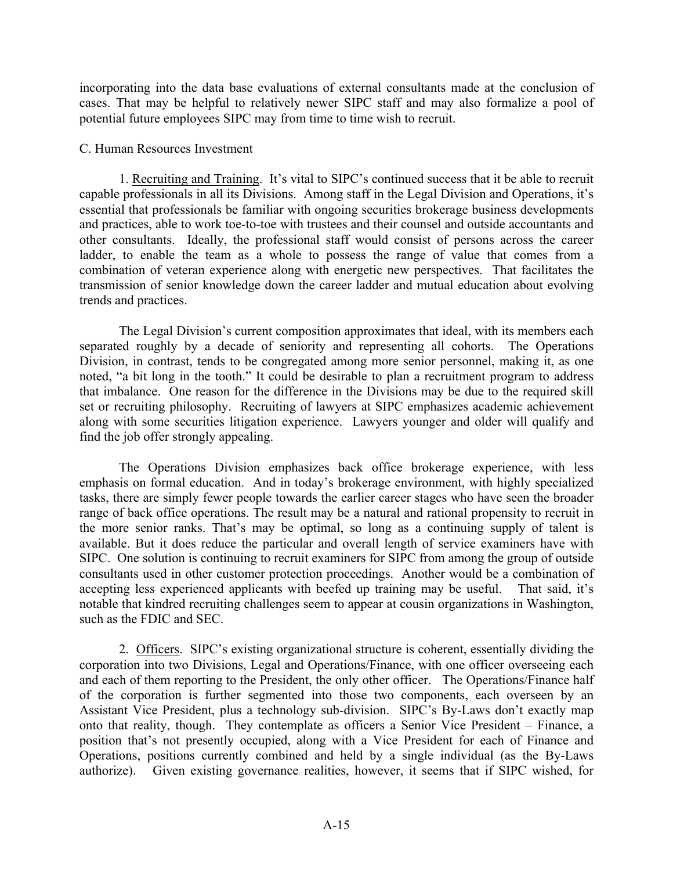incorporating into the data base evaluations of external consultants made at the conclusion of cases. That may be helpful to relatively newer SIPC staff and may also formalize a pool of potential future employees SIPC may from time to time wish to recruit.

## C. Human Resources Investment

1. Recruiting and Training. It's vital to SIPC's continued success that it be able to recruit capable professionals in all its Divisions. Among staff in the Legal Division and Operations, it's essential that professionals be familiar with ongoing securities brokerage business developments and practices, able to work toe-to-toe with trustees and their counsel and outside accountants and other consultants. Ideally, the professional staff would consist of persons across the career ladder, to enable the team as a whole to possess the range of value that comes from a combination of veteran experience along with energetic new perspectives. That facilitates the transmission of senior knowledge down the career ladder and mutual education about evolving trends and practices.

The Legal Division's current composition approximates that ideal, with its members each separated roughly by a decade of seniority and representing all cohorts. The Operations Division, in contrast, tends to be congregated among more senior personnel, making it, as one noted, "a bit long in the tooth." It could be desirable to plan a recruitment program to address that imbalance. One reason for the difference in the Divisions may be due to the required skill set or recruiting philosophy. Recruiting of lawyers at SIPC emphasizes academic achievement along with some securities litigation experience. Lawyers younger and older will qualify and find the job offer strongly appealing.

The Operations Division emphasizes back office brokerage experience, with less emphasis on formal education. And in today's brokerage environment, with highly specialized tasks, there are simply fewer people towards the earlier career stages who have seen the broader range of back office operations. The result may be a natural and rational propensity to recruit in the more senior ranks. That's may be optimal, so long as a continuing supply of talent is available. But it does reduce the particular and overall length of service examiners have with SIPC. One solution is continuing to recruit examiners for SIPC from among the group of outside consultants used in other customer protection proceedings. Another would be a combination of accepting less experienced applicants with beefed up training may be useful. That said, it's notable that kindred recruiting challenges seem to appear at cousin organizations in Washington, such as the FDIC and SEC.

2. Officers. SIPC's existing organizational structure is coherent, essentially dividing the corporation into two Divisions, Legal and Operations/Finance, with one officer overseeing each and each of them reporting to the President, the only other officer. The Operations/Finance half of the corporation is further segmented into those two components, each overseen by an Assistant Vice President, plus a technology sub-division. SIPC's By-Laws don't exactly map onto that reality, though. They contemplate as officers a Senior Vice President – Finance, a position that's not presently occupied, along with a Vice President for each of Finance and Operations, positions currently combined and held by a single individual (as the By-Laws authorize). Given existing governance realities, however, it seems that if SIPC wished, for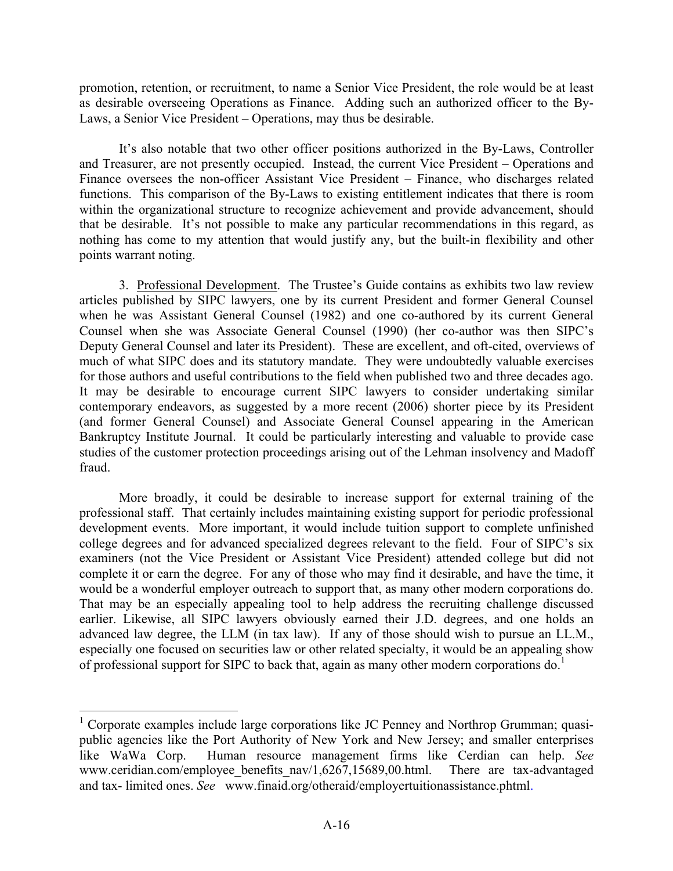promotion, retention, or recruitment, to name a Senior Vice President, the role would be at least as desirable overseeing Operations as Finance. Adding such an authorized officer to the By-Laws, a Senior Vice President – Operations, may thus be desirable.

It's also notable that two other officer positions authorized in the By-Laws, Controller and Treasurer, are not presently occupied. Instead, the current Vice President – Operations and Finance oversees the non-officer Assistant Vice President – Finance, who discharges related functions. This comparison of the By-Laws to existing entitlement indicates that there is room within the organizational structure to recognize achievement and provide advancement, should that be desirable. It's not possible to make any particular recommendations in this regard, as nothing has come to my attention that would justify any, but the built-in flexibility and other points warrant noting.

3. Professional Development. The Trustee's Guide contains as exhibits two law review articles published by SIPC lawyers, one by its current President and former General Counsel when he was Assistant General Counsel (1982) and one co-authored by its current General Counsel when she was Associate General Counsel (1990) (her co-author was then SIPC's Deputy General Counsel and later its President). These are excellent, and oft-cited, overviews of much of what SIPC does and its statutory mandate. They were undoubtedly valuable exercises for those authors and useful contributions to the field when published two and three decades ago. It may be desirable to encourage current SIPC lawyers to consider undertaking similar contemporary endeavors, as suggested by a more recent (2006) shorter piece by its President (and former General Counsel) and Associate General Counsel appearing in the American Bankruptcy Institute Journal. It could be particularly interesting and valuable to provide case studies of the customer protection proceedings arising out of the Lehman insolvency and Madoff fraud.

More broadly, it could be desirable to increase support for external training of the professional staff. That certainly includes maintaining existing support for periodic professional development events. More important, it would include tuition support to complete unfinished college degrees and for advanced specialized degrees relevant to the field. Four of SIPC's six examiners (not the Vice President or Assistant Vice President) attended college but did not complete it or earn the degree. For any of those who may find it desirable, and have the time, it would be a wonderful employer outreach to support that, as many other modern corporations do. That may be an especially appealing tool to help address the recruiting challenge discussed earlier. Likewise, all SIPC lawyers obviously earned their J.D. degrees, and one holds an advanced law degree, the LLM (in tax law). If any of those should wish to pursue an LL.M., especially one focused on securities law or other related specialty, it would be an appealing show of professional support for SIPC to back that, again as many other modern corporations do.<sup>1</sup>

<sup>&</sup>lt;sup>1</sup> Corporate examples include large corporations like JC Penney and Northrop Grumman; quasipublic agencies like the Port Authority of New York and New Jersey; and smaller enterprises like WaWa Corp. Human resource management firms like Cerdian can help. *See* www.ceridian.com/employee\_benefits\_nav/1,6267,15689,00.html. There are tax-advantaged and tax- limited ones. *See* www.finaid.org/otheraid/employertuitionassistance.phtml.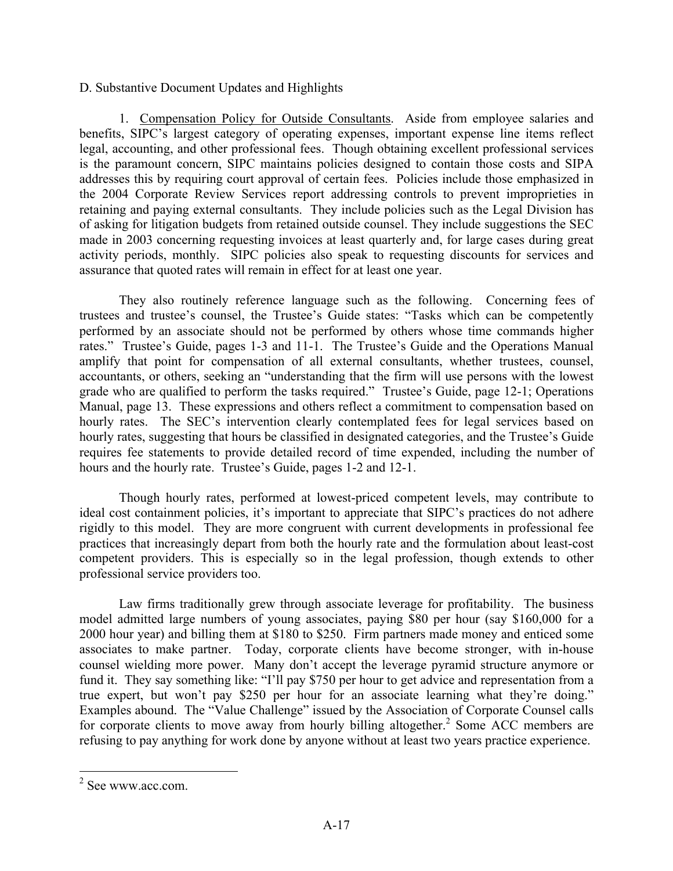## D. Substantive Document Updates and Highlights

1. Compensation Policy for Outside Consultants. Aside from employee salaries and benefits, SIPC's largest category of operating expenses, important expense line items reflect legal, accounting, and other professional fees. Though obtaining excellent professional services is the paramount concern, SIPC maintains policies designed to contain those costs and SIPA addresses this by requiring court approval of certain fees. Policies include those emphasized in the 2004 Corporate Review Services report addressing controls to prevent improprieties in retaining and paying external consultants. They include policies such as the Legal Division has of asking for litigation budgets from retained outside counsel. They include suggestions the SEC made in 2003 concerning requesting invoices at least quarterly and, for large cases during great activity periods, monthly. SIPC policies also speak to requesting discounts for services and assurance that quoted rates will remain in effect for at least one year.

They also routinely reference language such as the following. Concerning fees of trustees and trustee's counsel, the Trustee's Guide states: "Tasks which can be competently performed by an associate should not be performed by others whose time commands higher rates." Trustee's Guide, pages 1-3 and 11-1. The Trustee's Guide and the Operations Manual amplify that point for compensation of all external consultants, whether trustees, counsel, accountants, or others, seeking an "understanding that the firm will use persons with the lowest grade who are qualified to perform the tasks required." Trustee's Guide, page 12-1; Operations Manual, page 13. These expressions and others reflect a commitment to compensation based on hourly rates. The SEC's intervention clearly contemplated fees for legal services based on hourly rates, suggesting that hours be classified in designated categories, and the Trustee's Guide requires fee statements to provide detailed record of time expended, including the number of hours and the hourly rate. Trustee's Guide, pages 1-2 and 12-1.

Though hourly rates, performed at lowest-priced competent levels, may contribute to ideal cost containment policies, it's important to appreciate that SIPC's practices do not adhere rigidly to this model. They are more congruent with current developments in professional fee practices that increasingly depart from both the hourly rate and the formulation about least-cost competent providers. This is especially so in the legal profession, though extends to other professional service providers too.

Law firms traditionally grew through associate leverage for profitability. The business model admitted large numbers of young associates, paying \$80 per hour (say \$160,000 for a 2000 hour year) and billing them at \$180 to \$250. Firm partners made money and enticed some associates to make partner. Today, corporate clients have become stronger, with in-house counsel wielding more power. Many don't accept the leverage pyramid structure anymore or fund it. They say something like: "I'll pay \$750 per hour to get advice and representation from a true expert, but won't pay \$250 per hour for an associate learning what they're doing." Examples abound. The "Value Challenge" issued by the Association of Corporate Counsel calls for corporate clients to move away from hourly billing altogether.<sup>2</sup> Some ACC members are refusing to pay anything for work done by anyone without at least two years practice experience.

 <sup>2</sup> See www.acc.com.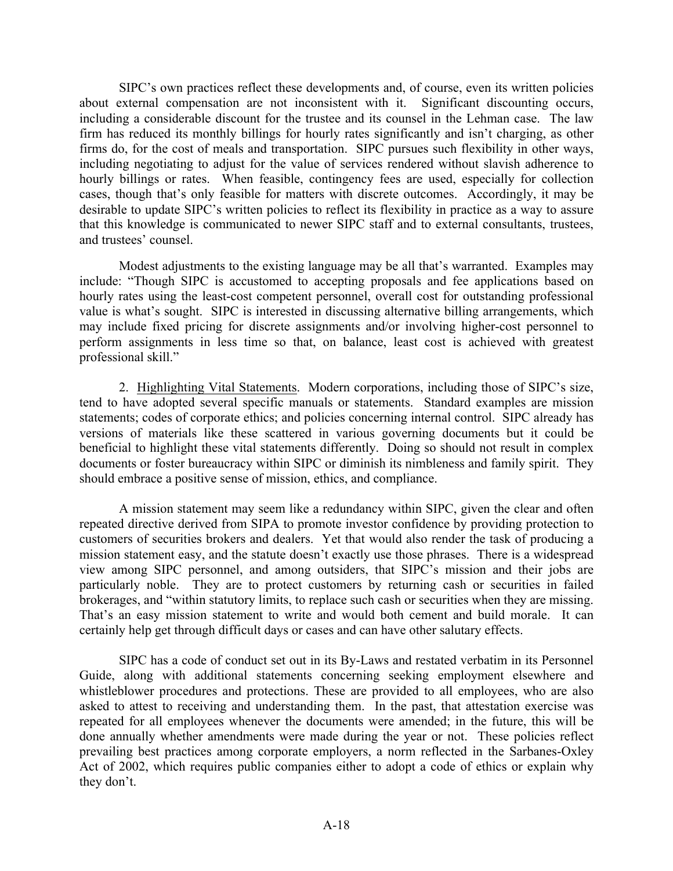SIPC's own practices reflect these developments and, of course, even its written policies about external compensation are not inconsistent with it. Significant discounting occurs, including a considerable discount for the trustee and its counsel in the Lehman case. The law firm has reduced its monthly billings for hourly rates significantly and isn't charging, as other firms do, for the cost of meals and transportation. SIPC pursues such flexibility in other ways, including negotiating to adjust for the value of services rendered without slavish adherence to hourly billings or rates. When feasible, contingency fees are used, especially for collection cases, though that's only feasible for matters with discrete outcomes. Accordingly, it may be desirable to update SIPC's written policies to reflect its flexibility in practice as a way to assure that this knowledge is communicated to newer SIPC staff and to external consultants, trustees, and trustees' counsel.

Modest adjustments to the existing language may be all that's warranted. Examples may include: "Though SIPC is accustomed to accepting proposals and fee applications based on hourly rates using the least-cost competent personnel, overall cost for outstanding professional value is what's sought. SIPC is interested in discussing alternative billing arrangements, which may include fixed pricing for discrete assignments and/or involving higher-cost personnel to perform assignments in less time so that, on balance, least cost is achieved with greatest professional skill."

2. Highlighting Vital Statements. Modern corporations, including those of SIPC's size, tend to have adopted several specific manuals or statements. Standard examples are mission statements; codes of corporate ethics; and policies concerning internal control. SIPC already has versions of materials like these scattered in various governing documents but it could be beneficial to highlight these vital statements differently. Doing so should not result in complex documents or foster bureaucracy within SIPC or diminish its nimbleness and family spirit. They should embrace a positive sense of mission, ethics, and compliance.

A mission statement may seem like a redundancy within SIPC, given the clear and often repeated directive derived from SIPA to promote investor confidence by providing protection to customers of securities brokers and dealers. Yet that would also render the task of producing a mission statement easy, and the statute doesn't exactly use those phrases. There is a widespread view among SIPC personnel, and among outsiders, that SIPC's mission and their jobs are particularly noble. They are to protect customers by returning cash or securities in failed brokerages, and "within statutory limits, to replace such cash or securities when they are missing. That's an easy mission statement to write and would both cement and build morale. It can certainly help get through difficult days or cases and can have other salutary effects.

SIPC has a code of conduct set out in its By-Laws and restated verbatim in its Personnel Guide, along with additional statements concerning seeking employment elsewhere and whistleblower procedures and protections. These are provided to all employees, who are also asked to attest to receiving and understanding them. In the past, that attestation exercise was repeated for all employees whenever the documents were amended; in the future, this will be done annually whether amendments were made during the year or not. These policies reflect prevailing best practices among corporate employers, a norm reflected in the Sarbanes-Oxley Act of 2002, which requires public companies either to adopt a code of ethics or explain why they don't.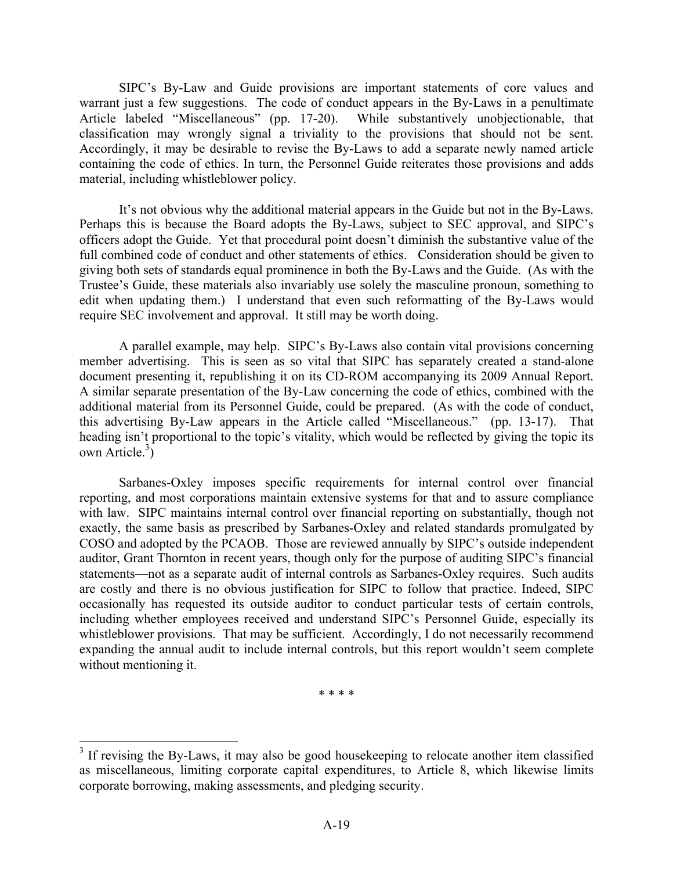SIPC's By-Law and Guide provisions are important statements of core values and warrant just a few suggestions. The code of conduct appears in the By-Laws in a penultimate Article labeled "Miscellaneous" (pp. 17-20). While substantively unobjectionable, that classification may wrongly signal a triviality to the provisions that should not be sent. Accordingly, it may be desirable to revise the By-Laws to add a separate newly named article containing the code of ethics. In turn, the Personnel Guide reiterates those provisions and adds material, including whistleblower policy.

It's not obvious why the additional material appears in the Guide but not in the By-Laws. Perhaps this is because the Board adopts the By-Laws, subject to SEC approval, and SIPC's officers adopt the Guide. Yet that procedural point doesn't diminish the substantive value of the full combined code of conduct and other statements of ethics. Consideration should be given to giving both sets of standards equal prominence in both the By-Laws and the Guide. (As with the Trustee's Guide, these materials also invariably use solely the masculine pronoun, something to edit when updating them.) I understand that even such reformatting of the By-Laws would require SEC involvement and approval. It still may be worth doing.

A parallel example, may help. SIPC's By-Laws also contain vital provisions concerning member advertising. This is seen as so vital that SIPC has separately created a stand-alone document presenting it, republishing it on its CD-ROM accompanying its 2009 Annual Report. A similar separate presentation of the By-Law concerning the code of ethics, combined with the additional material from its Personnel Guide, could be prepared. (As with the code of conduct, this advertising By-Law appears in the Article called "Miscellaneous." (pp. 13-17). That heading isn't proportional to the topic's vitality, which would be reflected by giving the topic its own Article. $3)$ 

Sarbanes-Oxley imposes specific requirements for internal control over financial reporting, and most corporations maintain extensive systems for that and to assure compliance with law. SIPC maintains internal control over financial reporting on substantially, though not exactly, the same basis as prescribed by Sarbanes-Oxley and related standards promulgated by COSO and adopted by the PCAOB. Those are reviewed annually by SIPC's outside independent auditor, Grant Thornton in recent years, though only for the purpose of auditing SIPC's financial statements—not as a separate audit of internal controls as Sarbanes-Oxley requires. Such audits are costly and there is no obvious justification for SIPC to follow that practice. Indeed, SIPC occasionally has requested its outside auditor to conduct particular tests of certain controls, including whether employees received and understand SIPC's Personnel Guide, especially its whistleblower provisions. That may be sufficient. Accordingly, I do not necessarily recommend expanding the annual audit to include internal controls, but this report wouldn't seem complete without mentioning it.

\* \* \* \*

<sup>&</sup>lt;sup>3</sup> If revising the By-Laws, it may also be good housekeeping to relocate another item classified as miscellaneous, limiting corporate capital expenditures, to Article 8, which likewise limits corporate borrowing, making assessments, and pledging security.